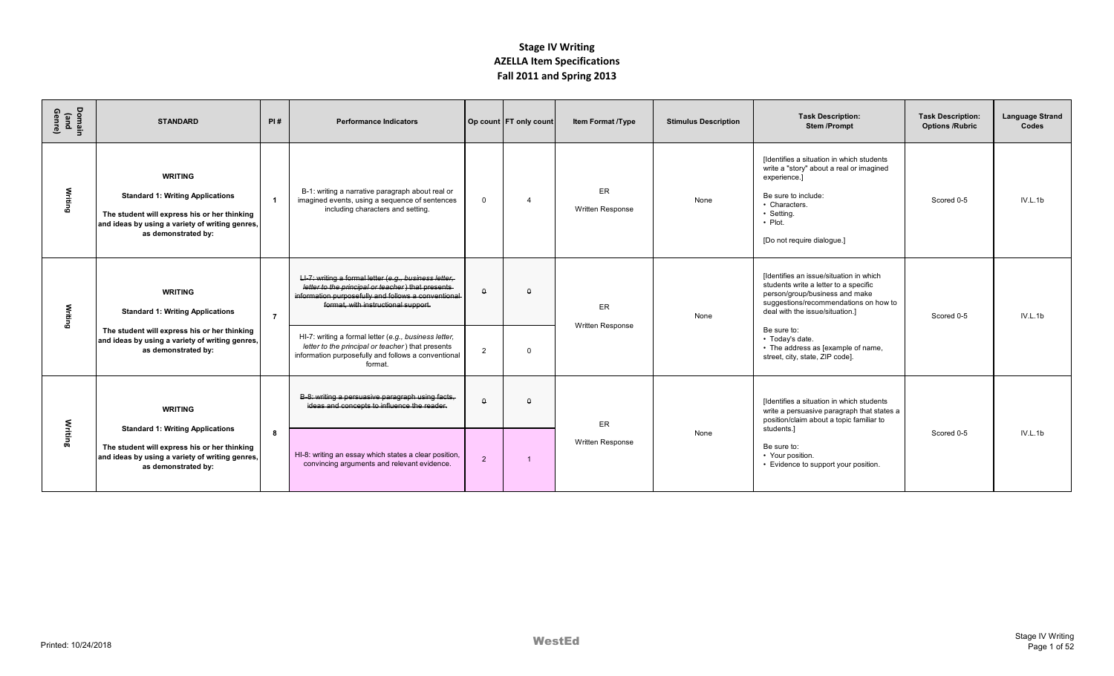| Domain<br>(and<br>Genre) | <b>STANDARD</b>                                                                                                                                                                     | PI#            | <b>Performance Indicators</b>                                                                                                                                                                             |                | Op count FT only count | <b>Item Format /Type</b> | <b>Stimulus Description</b> | <b>Task Description:</b><br><b>Stem/Prompt</b>                                                                                                                                                             | <b>Task Description:</b><br><b>Options /Rubric</b> | <b>Language Strand</b><br>Codes |
|--------------------------|-------------------------------------------------------------------------------------------------------------------------------------------------------------------------------------|----------------|-----------------------------------------------------------------------------------------------------------------------------------------------------------------------------------------------------------|----------------|------------------------|--------------------------|-----------------------------|------------------------------------------------------------------------------------------------------------------------------------------------------------------------------------------------------------|----------------------------------------------------|---------------------------------|
| Writing                  | <b>WRITING</b><br><b>Standard 1: Writing Applications</b><br>The student will express his or her thinking<br>and ideas by using a variety of writing genres,<br>as demonstrated by: |                | B-1: writing a narrative paragraph about real or<br>imagined events, using a sequence of sentences<br>including characters and setting.                                                                   | $\Omega$       | $\overline{4}$         | ER<br>Written Response   | None                        | [Identifies a situation in which students<br>write a "story" about a real or imagined<br>experience.]<br>Be sure to include:<br>• Characters.<br>• Setting.<br>$\cdot$ Plot.<br>[Do not require dialogue.] | Scored 0-5                                         | IV.L.1b                         |
| Writing                  | <b>WRITING</b><br><b>Standard 1: Writing Applications</b>                                                                                                                           | $\overline{7}$ | LI-7: writing a formal letter (e.g., business letter,<br>letter to the principal or teacher) that presents<br>information purposefully and follows a conventional-<br>format, with instructional support. | $\Omega$       | $\Omega$               | ER<br>Written Response   | None                        | Ildentifies an issue/situation in which<br>students write a letter to a specific<br>person/group/business and make<br>suggestions/recommendations on how to<br>deal with the issue/situation.]             | Scored 0-5                                         | IV.L.1b                         |
|                          | The student will express his or her thinking<br>and ideas by using a variety of writing genres,<br>as demonstrated by:                                                              |                | HI-7: writing a formal letter (e.g., business letter,<br>letter to the principal or teacher) that presents<br>information purposefully and follows a conventional<br>format.                              | $\overline{2}$ | $\Omega$               |                          |                             | Be sure to:<br>• Today's date.<br>• The address as [example of name,<br>street, city, state, ZIP code].                                                                                                    |                                                    |                                 |
|                          | <b>WRITING</b><br><b>Standard 1: Writing Applications</b>                                                                                                                           |                | B-8: writing a persuasive paragraph using facts.<br>ideas and concepts to influence the reader.                                                                                                           | $\Omega$       | $\Omega$               | ER                       |                             | [Identifies a situation in which students<br>write a persuasive paragraph that states a<br>position/claim about a topic familiar to<br>students.]                                                          |                                                    |                                 |
| Writing                  | The student will express his or her thinking<br>and ideas by using a variety of writing genres,<br>as demonstrated by:                                                              | 8              | HI-8: writing an essay which states a clear position,<br>convincing arguments and relevant evidence.                                                                                                      | 2              |                        | Written Response         | None                        | Be sure to:<br>• Your position.<br>• Evidence to support your position.                                                                                                                                    | Scored 0-5                                         | IV.L.1b                         |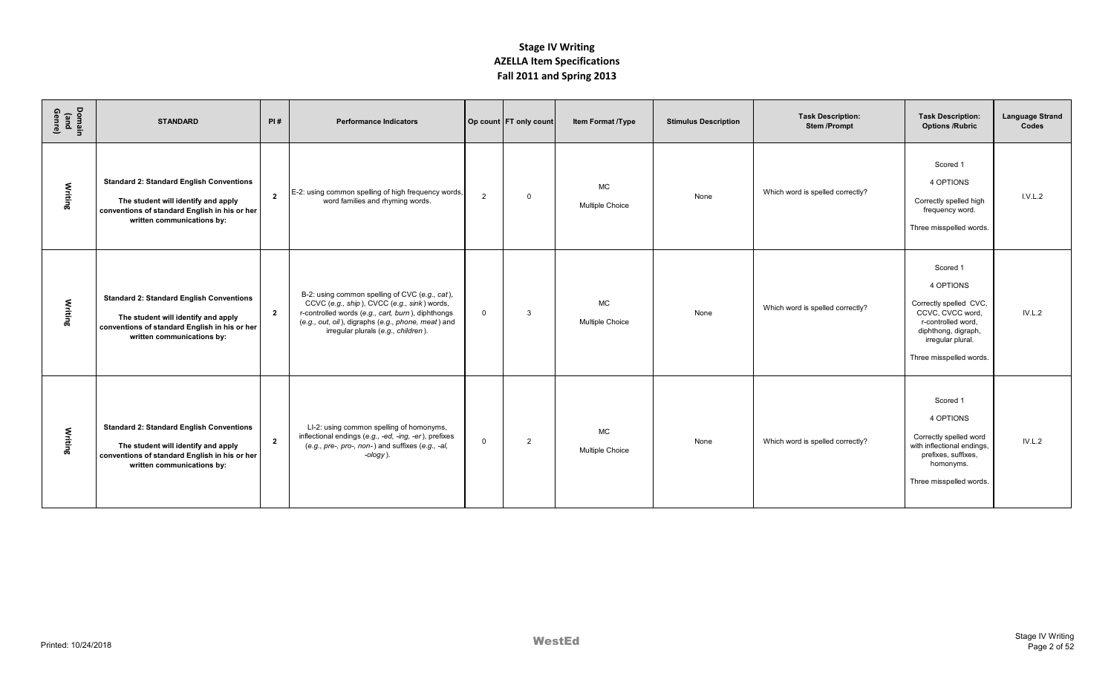| Domain<br>(and<br>Genre) | <b>STANDARD</b>                                                                                                                                                       | PI#            | <b>Performance Indicators</b>                                                                                                                                                                                                                   |                | Op count FT only count | Item Format /Type                   | <b>Stimulus Description</b> | <b>Task Description:</b><br><b>Stem/Prompt</b> | <b>Task Description:</b><br><b>Options /Rubric</b>                                                                                                               | <b>Language Strand</b><br>Codes |
|--------------------------|-----------------------------------------------------------------------------------------------------------------------------------------------------------------------|----------------|-------------------------------------------------------------------------------------------------------------------------------------------------------------------------------------------------------------------------------------------------|----------------|------------------------|-------------------------------------|-----------------------------|------------------------------------------------|------------------------------------------------------------------------------------------------------------------------------------------------------------------|---------------------------------|
| <b>Writing</b>           | <b>Standard 2: Standard English Conventions</b><br>The student will identify and apply<br>conventions of standard English in his or her<br>written communications by: | $\overline{2}$ | E-2: using common spelling of high frequency words,<br>word families and rhyming words.                                                                                                                                                         | $\overline{2}$ | $\mathbf 0$            | <b>MC</b><br><b>Multiple Choice</b> | None                        | Which word is spelled correctly?               | Scored 1<br>4 OPTIONS<br>Correctly spelled high<br>frequency word.<br>Three misspelled words.                                                                    | I.V.L.2                         |
| Writing                  | <b>Standard 2: Standard English Conventions</b><br>The student will identify and apply<br>conventions of standard English in his or her<br>written communications by: | $\overline{2}$ | B-2: using common spelling of CVC (e.g., cat),<br>CCVC (e.g., ship), CVCC (e.g., sink) words,<br>r-controlled words (e.g., cart, burn), diphthongs<br>(e.g., out, oil), digraphs (e.g., phone, meat) and<br>irregular plurals (e.g., children). | $\mathbf{0}$   | $\mathbf{3}$           | <b>MC</b><br><b>Multiple Choice</b> | None                        | Which word is spelled correctly?               | Scored 1<br>4 OPTIONS<br>Correctly spelled CVC,<br>CCVC, CVCC word.<br>r-controlled word.<br>diphthong, digraph,<br>irregular plural.<br>Three misspelled words. | IV.L.2                          |
| Writing                  | <b>Standard 2: Standard English Conventions</b><br>The student will identify and apply<br>conventions of standard English in his or her<br>written communications by: | $\overline{2}$ | LI-2: using common spelling of homonyms,<br>inflectional endings (e.g., -ed, -ing, -er), prefixes<br>(e.g., pre-, pro-, non-) and suffixes (e.g., -al,<br>$-ology$ ).                                                                           | $\mathbf{0}$   | $\overline{2}$         | <b>MC</b><br><b>Multiple Choice</b> | None                        | Which word is spelled correctly?               | Scored 1<br>4 OPTIONS<br>Correctly spelled word<br>with inflectional endings,<br>prefixes, suffixes,<br>homonyms.<br>Three misspelled words.                     | IV.L.2                          |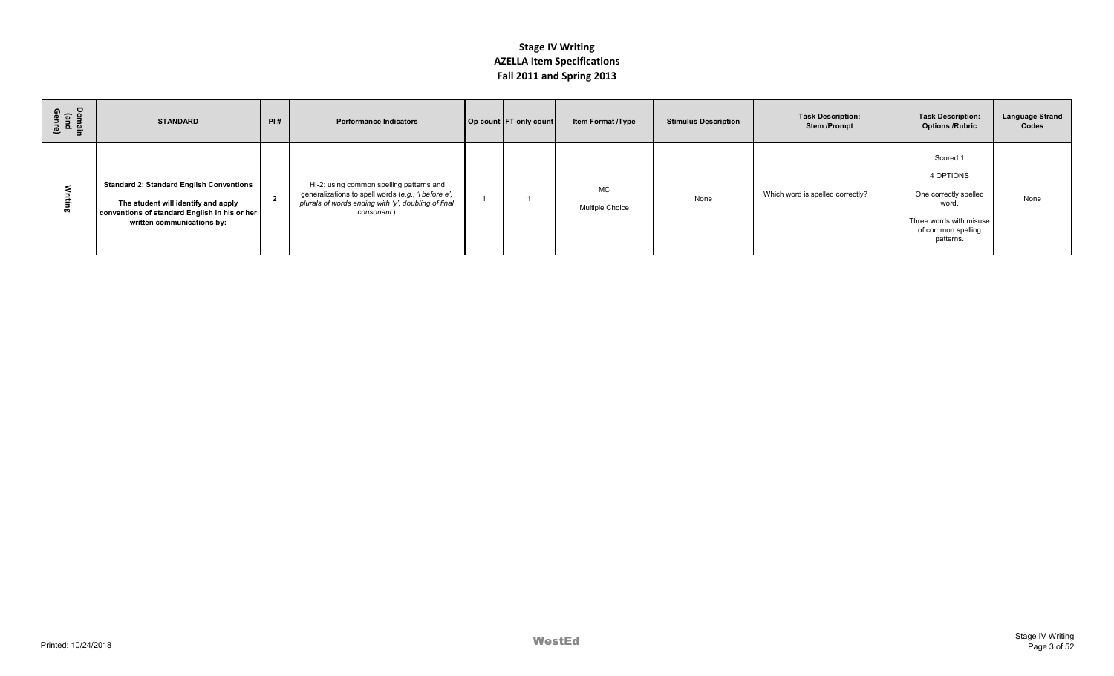| Domain<br>(and<br>Genre) | <b>STANDARD</b>                                                                                                                                                       | PI#            | <b>Performance Indicators</b>                                                                                                                                         | Op count FT only count | Item Format /Type     | <b>Stimulus Description</b> | <b>Task Description:</b><br><b>Stem/Prompt</b> | <b>Task Description:</b><br><b>Options /Rubric</b>                                                                    | <b>Language Strand</b><br>Codes |
|--------------------------|-----------------------------------------------------------------------------------------------------------------------------------------------------------------------|----------------|-----------------------------------------------------------------------------------------------------------------------------------------------------------------------|------------------------|-----------------------|-----------------------------|------------------------------------------------|-----------------------------------------------------------------------------------------------------------------------|---------------------------------|
|                          | <b>Standard 2: Standard English Conventions</b><br>The student will identify and apply<br>conventions of standard English in his or her<br>written communications by: | $\overline{2}$ | HI-2: using common spelling patterns and<br>generalizations to spell words (e.g., 'i before e',<br>plurals of words ending with 'y', doubling of final<br>consonant). |                        | MC<br>Multiple Choice | None                        | Which word is spelled correctly?               | Scored 1<br>4 OPTIONS<br>One correctly spelled<br>word.<br>Three words with misuse<br>of common spelling<br>patterns. | None                            |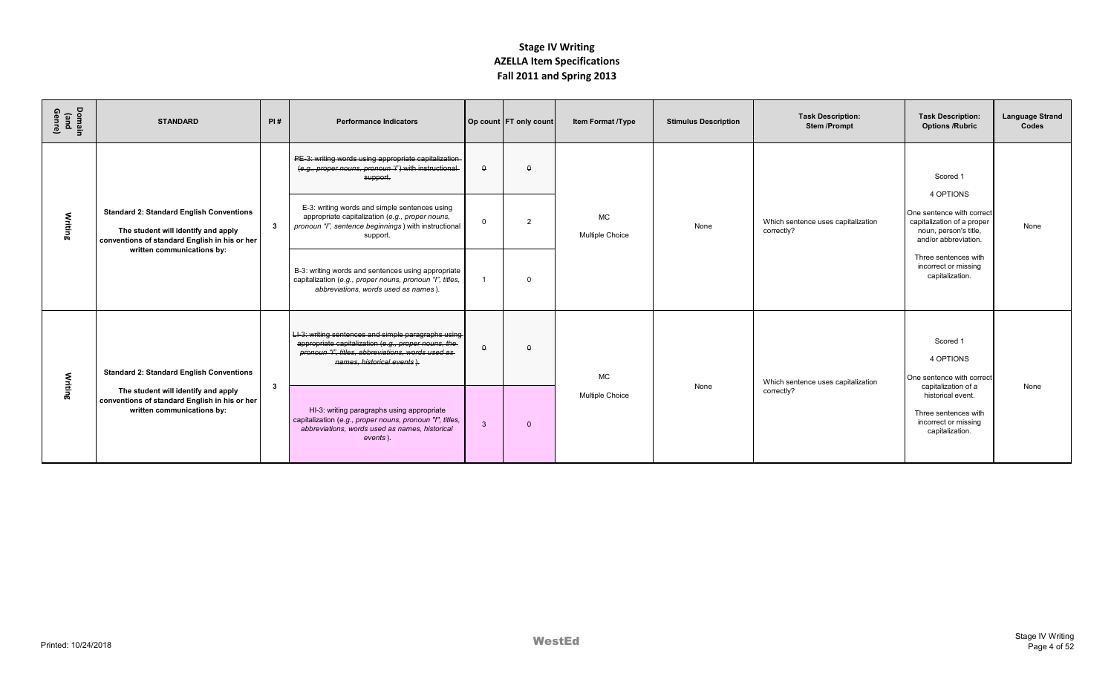| Domain<br>(and<br>Genre) | <b>STANDARD</b>                                                                                                                                                       | PI#          | <b>Performance Indicators</b>                                                                                                                                                                     |              | Op count FT only count | <b>Item Format /Type</b>     | <b>Stimulus Description</b> | <b>Task Description:</b><br><b>Stem/Prompt</b>   | <b>Task Description:</b><br><b>Options /Rubric</b>                                                                    | <b>Language Strand</b><br>Codes |
|--------------------------|-----------------------------------------------------------------------------------------------------------------------------------------------------------------------|--------------|---------------------------------------------------------------------------------------------------------------------------------------------------------------------------------------------------|--------------|------------------------|------------------------------|-----------------------------|--------------------------------------------------|-----------------------------------------------------------------------------------------------------------------------|---------------------------------|
|                          |                                                                                                                                                                       |              | PE-3: writing words using appropriate capitalization-<br>(e.g., proper nouns, pronoun 'l') with instructional-<br>support.                                                                        | $\theta$     | $\theta$               |                              |                             |                                                  | Scored 1                                                                                                              |                                 |
| Writing                  | <b>Standard 2: Standard English Conventions</b><br>The student will identify and apply<br>conventions of standard English in his or her<br>written communications by: | $\mathbf{3}$ | E-3: writing words and simple sentences using<br>appropriate capitalization (e.g., proper nouns,<br>pronoun "I", sentence beginnings) with instructional<br>support.                              | $\Omega$     | $\overline{2}$         | <b>MC</b><br>Multiple Choice | None                        | Which sentence uses capitalization<br>correctly? | 4 OPTIONS<br>One sentence with correct<br>capitalization of a proper<br>noun, person's title,<br>and/or abbreviation. | None                            |
|                          |                                                                                                                                                                       |              | B-3: writing words and sentences using appropriate<br>capitalization (e.g., proper nouns, pronoun "I", titles,<br>abbreviations, words used as names).                                            |              | $\Omega$               |                              |                             |                                                  | Three sentences with<br>incorrect or missing<br>capitalization.                                                       |                                 |
|                          | <b>Standard 2: Standard English Conventions</b>                                                                                                                       |              | LI-3: writing sentences and simple paragraphs using  <br>appropriate capitalization (e.g., proper nouns, the<br>pronoun "I", titles, abbreviations, words used as-<br>names, historical events ). | $\Omega$     | $\theta$               | <b>MC</b>                    |                             | Which sentence uses capitalization               | Scored 1<br>4 OPTIONS<br>One sentence with correct                                                                    |                                 |
| Writing                  | The student will identify and apply<br>conventions of standard English in his or her<br>written communications by:                                                    | $\mathbf{3}$ | HI-3: writing paragraphs using appropriate<br>capitalization (e.g., proper nouns, pronoun "I", titles,<br>abbreviations, words used as names, historical<br>events).                              | $\mathbf{3}$ | $\mathbf{0}$           | Multiple Choice              | None                        | correctly?                                       | capitalization of a<br>historical event.<br>Three sentences with<br>incorrect or missing<br>capitalization.           | None                            |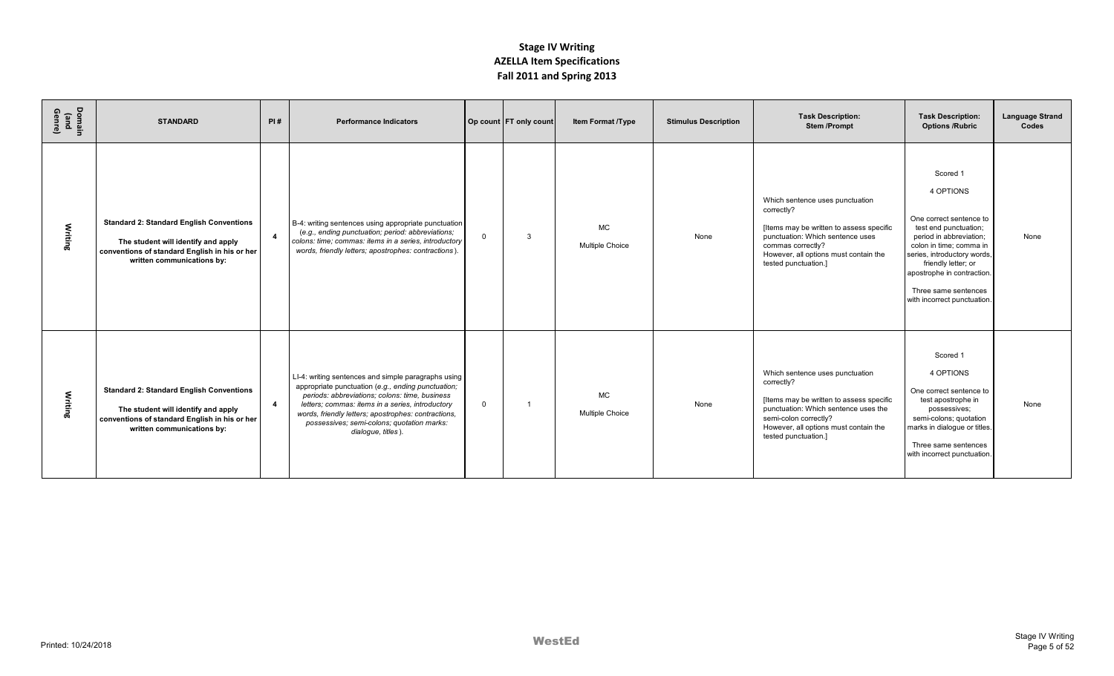| Domain<br>(and<br>Genre) | <b>STANDARD</b>                                                                                                                                                       | PI#                     | <b>Performance Indicators</b>                                                                                                                                                                                                                                                                                                              |                | Op count FT only count | Item Format /Type                   | <b>Stimulus Description</b> | <b>Task Description:</b><br><b>Stem/Prompt</b>                                                                                                                                                                              | <b>Task Description:</b><br><b>Options /Rubric</b>                                                                                                                                                                                                                         | <b>Language Strand</b><br>Codes |
|--------------------------|-----------------------------------------------------------------------------------------------------------------------------------------------------------------------|-------------------------|--------------------------------------------------------------------------------------------------------------------------------------------------------------------------------------------------------------------------------------------------------------------------------------------------------------------------------------------|----------------|------------------------|-------------------------------------|-----------------------------|-----------------------------------------------------------------------------------------------------------------------------------------------------------------------------------------------------------------------------|----------------------------------------------------------------------------------------------------------------------------------------------------------------------------------------------------------------------------------------------------------------------------|---------------------------------|
| Writing                  | <b>Standard 2: Standard English Conventions</b><br>The student will identify and apply<br>conventions of standard English in his or her<br>written communications by: | $\overline{\mathbf{4}}$ | B-4: writing sentences using appropriate punctuation<br>(e.g., ending punctuation; period: abbreviations;<br>colons: time; commas: items in a series, introductory<br>words, friendly letters; apostrophes: contractions).                                                                                                                 | $\overline{0}$ | $\mathbf{3}$           | <b>MC</b><br>Multiple Choice        | None                        | Which sentence uses punctuation<br>correctly?<br>[Items may be written to assess specific<br>punctuation: Which sentence uses<br>commas correctly?<br>However, all options must contain the<br>tested punctuation.]         | Scored 1<br>4 OPTIONS<br>One correct sentence to<br>test end punctuation;<br>period in abbreviation;<br>colon in time; comma in<br>series, introductory words,<br>friendly letter; or<br>apostrophe in contraction.<br>Three same sentences<br>with incorrect punctuation. | None                            |
| Writing                  | <b>Standard 2: Standard English Conventions</b><br>The student will identify and apply<br>conventions of standard English in his or her<br>written communications by: | $\overline{4}$          | LI-4: writing sentences and simple paragraphs using<br>appropriate punctuation (e.g., ending punctuation;<br>periods: abbreviations; colons: time, business<br>letters; commas: items in a series, introductory<br>words, friendly letters; apostrophes: contractions,<br>possessives; semi-colons; quotation marks:<br>dialogue, titles). | $\Omega$       |                        | <b>MC</b><br><b>Multiple Choice</b> | None                        | Which sentence uses punctuation<br>correctly?<br>[Items may be written to assess specific<br>punctuation: Which sentence uses the<br>semi-colon correctly?<br>However, all options must contain the<br>tested punctuation.] | Scored 1<br>4 OPTIONS<br>One correct sentence to<br>test apostrophe in<br>possessives;<br>semi-colons; quotation<br>marks in dialogue or titles.<br>Three same sentences<br>with incorrect punctuation.                                                                    | None                            |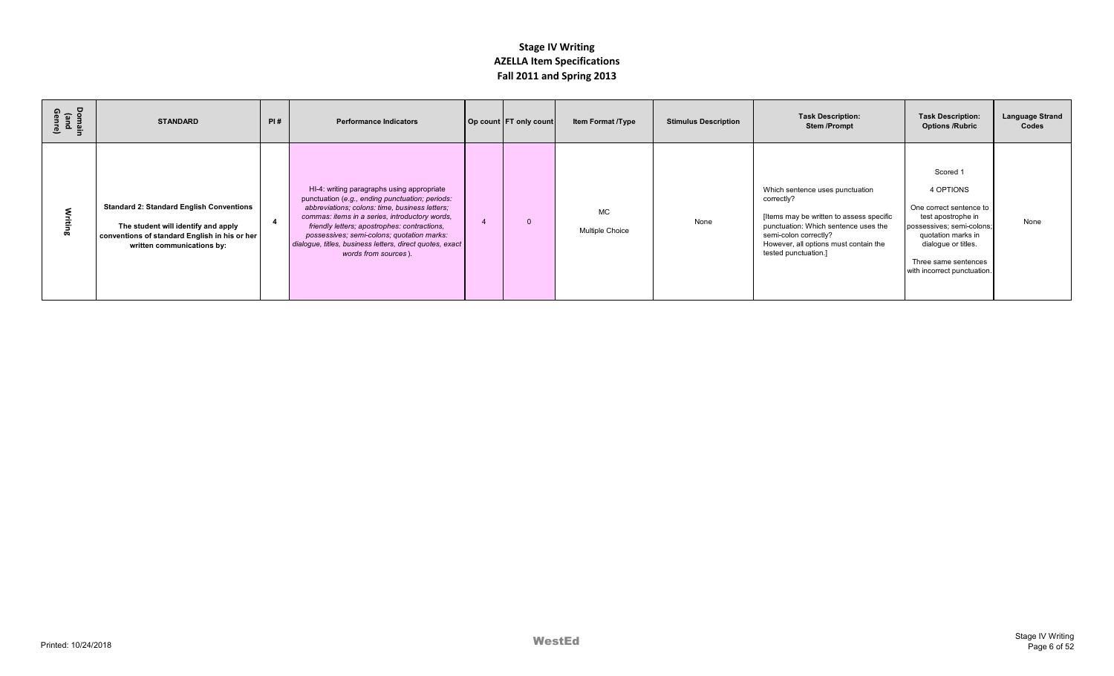| Domain<br>(and<br>Genre) | <b>STANDARD</b>                                                                                                                                                       | PI# | <b>Performance Indicators</b>                                                                                                                                                                                                                                                                                                                                                       | Op count FT only count | <b>Item Format /Type</b>            | <b>Stimulus Description</b> | <b>Task Description:</b><br><b>Stem/Prompt</b>                                                                                                                                                                              | <b>Task Description:</b><br><b>Options /Rubric</b>                                                                                                                                                      | <b>Language Strand</b><br>Codes |
|--------------------------|-----------------------------------------------------------------------------------------------------------------------------------------------------------------------|-----|-------------------------------------------------------------------------------------------------------------------------------------------------------------------------------------------------------------------------------------------------------------------------------------------------------------------------------------------------------------------------------------|------------------------|-------------------------------------|-----------------------------|-----------------------------------------------------------------------------------------------------------------------------------------------------------------------------------------------------------------------------|---------------------------------------------------------------------------------------------------------------------------------------------------------------------------------------------------------|---------------------------------|
|                          | <b>Standard 2: Standard English Conventions</b><br>The student will identify and apply<br>conventions of standard English in his or her<br>written communications by: |     | HI-4: writing paragraphs using appropriate<br>punctuation (e.g., ending punctuation; periods:<br>abbreviations; colons: time, business letters;<br>commas: items in a series, introductory words,<br>friendly letters; apostrophes: contractions,<br>possessives; semi-colons; quotation marks:<br>dialogue, titles, business letters, direct quotes, exact<br>words from sources). | $\Omega$               | <b>MC</b><br><b>Multiple Choice</b> | None                        | Which sentence uses punctuation<br>correctly?<br>[Items may be written to assess specific<br>punctuation: Which sentence uses the<br>semi-colon correctly?<br>However, all options must contain the<br>tested punctuation.] | Scored 1<br>4 OPTIONS<br>One correct sentence to<br>test apostrophe in<br>possessives; semi-colons;<br>quotation marks in<br>dialogue or titles.<br>Three same sentences<br>with incorrect punctuation. | None                            |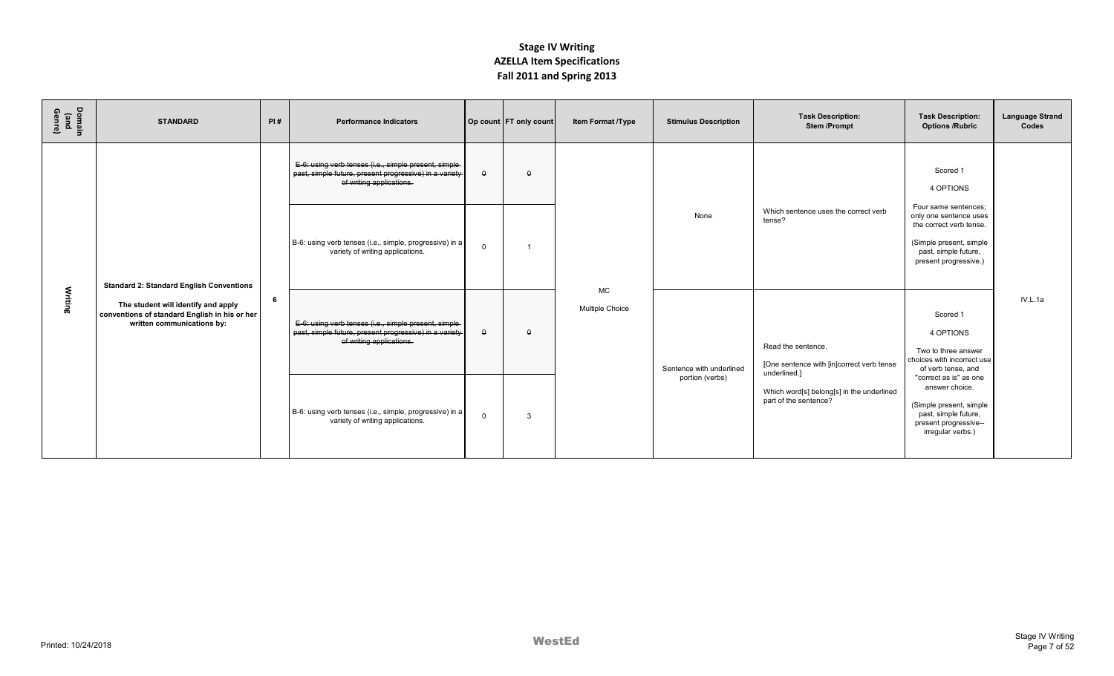| Domain<br>(and<br>Genre) | <b>STANDARD</b>                                                                                                    | PI# | <b>Performance Indicators</b>                                                                                                                |          | Op count FT only count | Item Format /Type            | <b>Stimulus Description</b> | <b>Task Description:</b><br><b>Stem/Prompt</b>                                  | <b>Task Description:</b><br><b>Options /Rubric</b>                                                                                                    | <b>Language Strand</b><br>Codes |
|--------------------------|--------------------------------------------------------------------------------------------------------------------|-----|----------------------------------------------------------------------------------------------------------------------------------------------|----------|------------------------|------------------------------|-----------------------------|---------------------------------------------------------------------------------|-------------------------------------------------------------------------------------------------------------------------------------------------------|---------------------------------|
|                          |                                                                                                                    |     | E-6: using verb tenses (i.e., simple present, simple-<br>past, simple future, present progressive) in a variety-<br>of writing applications. | $\Omega$ | $\Omega$               |                              |                             |                                                                                 | Scored 1<br>4 OPTIONS                                                                                                                                 |                                 |
|                          | <b>Standard 2: Standard English Conventions</b>                                                                    |     | B-6: using verb tenses (i.e., simple, progressive) in a<br>variety of writing applications.                                                  | $\Omega$ |                        |                              | None                        | Which sentence uses the correct verb<br>tense?                                  | Four same sentences:<br>only one sentence uses<br>the correct verb tense.<br>(Simple present, simple<br>past, simple future,<br>present progressive.) |                                 |
| Writing                  | The student will identify and apply<br>conventions of standard English in his or her<br>written communications by: | 6   | E-6: using verb tenses (i.e., simple present, simple-<br>past, simple future, present progressive) in a variety-<br>of writing applications. | $\theta$ | $\theta$               | <b>MC</b><br>Multiple Choice | Sentence with underlined    | Read the sentence.<br>[One sentence with [in]correct verb tense<br>underlined.] | Scored 1<br>4 OPTIONS<br>Two to three answer<br>choices with incorrect use<br>of verb tense, and                                                      | IV.L.1a                         |
|                          |                                                                                                                    |     | B-6: using verb tenses (i.e., simple, progressive) in a<br>variety of writing applications.                                                  | $\Omega$ | $\mathbf{3}$           |                              | portion (verbs)             | Which word[s] belong[s] in the underlined<br>part of the sentence?              | "correct as is" as one<br>answer choice.<br>(Simple present, simple<br>past, simple future,<br>present progressive--<br>irregular verbs.)             |                                 |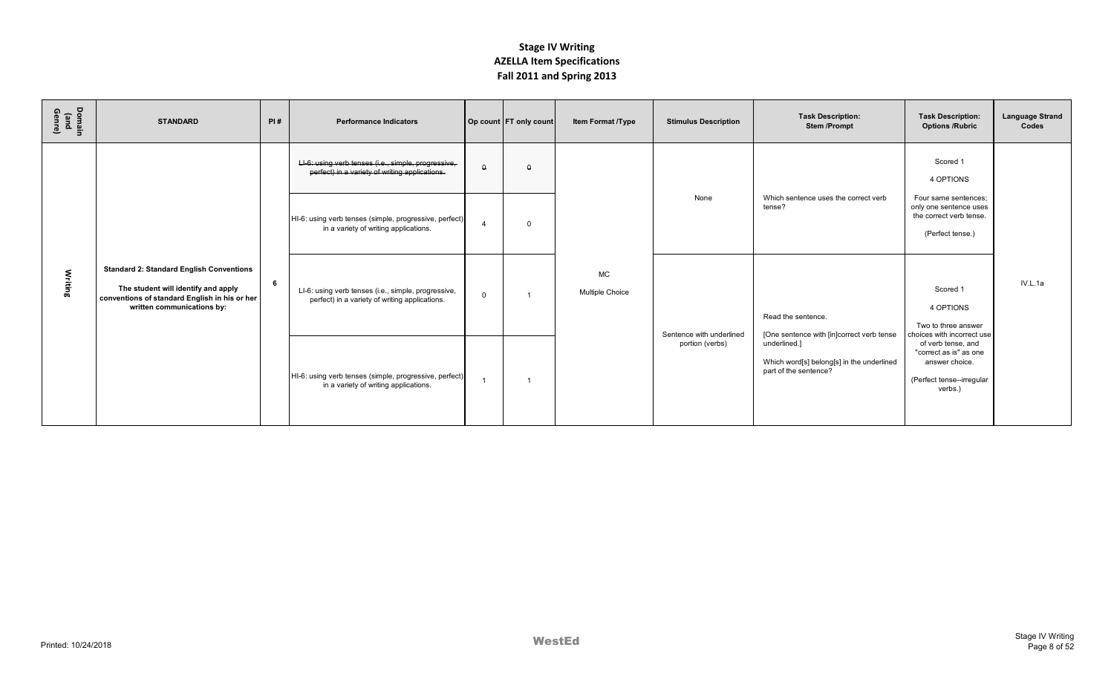| Domain<br>(and<br>Genre) | <b>STANDARD</b>                                                                                                                                                       | PI# | <b>Performance Indicators</b>                                                                         |          | Op count FT only count | Item Format /Type            | <b>Stimulus Description</b> | <b>Task Description:</b><br><b>Stem/Prompt</b>                                     | <b>Task Description:</b><br><b>Options /Rubric</b>                                                     | <b>Language Strand</b><br>Codes |
|--------------------------|-----------------------------------------------------------------------------------------------------------------------------------------------------------------------|-----|-------------------------------------------------------------------------------------------------------|----------|------------------------|------------------------------|-----------------------------|------------------------------------------------------------------------------------|--------------------------------------------------------------------------------------------------------|---------------------------------|
|                          |                                                                                                                                                                       |     | LI-6: using verb tenses (i.e., simple, progressive,<br>perfect) in a variety of writing applications. | $\theta$ | $\theta$               |                              |                             |                                                                                    | Scored 1<br>4 OPTIONS                                                                                  |                                 |
|                          |                                                                                                                                                                       |     | HI-6: using verb tenses (simple, progressive, perfect)<br>in a variety of writing applications.       |          | $\Omega$               |                              | None                        | Which sentence uses the correct verb<br>tense?                                     | Four same sentences:<br>only one sentence uses<br>the correct verb tense.<br>(Perfect tense.)          |                                 |
| Writing                  | <b>Standard 2: Standard English Conventions</b><br>The student will identify and apply<br>conventions of standard English in his or her<br>written communications by: | 6   | LI-6: using verb tenses (i.e., simple, progressive,<br>perfect) in a variety of writing applications. | $\Omega$ |                        | <b>MC</b><br>Multiple Choice | Sentence with underlined    | Read the sentence.<br>[One sentence with [in]correct verb tense                    | Scored 1<br>4 OPTIONS<br>Two to three answer<br>choices with incorrect use                             | IV.L.1a                         |
|                          |                                                                                                                                                                       |     | HI-6: using verb tenses (simple, progressive, perfect)<br>in a variety of writing applications.       |          |                        |                              | portion (verbs)             | underlined.]<br>Which word[s] belong[s] in the underlined<br>part of the sentence? | of verb tense, and<br>"correct as is" as one<br>answer choice.<br>(Perfect tense--irregular<br>verbs.) |                                 |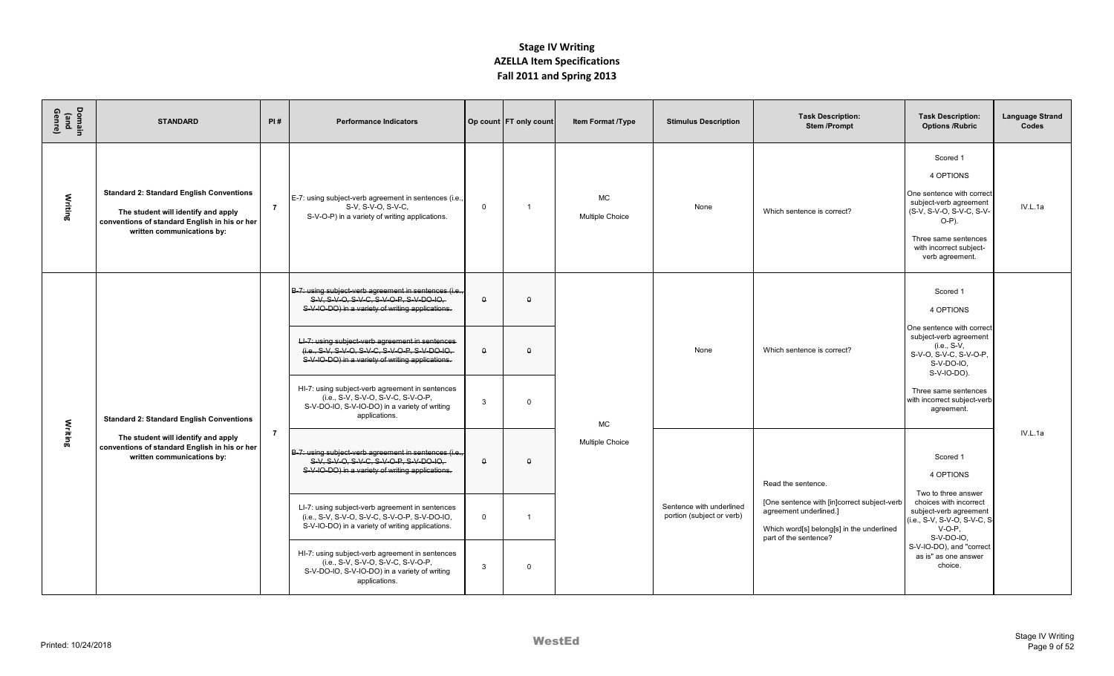| Domain<br>(and<br>Genre) | <b>STANDARD</b>                                                                                                                                                       | PI#            | <b>Performance Indicators</b>                                                                                                                           |              | Op count FT only count | <b>Item Format /Type</b>     | <b>Stimulus Description</b>                           | <b>Task Description:</b><br><b>Stem/Prompt</b>                                                                                              | <b>Task Description:</b><br><b>Options /Rubric</b>                                                                                                                                         | <b>Language Strand</b><br>Codes |
|--------------------------|-----------------------------------------------------------------------------------------------------------------------------------------------------------------------|----------------|---------------------------------------------------------------------------------------------------------------------------------------------------------|--------------|------------------------|------------------------------|-------------------------------------------------------|---------------------------------------------------------------------------------------------------------------------------------------------|--------------------------------------------------------------------------------------------------------------------------------------------------------------------------------------------|---------------------------------|
| Writing                  | <b>Standard 2: Standard English Conventions</b><br>The student will identify and apply<br>conventions of standard English in his or her<br>written communications by: | $\overline{7}$ | E-7: using subject-verb agreement in sentences (i.e.,<br>S-V, S-V-O, S-V-C,<br>S-V-O-P) in a variety of writing applications.                           | $\Omega$     | $\overline{1}$         | <b>MC</b><br>Multiple Choice | None                                                  | Which sentence is correct?                                                                                                                  | Scored 1<br>4 OPTIONS<br>One sentence with correct<br>subject-verb agreement<br>(S-V, S-V-O, S-V-C, S-V-<br>$O-P$ ).<br>Three same sentences<br>with incorrect subject-<br>verb agreement. | IV.L.1a                         |
|                          |                                                                                                                                                                       |                | B-7: using subject-verb agreement in sentences (i.e.,<br>$S-V, S-VO, S-VG, SVDP, SVDO-IO$<br>S-V-IO-DO) in a variety of writing applications.           | $\Omega$     | $\Omega$               |                              |                                                       |                                                                                                                                             | Scored 1<br>4 OPTIONS                                                                                                                                                                      |                                 |
|                          |                                                                                                                                                                       |                | LI-7: using subject-verb agreement in sentences<br>(i.e., S-V, S-V-O, S-V-C, S-V-O-P, S-V-DO-IO,<br>S-V-IO-DO) in a variety of writing applications.    | $\Omega$     | $\Omega$               |                              | None                                                  | Which sentence is correct?                                                                                                                  | One sentence with correct<br>subject-verb agreement<br>(i.e., S-V,<br>S-V-O, S-V-C, S-V-O-P,<br>$S-V-DO-IO.$<br>S-V-IO-DO).                                                                |                                 |
|                          | <b>Standard 2: Standard English Conventions</b>                                                                                                                       |                | HI-7: using subject-verb agreement in sentences<br>(i.e., S-V, S-V-O, S-V-C, S-V-O-P,<br>S-V-DO-IO, S-V-IO-DO) in a variety of writing<br>applications. | $\mathbf{3}$ | $\mathbf 0$            | <b>MC</b>                    |                                                       |                                                                                                                                             | Three same sentences<br>with incorrect subject-verb<br>agreement.                                                                                                                          |                                 |
| Writing                  | The student will identify and apply<br>conventions of standard English in his or her<br>written communications by:                                                    | $\overline{7}$ | B-7: using subject-verb agreement in sentences (i.e.,<br>$S-V, S-VO, S-VG, SVDP, SVDO-IO$<br>S-V-IO-DO) in a variety of writing applications.           | $\theta$     | $\theta$               | Multiple Choice              |                                                       | Read the sentence.                                                                                                                          | Scored 1<br>4 OPTIONS<br>Two to three answer                                                                                                                                               | IV.L.1a                         |
|                          |                                                                                                                                                                       |                | LI-7: using subject-verb agreement in sentences<br>(i.e., S-V, S-V-O, S-V-C, S-V-O-P, S-V-DO-IO,<br>S-V-IO-DO) in a variety of writing applications.    | $\mathbf 0$  | - 1                    |                              | Sentence with underlined<br>portion (subject or verb) | [One sentence with [in]correct subject-verb<br>agreement underlined.]<br>Which word[s] belong[s] in the underlined<br>part of the sentence? | choices with incorrect<br>subject-verb agreement<br>(i.e., S-V, S-V-O, S-V-C, S-<br>$V-O-P.$<br>S-V-DO-IO,                                                                                 |                                 |
|                          |                                                                                                                                                                       |                | HI-7: using subject-verb agreement in sentences<br>(i.e., S-V, S-V-O, S-V-C, S-V-O-P,<br>S-V-DO-IO, S-V-IO-DO) in a variety of writing<br>applications. | $\mathbf{3}$ | $\mathbf 0$            |                              |                                                       |                                                                                                                                             | S-V-IO-DO), and "correct<br>as is" as one answer<br>choice.                                                                                                                                |                                 |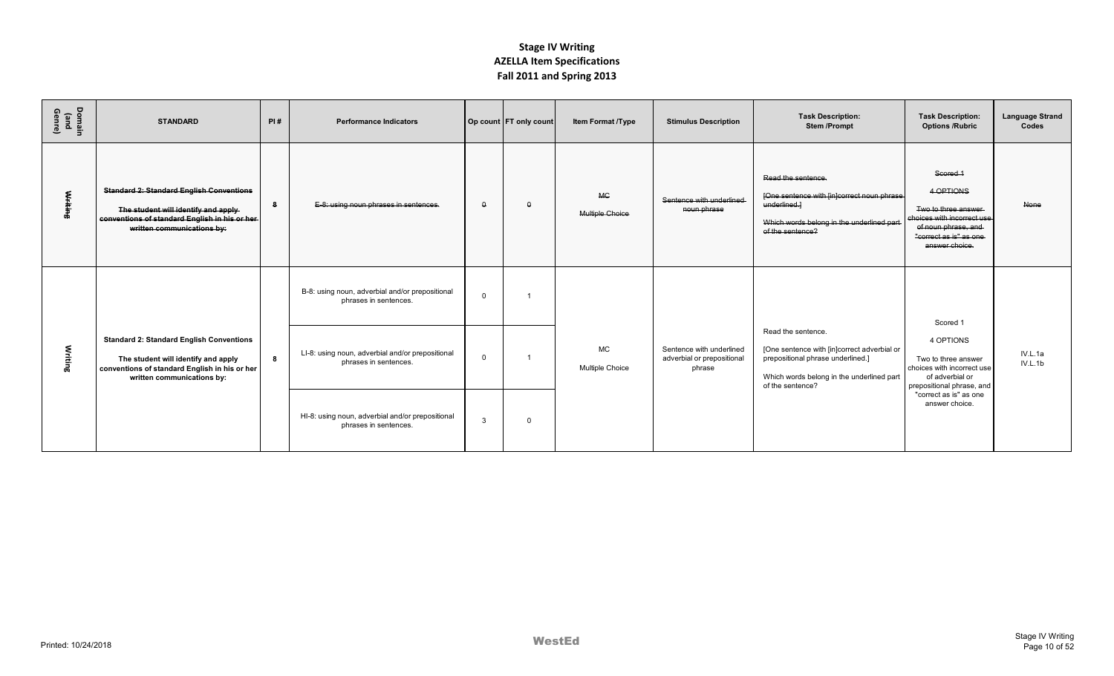| Domain<br>(and<br>Genre) | <b>STANDARD</b>                                                                                                                                                        | PI# | <b>Performance Indicators</b>                                             |              | Op count FT only count | <b>Item Format /Type</b>     | <b>Stimulus Description</b>                                      | <b>Task Description:</b><br><b>Stem/Prompt</b>                                                                                                                          | <b>Task Description:</b><br><b>Options /Rubric</b>                                                                                             | <b>Language Strand</b><br>Codes |
|--------------------------|------------------------------------------------------------------------------------------------------------------------------------------------------------------------|-----|---------------------------------------------------------------------------|--------------|------------------------|------------------------------|------------------------------------------------------------------|-------------------------------------------------------------------------------------------------------------------------------------------------------------------------|------------------------------------------------------------------------------------------------------------------------------------------------|---------------------------------|
| <b>Writing</b>           | <b>Standard 2: Standard English Conventions</b><br>The student will identify and apply-<br>conventions of standard English in his or her<br>written communications by: | -8  | E-8: using noun phrases in sentences.                                     | $\theta$     | $\theta$               | <b>MC</b><br>Multiple Choice | Sentence with underlined<br>noun phrase                          | Read the sentence.<br>[One sentence with [in]correct noun phrase<br>underlined.<br>Which words belong in the underlined part<br>of the sentence?                        | Scored 1<br>4 OPTIONS<br>Two to three answer<br>choices with incorrect use<br>of noun phrase, and<br>"correct as is" as one-<br>answer choice. | <b>None</b>                     |
|                          |                                                                                                                                                                        |     | B-8: using noun, adverbial and/or prepositional<br>phrases in sentences.  | $\Omega$     |                        |                              |                                                                  |                                                                                                                                                                         | Scored 1                                                                                                                                       |                                 |
| Writing                  | <b>Standard 2: Standard English Conventions</b><br>The student will identify and apply<br>conventions of standard English in his or her<br>written communications by:  | 8   | LI-8: using noun, adverbial and/or prepositional<br>phrases in sentences. | $\Omega$     |                        | <b>MC</b><br>Multiple Choice | Sentence with underlined<br>adverbial or prepositional<br>phrase | Read the sentence.<br>[One sentence with [in]correct adverbial or<br>prepositional phrase underlined.]<br>Which words belong in the underlined part<br>of the sentence? | 4 OPTIONS<br>Two to three answer<br>choices with incorrect use<br>of adverbial or<br>prepositional phrase, and                                 | IV.L.1a<br>IV.L.1b              |
|                          |                                                                                                                                                                        |     | HI-8: using noun, adverbial and/or prepositional<br>phrases in sentences. | $\mathbf{3}$ | $\Omega$               |                              |                                                                  |                                                                                                                                                                         | "correct as is" as one<br>answer choice.                                                                                                       |                                 |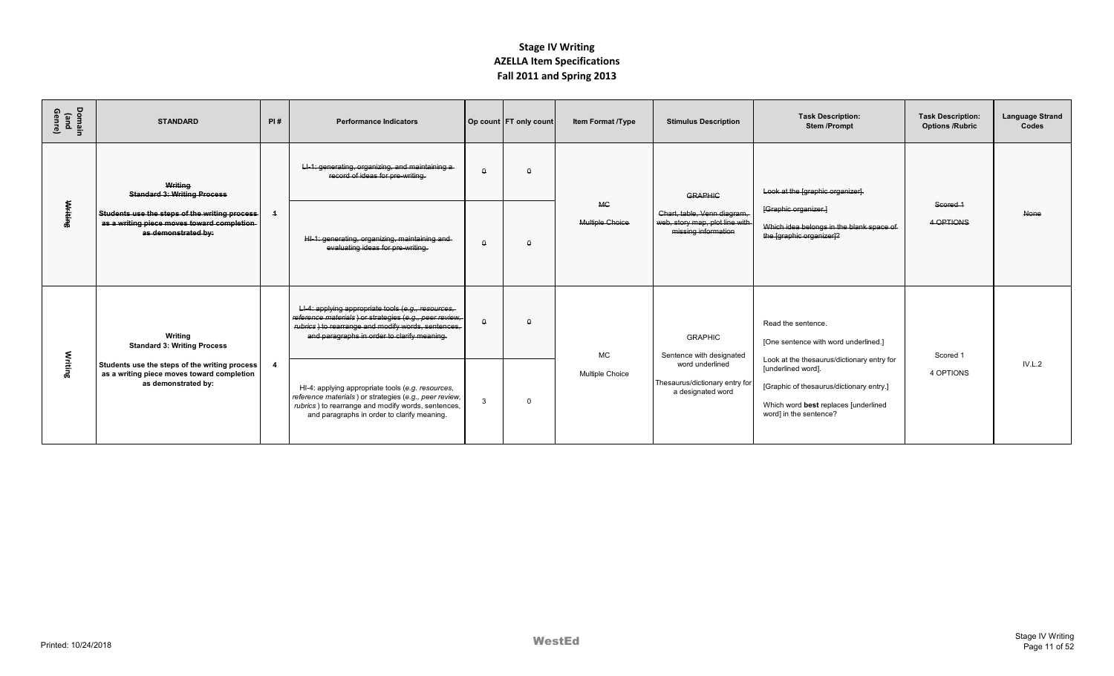| Domain<br>(and<br>Genre) | <b>STANDARD</b>                                                                                                      | PI# | <b>Performance Indicators</b>                                                                                                                                                                                      |              | Op count FT only count | Item Format /Type                   | <b>Stimulus Description</b>                                                           | <b>Task Description:</b><br><b>Stem/Prompt</b>                                                                                   | <b>Task Description:</b><br><b>Options /Rubric</b> | <b>Language Strand</b><br>Codes |
|--------------------------|----------------------------------------------------------------------------------------------------------------------|-----|--------------------------------------------------------------------------------------------------------------------------------------------------------------------------------------------------------------------|--------------|------------------------|-------------------------------------|---------------------------------------------------------------------------------------|----------------------------------------------------------------------------------------------------------------------------------|----------------------------------------------------|---------------------------------|
|                          | Writing<br><b>Standard 3: Writing Process</b>                                                                        |     | LI-1: generating, organizing, and maintaining a-<br>record of ideas for pre-writing.                                                                                                                               | $\theta$     | $\theta$               |                                     | <b>GRAPHIC</b>                                                                        | Look at the [graphic organizer].                                                                                                 |                                                    |                                 |
| Writing                  | Students use the steps of the writing process-<br>as a writing piece moves toward completion-<br>as demonstrated by: |     | HI-1: generating, organizing, maintaining and-<br>evaluating ideas for pre-writing.                                                                                                                                | $\Omega$     | $\theta$               | <b>MG</b><br><b>Multiple Choice</b> | Chart, table, Venn diagram.<br>web, story map, plot line with-<br>missing information | [Graphic organizer.]<br>Which idea belongs in the blank space of<br>the [graphic organizer]?                                     | Scored 1<br>4 OPTIONS                              | None                            |
|                          | Writing<br><b>Standard 3: Writing Process</b>                                                                        |     | LI-4: applying appropriate tools (e.g., resources,<br>reference materials ) or strategies (e.g., peer review,<br>rubrics) to rearrange and modify words, sentences,<br>and paragraphs in order to clarify meaning. | $\Omega$     | $\Omega$               | <b>MC</b>                           | <b>GRAPHIC</b><br>Sentence with designated                                            | Read the sentence.<br>[One sentence with word underlined.]<br>Look at the thesaurus/dictionary entry for                         | Scored 1                                           |                                 |
| Writing                  | Students use the steps of the writing process<br>as a writing piece moves toward completion<br>as demonstrated by:   | 4   | HI-4: applying appropriate tools (e.g. resources,<br>reference materials) or strategies (e.g., peer review,<br>rubrics) to rearrange and modify words, sentences,<br>and paragraphs in order to clarify meaning.   | $\mathbf{3}$ | $\Omega$               | Multiple Choice                     | word underlined<br>Thesaurus/dictionary entry for<br>a designated word                | [underlined word].<br>[Graphic of thesaurus/dictionary entry.]<br>Which word best replaces [underlined<br>word] in the sentence? | 4 OPTIONS                                          | IV.L.2                          |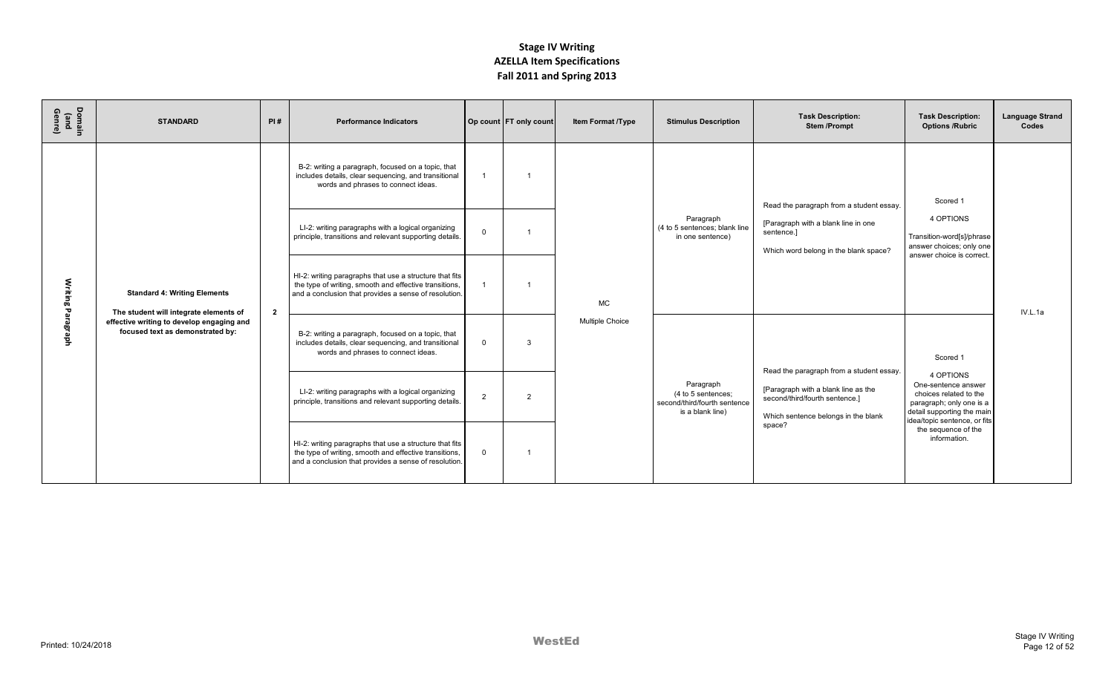| Domain<br>(and<br>Genre) | <b>STANDARD</b>                                                               | PI#            | <b>Performance Indicators</b>                                                                                                                                              |                | Op count FT only count | Item Format /Type      | <b>Stimulus Description</b>                                                         | <b>Task Description:</b><br><b>Stem/Prompt</b>                                                               | <b>Task Description:</b><br><b>Options /Rubric</b>                                                                                                   | <b>Language Strand</b><br>Codes |
|--------------------------|-------------------------------------------------------------------------------|----------------|----------------------------------------------------------------------------------------------------------------------------------------------------------------------------|----------------|------------------------|------------------------|-------------------------------------------------------------------------------------|--------------------------------------------------------------------------------------------------------------|------------------------------------------------------------------------------------------------------------------------------------------------------|---------------------------------|
|                          |                                                                               |                | B-2: writing a paragraph, focused on a topic, that<br>includes details, clear sequencing, and transitional<br>words and phrases to connect ideas.                          |                |                        |                        |                                                                                     | Read the paragraph from a student essay.                                                                     | Scored 1                                                                                                                                             |                                 |
|                          |                                                                               |                | LI-2: writing paragraphs with a logical organizing<br>principle, transitions and relevant supporting details.                                                              | $\Omega$       |                        |                        | Paragraph<br>(4 to 5 sentences: blank line<br>in one sentence)                      | [Paragraph with a blank line in one<br>sentence.]<br>Which word belong in the blank space?                   | 4 OPTIONS<br>Transition-word[s]/phrase<br>answer choices; only one<br>answer choice is correct.                                                      |                                 |
| Writing                  | <b>Standard 4: Writing Elements</b><br>The student will integrate elements of | $\overline{2}$ | HI-2: writing paragraphs that use a structure that fits<br>the type of writing, smooth and effective transitions,<br>and a conclusion that provides a sense of resolution. |                |                        | <b>MC</b>              |                                                                                     |                                                                                                              |                                                                                                                                                      | IV.L.1a                         |
| Paragra<br>횽             | effective writing to develop engaging and<br>focused text as demonstrated by: |                | B-2: writing a paragraph, focused on a topic, that<br>includes details, clear sequencing, and transitional<br>words and phrases to connect ideas.                          | $\mathbf 0$    | $\mathbf{3}$           | <b>Multiple Choice</b> |                                                                                     | Read the paragraph from a student essay.                                                                     | Scored 1                                                                                                                                             |                                 |
|                          |                                                                               |                | LI-2: writing paragraphs with a logical organizing<br>principle, transitions and relevant supporting details.                                                              | $\overline{2}$ | 2                      |                        | Paragraph<br>(4 to 5 sentences;<br>second/third/fourth sentence<br>is a blank line) | [Paragraph with a blank line as the<br>second/third/fourth sentence.]<br>Which sentence belongs in the blank | 4 OPTIONS<br>One-sentence answer<br>choices related to the<br>paragraph; only one is a<br>detail supporting the main<br>idea/topic sentence, or fits |                                 |
|                          |                                                                               |                | HI-2: writing paragraphs that use a structure that fits<br>the type of writing, smooth and effective transitions,<br>and a conclusion that provides a sense of resolution. | $\Omega$       |                        |                        |                                                                                     | space?                                                                                                       | the sequence of the<br>information.                                                                                                                  |                                 |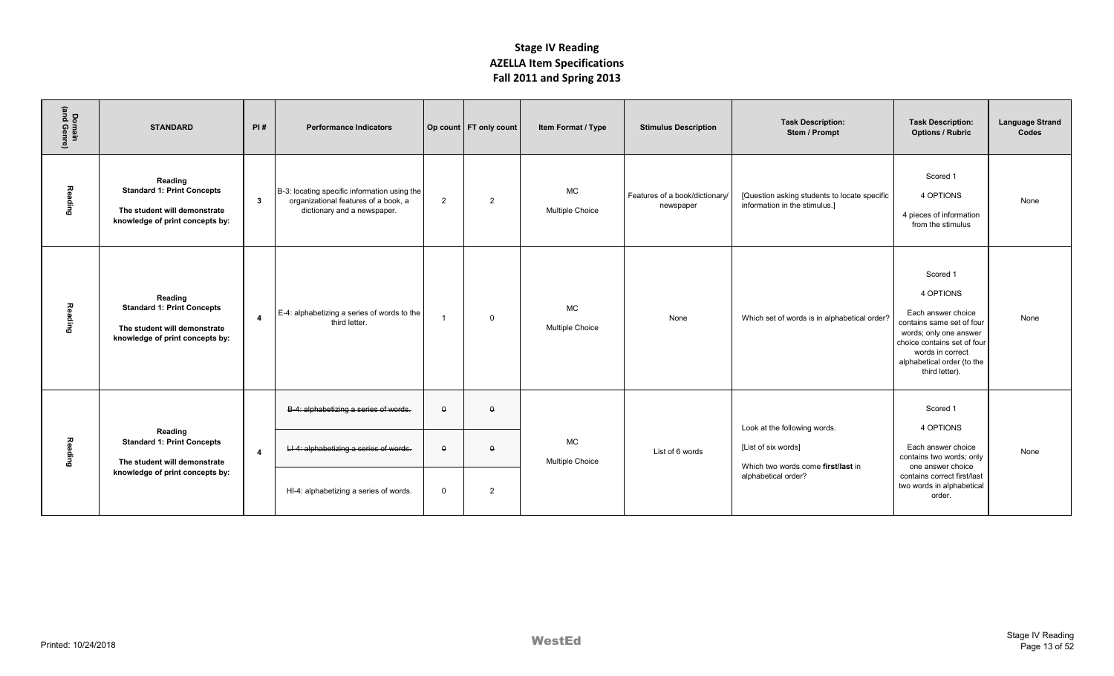| Domain<br>(and Genre) | <b>STANDARD</b>                                                                                                 | PI#                     | <b>Performance Indicators</b>                                                                                             |                                     | Op count   FT only count               | Item Format / Type                  | <b>Stimulus Description</b>                 | <b>Task Description:</b><br>Stem / Prompt                                                                        | <b>Task Description:</b><br><b>Options / Rubric</b>                                                                                                                                                   | <b>Language Strand</b><br>Codes |
|-----------------------|-----------------------------------------------------------------------------------------------------------------|-------------------------|---------------------------------------------------------------------------------------------------------------------------|-------------------------------------|----------------------------------------|-------------------------------------|---------------------------------------------|------------------------------------------------------------------------------------------------------------------|-------------------------------------------------------------------------------------------------------------------------------------------------------------------------------------------------------|---------------------------------|
| Reading               | Reading<br><b>Standard 1: Print Concepts</b><br>The student will demonstrate<br>knowledge of print concepts by: | $\overline{\mathbf{3}}$ | B-3: locating specific information using the<br>organizational features of a book, a<br>dictionary and a newspaper.       | 2                                   | $\overline{2}$                         | <b>MC</b><br>Multiple Choice        | Features of a book/dictionary/<br>newspaper | [Question asking students to locate specific<br>information in the stimulus.]                                    | Scored 1<br>4 OPTIONS<br>4 pieces of information<br>from the stimulus                                                                                                                                 | None                            |
| Reading               | Reading<br><b>Standard 1: Print Concepts</b><br>The student will demonstrate<br>knowledge of print concepts by: | $\overline{4}$          | E-4: alphabetizing a series of words to the<br>third letter.                                                              | $\overline{1}$                      | $\Omega$                               | <b>MC</b><br><b>Multiple Choice</b> | None                                        | Which set of words is in alphabetical order?                                                                     | Scored 1<br>4 OPTIONS<br>Each answer choice<br>contains same set of four<br>words; only one answer<br>choice contains set of four<br>words in correct<br>alphabetical order (to the<br>third letter). | None                            |
| Reading               | Reading<br><b>Standard 1: Print Concepts</b><br>The student will demonstrate<br>knowledge of print concepts by: | $\overline{4}$          | B-4: alphabetizing a series of words.<br>LI-4: alphabetizing a series of words.<br>HI-4: alphabetizing a series of words. | $\theta$<br>$\theta$<br>$\mathbf 0$ | $\theta$<br>$\Omega$<br>$\overline{2}$ | <b>MC</b><br><b>Multiple Choice</b> | List of 6 words                             | Look at the following words.<br>[List of six words]<br>Which two words come first/last in<br>alphabetical order? | Scored 1<br>4 OPTIONS<br>Each answer choice<br>contains two words; only<br>one answer choice<br>contains correct first/last<br>two words in alphabetical<br>order.                                    | None                            |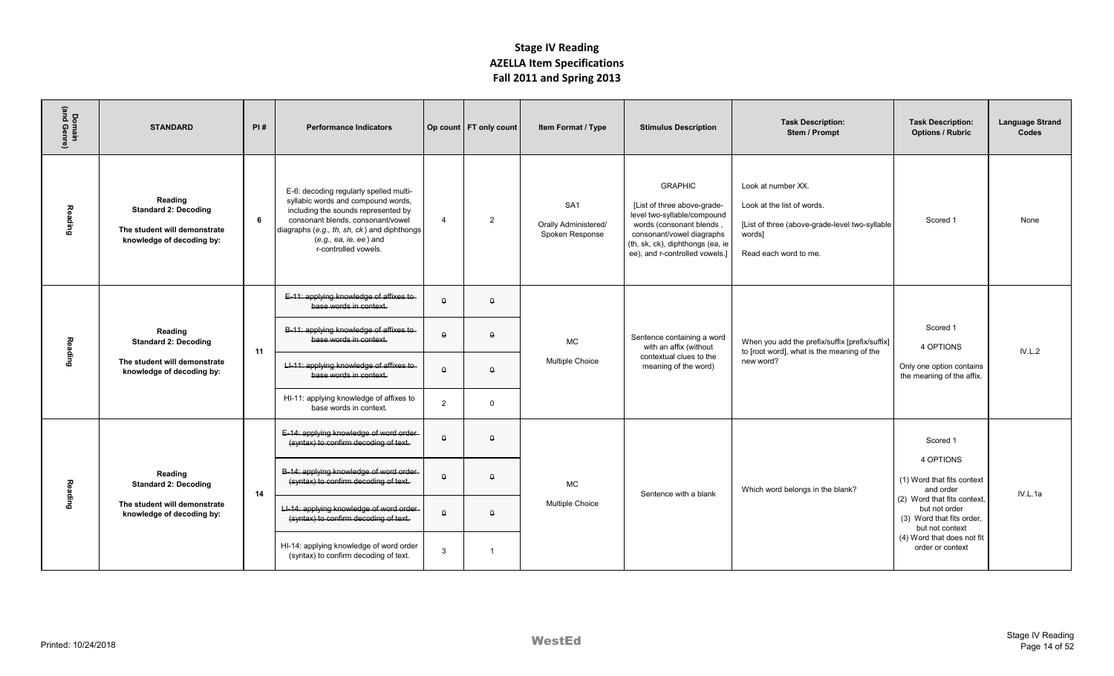| Domain<br>(and Genre) | <b>STANDARD</b>                                                                                     | PI#                                                             | <b>Performance Indicators</b>                                                                                                                                                                                                                               |                | Op count   FT only count | Item Format / Type                                         | <b>Stimulus Description</b>                                                                                                                                                                                 | <b>Task Description:</b><br>Stem / Prompt                                                                                             | <b>Task Description:</b><br><b>Options / Rubric</b>                                          | <b>Language Strand</b><br>Codes |
|-----------------------|-----------------------------------------------------------------------------------------------------|-----------------------------------------------------------------|-------------------------------------------------------------------------------------------------------------------------------------------------------------------------------------------------------------------------------------------------------------|----------------|--------------------------|------------------------------------------------------------|-------------------------------------------------------------------------------------------------------------------------------------------------------------------------------------------------------------|---------------------------------------------------------------------------------------------------------------------------------------|----------------------------------------------------------------------------------------------|---------------------------------|
| <b>Reading</b>        | Reading<br><b>Standard 2: Decoding</b><br>The student will demonstrate<br>knowledge of decoding by: | 6                                                               | E-6: decoding regularly spelled multi-<br>syllabic words and compound words,<br>including the sounds represented by<br>consonant blends, consonant/vowel<br>diagraphs (e.g., th, sh, ck) and diphthongs<br>$(e.g., ea, ie, ee)$ and<br>r-controlled vowels. | $\overline{4}$ | $\overline{2}$           | SA <sub>1</sub><br>Orally Administered/<br>Spoken Response | <b>GRAPHIC</b><br>[List of three above-grade-<br>level two-syllable/compound<br>words (consonant blends,<br>consonant/vowel diagraphs<br>(th, sk, ck), diphthongs (ea, ie<br>ee), and r-controlled vowels.] | Look at number XX.<br>Look at the list of words.<br>[List of three (above-grade-level two-syllable<br>words]<br>Read each word to me. | Scored 1                                                                                     | None                            |
|                       |                                                                                                     |                                                                 | E-11: applying knowledge of affixes to<br>base words in context.                                                                                                                                                                                            | $\theta$       | $\Omega$                 |                                                            |                                                                                                                                                                                                             |                                                                                                                                       |                                                                                              |                                 |
| Reading               | Reading<br><b>Standard 2: Decoding</b>                                                              | 11                                                              | B-11: applying knowledge of affixes to<br>base words in context.                                                                                                                                                                                            | $\Omega$       | $\Omega$                 | <b>MC</b>                                                  | Sentence containing a word<br>with an affix (without                                                                                                                                                        | When you add the prefix/suffix [prefix/suffix]<br>to [root word], what is the meaning of the                                          | Scored 1<br>4 OPTIONS                                                                        | IV.L.2                          |
|                       | The student will demonstrate<br>knowledge of decoding by:                                           |                                                                 | LI-11: applying knowledge of affixes to<br>base words in context.                                                                                                                                                                                           | $\theta$       | $\theta$                 | Multiple Choice                                            | contextual clues to the<br>meaning of the word)                                                                                                                                                             | new word?                                                                                                                             | Only one option contains<br>the meaning of the affix.                                        |                                 |
|                       |                                                                                                     |                                                                 | HI-11: applying knowledge of affixes to<br>base words in context.                                                                                                                                                                                           | 2              | $\Omega$                 |                                                            |                                                                                                                                                                                                             |                                                                                                                                       |                                                                                              |                                 |
|                       |                                                                                                     |                                                                 | E-14: applying knowledge of word order<br>(syntax) to confirm decoding of text.                                                                                                                                                                             | $\theta$       | $\Omega$                 |                                                            |                                                                                                                                                                                                             |                                                                                                                                       | Scored 1                                                                                     |                                 |
|                       | Reading<br><b>Standard 2: Decoding</b>                                                              | 14<br>The student will demonstrate<br>knowledge of decoding by: | B-14: applying knowledge of word order<br>(syntax) to confirm decoding of text.                                                                                                                                                                             | $\theta$       | $\theta$                 | <b>MC</b>                                                  | Sentence with a blank                                                                                                                                                                                       | Which word belongs in the blank?                                                                                                      | 4 OPTIONS<br>(1) Word that fits context<br>and order                                         | IV.L.1a                         |
| Reading               |                                                                                                     |                                                                 | LI-14: applying knowledge of word order<br>(syntax) to confirm decoding of text.                                                                                                                                                                            | $\theta$       | $\Omega$                 | Multiple Choice                                            |                                                                                                                                                                                                             |                                                                                                                                       | (2) Word that fits context.<br>but not order<br>(3) Word that fits order,<br>but not context |                                 |
|                       |                                                                                                     |                                                                 | HI-14: applying knowledge of word order<br>(syntax) to confirm decoding of text.                                                                                                                                                                            | 3              |                          |                                                            |                                                                                                                                                                                                             |                                                                                                                                       | (4) Word that does not fit<br>order or context                                               |                                 |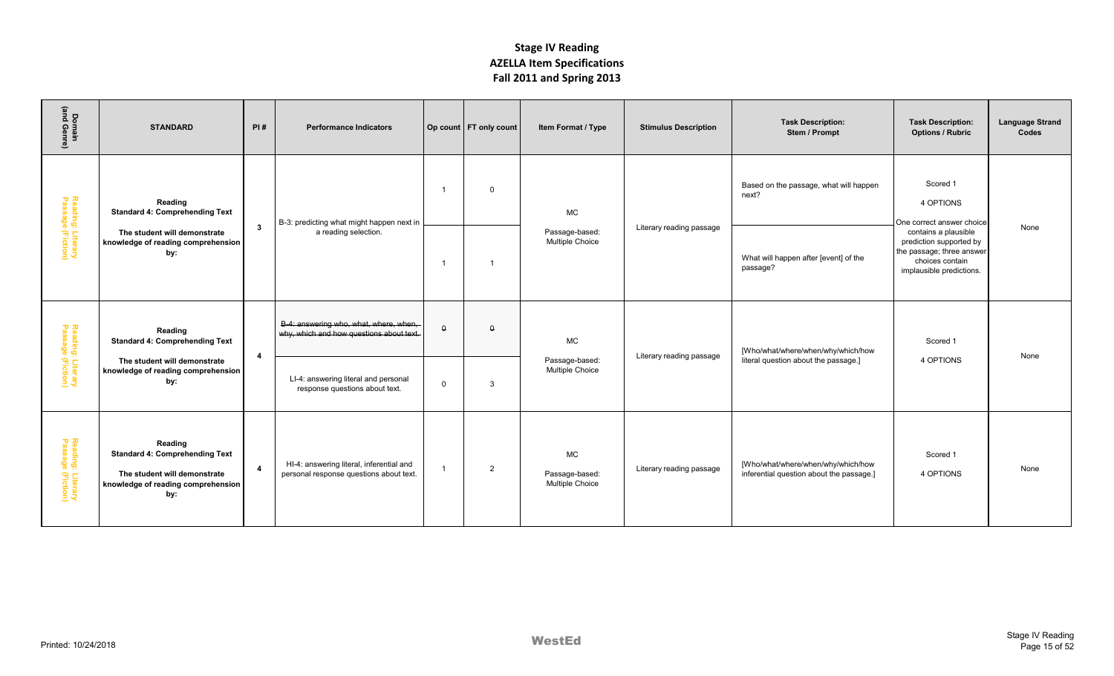| Domain<br>(and Genre)                  | <b>STANDARD</b>                                                                                                               | PI#                    | <b>Performance Indicators</b>                                                       |                | Op count   FT only count | Item Format / Type                             | <b>Stimulus Description</b> | <b>Task Description:</b><br>Stem / Prompt                                      | <b>Task Description:</b><br><b>Options / Rubric</b>                                                                         | <b>Language Strand</b><br>Codes |
|----------------------------------------|-------------------------------------------------------------------------------------------------------------------------------|------------------------|-------------------------------------------------------------------------------------|----------------|--------------------------|------------------------------------------------|-----------------------------|--------------------------------------------------------------------------------|-----------------------------------------------------------------------------------------------------------------------------|---------------------------------|
|                                        | Reading<br><b>Standard 4: Comprehending Text</b>                                                                              |                        | B-3: predicting what might happen next in                                           | $\overline{1}$ | $\overline{0}$           | <b>MC</b>                                      |                             | Based on the passage, what will happen<br>next?                                | Scored 1<br>4 OPTIONS<br>One correct answer choice                                                                          |                                 |
| Reading: Literary<br>Passage (Fiction) | The student will demonstrate<br>knowledge of reading comprehension<br>by:                                                     | $\mathbf{3}$           | a reading selection.                                                                | -1             |                          | Passage-based:<br>Multiple Choice              | Literary reading passage    | What will happen after [event] of the<br>passage?                              | contains a plausible<br>prediction supported by<br>the passage; three answer<br>choices contain<br>implausible predictions. | None                            |
| Reading: Literary<br>Passage (Fiction) | Reading<br><b>Standard 4: Comprehending Text</b>                                                                              | $\overline{4}$         | B-4: answering who, what, where, when,<br>why, which and how questions about text.  | $\theta$       | $\theta$                 | <b>MC</b>                                      | Literary reading passage    | [Who/what/where/when/why/which/how                                             | Scored 1                                                                                                                    | None                            |
|                                        | The student will demonstrate<br>knowledge of reading comprehension<br>by:                                                     |                        | LI-4: answering literal and personal<br>response questions about text.              | $\overline{0}$ | 3                        | Passage-based:<br>Multiple Choice              |                             | literal question about the passage.]                                           | 4 OPTIONS                                                                                                                   |                                 |
| Reading: Literary<br>Passage (Fiction) | Reading<br><b>Standard 4: Comprehending Text</b><br>The student will demonstrate<br>knowledge of reading comprehension<br>by: | $\boldsymbol{\Lambda}$ | HI-4: answering literal, inferential and<br>personal response questions about text. | 1              | $\overline{2}$           | <b>MC</b><br>Passage-based:<br>Multiple Choice | Literary reading passage    | [Who/what/where/when/why/which/how<br>inferential question about the passage.] | Scored 1<br>4 OPTIONS                                                                                                       | None                            |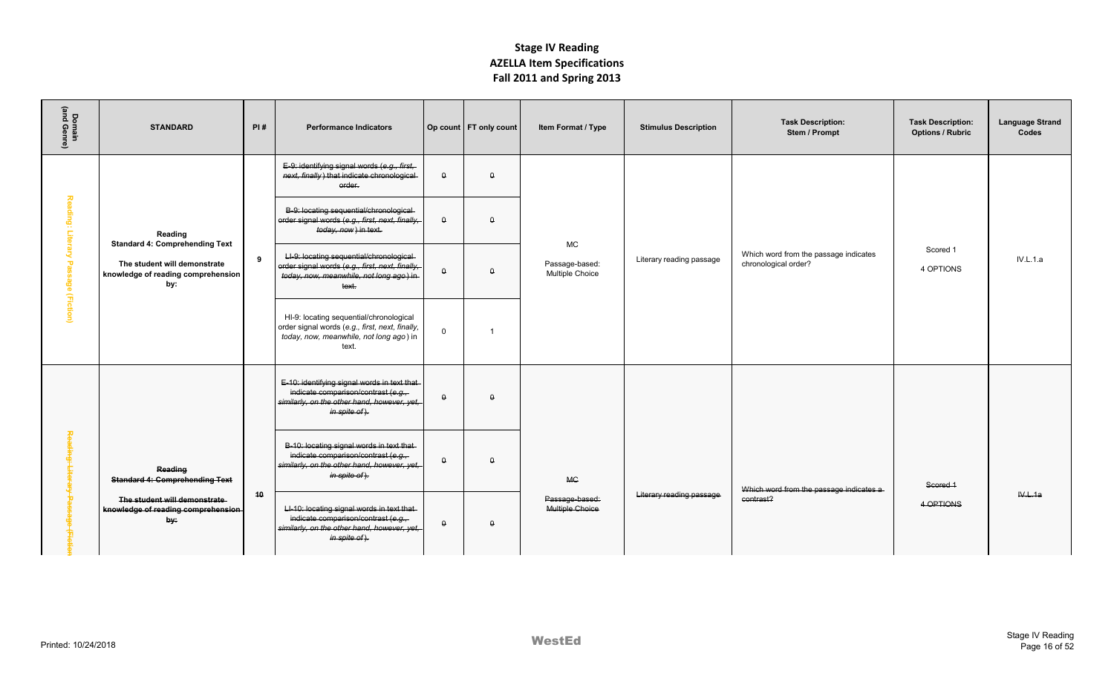| Domain<br>(and Genre) | <b>STANDARD</b>                                                           | PI# | <b>Performance Indicators</b>                                                                                                                       |                  | Op count   FT only count | Item Format / Type                | <b>Stimulus Description</b> | <b>Task Description:</b><br>Stem / Prompt                     | <b>Task Description:</b><br><b>Options / Rubric</b> | <b>Language Strand</b><br>Codes |
|-----------------------|---------------------------------------------------------------------------|-----|-----------------------------------------------------------------------------------------------------------------------------------------------------|------------------|--------------------------|-----------------------------------|-----------------------------|---------------------------------------------------------------|-----------------------------------------------------|---------------------------------|
|                       |                                                                           |     | E-9: identifying signal words (e.g., first,<br>next, finally) that indicate chronological<br>order.                                                 | $\mathsf \sigma$ | $\pmb{\mathsf{Q}}$       |                                   |                             |                                                               |                                                     |                                 |
| Reading: Literary     | Reading<br><b>Standard 4: Comprehending Text</b>                          |     | B-9: locating sequential/chronological-<br>order signal words (e.g., first, next, finally,<br>today, now) in text.                                  | $\theta$         | $\theta$                 | <b>MC</b>                         |                             |                                                               |                                                     |                                 |
| Passage (Fiction)     | The student will demonstrate<br>knowledge of reading comprehension<br>by: | -9  | LI-9: locating sequential/chronological-<br>order signal words (e.g., first, next, finally,<br>today, now, meanwhile, not long ago) in-<br>text.    | $\theta$         | $\theta$                 | Passage-based:<br>Multiple Choice | Literary reading passage    | Which word from the passage indicates<br>chronological order? | Scored 1<br>4 OPTIONS                               | <b>IV.L.1.a</b>                 |
|                       |                                                                           |     | HI-9: locating sequential/chronological<br>order signal words (e.g., first, next, finally,<br>today, now, meanwhile, not long ago) in<br>text.      | $\mathbf 0$      | $\mathbf 1$              |                                   |                             |                                                               |                                                     |                                 |
|                       |                                                                           |     | E-10: identifying signal words in text that-<br>indicate comparison/contrast (e.g.,<br>similarly, on the other hand, however, yet,<br>in spite of). | $\theta$         | $\theta$                 |                                   |                             |                                                               |                                                     |                                 |
| 쫑<br>eding            | Reading<br><b>Standard 4: Comprehending Text</b>                          |     | B-10: locating signal words in text that-<br>indicate comparison/contrast (e.g.,<br>similarly, on the other hand, however, yet,<br>in spite of).    | $\theta$         | $\theta$                 | <b>MC</b>                         |                             | Which word from the passage indicates a-                      | Scored 1                                            |                                 |
| Î.                    | The student will demonstrate<br>knowledge of reading comprehension<br>by: | 10  | LI-10: locating signal words in text that-<br>indicate comparison/contrast (e.g.,<br>similarly, on the other hand, however, yet,<br>in spite of).   | $\theta$         | $\theta$                 | Passage-based:<br>Multiple Choice | Literary reading passage    | contrast?                                                     | 4 OPTIONS                                           | W.L.1a                          |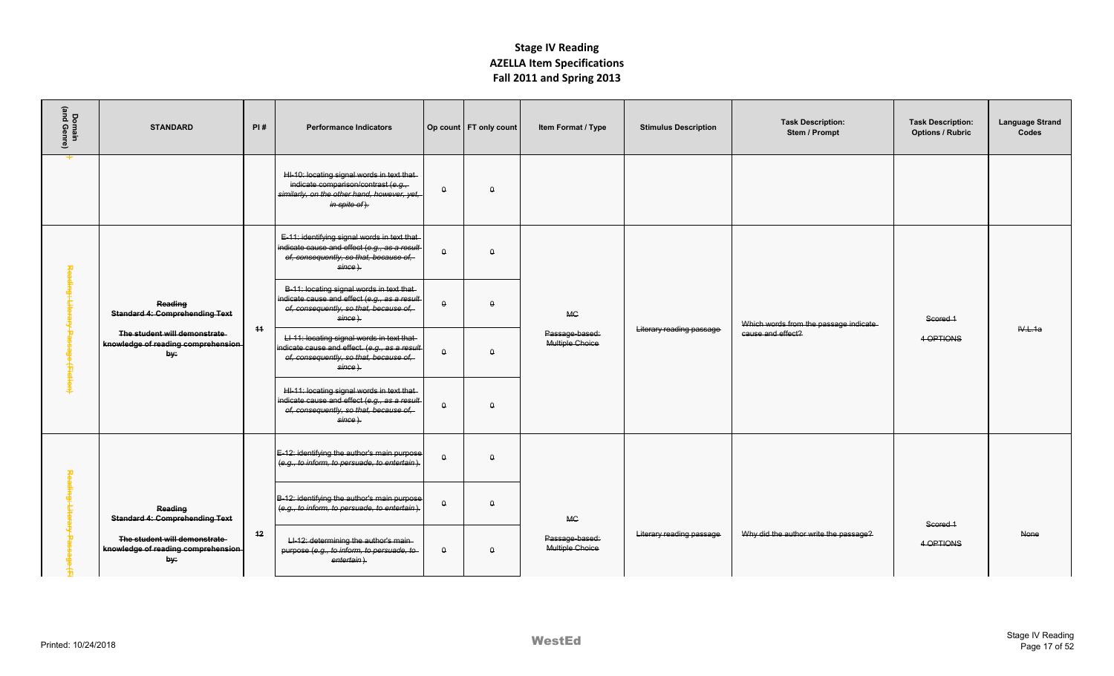|                                     |                                                                           |     |                                                                                                                                                   |                  |                          | <b>ALLILA REIN SPECING COUPS</b><br>Fall 2011 and Spring 2013 |                             |                                           |                                                     |                                 |
|-------------------------------------|---------------------------------------------------------------------------|-----|---------------------------------------------------------------------------------------------------------------------------------------------------|------------------|--------------------------|---------------------------------------------------------------|-----------------------------|-------------------------------------------|-----------------------------------------------------|---------------------------------|
| Domain<br>(and Genre)               | <b>STANDARD</b>                                                           | PI# | <b>Performance Indicators</b>                                                                                                                     |                  | Op count   FT only count | Item Format / Type                                            | <b>Stimulus Description</b> | <b>Task Description:</b><br>Stem / Prompt | <b>Task Description:</b><br><b>Options / Rubric</b> | <b>Language Strand</b><br>Codes |
|                                     |                                                                           |     | HI-10: locating signal words in text that-<br>indicate comparison/contrast (e.g.,<br>similarly, on the other hand, however, yet,<br>in spite of). | $\theta$         | $\theta$                 |                                                               |                             |                                           |                                                     |                                 |
|                                     |                                                                           |     | E-11: identifying signal words in text that<br>indicate cause and effect (e.g., as a result<br>of, consequently, so that, because of,<br>since).  | $\theta$         | $\theta$                 |                                                               |                             |                                           |                                                     |                                 |
| Reading: Literary Passage (Fiction) | <b>Reading</b><br><b>Standard 4: Comprehending Text</b>                   | 44  | B-11: locating signal words in text that-<br>indicate cause and effect (e.g., as a result<br>of, consequently, so that, because of,<br>since).    | $\theta$         | $\theta$                 | <b>MC</b>                                                     | Literary reading passage    | Which words from the passage indicate-    | Scored 1                                            | IV.L.1a                         |
|                                     | The student will demonstrate<br>knowledge of reading comprehension<br>by: |     | LI-11: locating signal words in text that-<br>indicate cause and effect. (e.g., as a result<br>of, consequently, so that, because of,<br>since).  | $\pmb{\uptheta}$ | $\theta$                 | Passage-based:<br>Multiple Choice                             |                             | cause and effect?                         | 4 OPTIONS                                           |                                 |
|                                     |                                                                           |     | HI-11: locating signal words in text that-<br>indicate cause and effect (e.g., as a result<br>of, consequently, so that, because of,<br>since).   | $\theta$         | $\theta$                 |                                                               |                             |                                           |                                                     |                                 |
|                                     |                                                                           |     | E-12: identifying the author's main purpose<br>(e.g., to inform, to persuade, to entertain).                                                      | $\theta$         | $\theta$                 |                                                               |                             |                                           |                                                     |                                 |
| Reading: Litera                     | <b>Reading</b><br><b>Standard 4: Comprehending Text</b>                   |     | B-12: identifying the author's main purpose<br>(e.g., to inform, to persuade, to entertain).                                                      | $\mathsf{Q}$     | $\Omega$                 | <b>MC</b>                                                     |                             |                                           | Scored 1                                            |                                 |
|                                     | The student will demonstrate<br>knowledge of reading comprehension<br>by: | 42  | LI-12: determining the author's main-<br>purpose (e.g., to inform, to persuade, to-<br>entertain).                                                | $\mathsf{o}$     | $\Omega$                 | Passage-based:<br>Multiple Choice                             | Literary reading passage    | Why did the author write the passage?     | 4 OPTIONS                                           | <b>None</b>                     |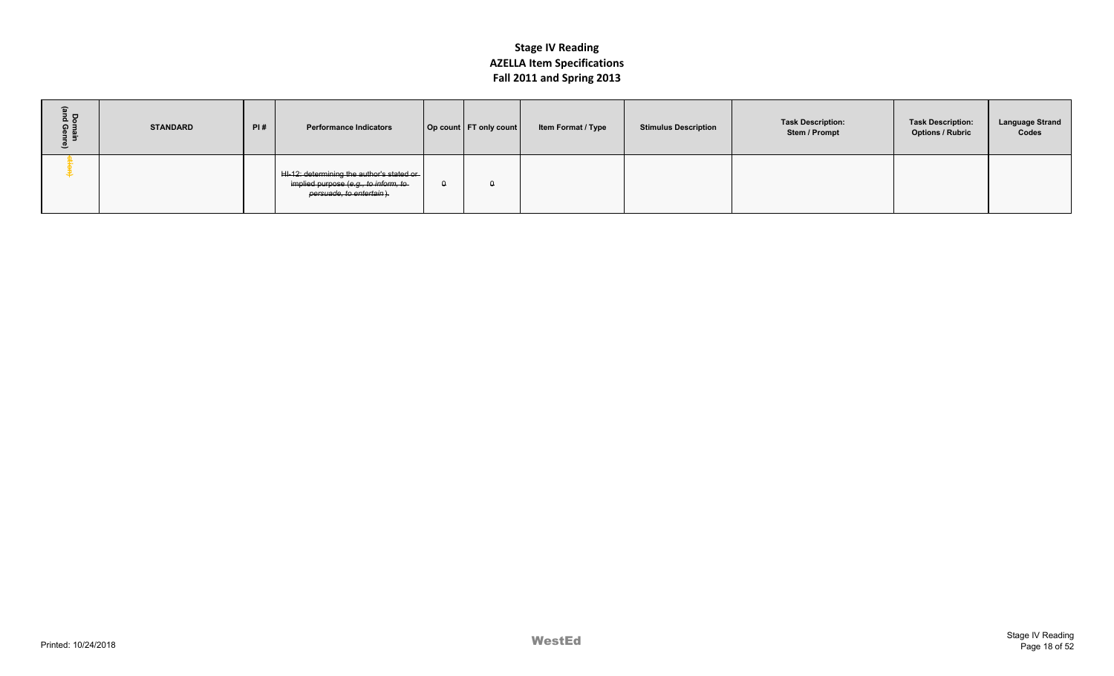|                         |                 |     |                                                                                                                 |          |                          | $. \, \text{m}$ = $\text{m}$ = $\text{m}$ = $\text{m}$ = $\text{m}$ = $\text{m}$ = $\text{m}$ |                             |                                           |                                                     |                                 |
|-------------------------|-----------------|-----|-----------------------------------------------------------------------------------------------------------------|----------|--------------------------|-----------------------------------------------------------------------------------------------|-----------------------------|-------------------------------------------|-----------------------------------------------------|---------------------------------|
| Domain<br>and Genr<br>೨ | <b>STANDARD</b> | PI# | <b>Performance Indicators</b>                                                                                   |          | Op count   FT only count | Item Format / Type                                                                            | <b>Stimulus Description</b> | <b>Task Description:</b><br>Stem / Prompt | <b>Task Description:</b><br><b>Options / Rubric</b> | <b>Language Strand</b><br>Codes |
|                         |                 |     | HI-12: determining the author's stated or  <br>implied purpose (e.g., to inform, to<br>persuade, to entertain). | $\theta$ | $\theta$                 |                                                                                               |                             |                                           |                                                     |                                 |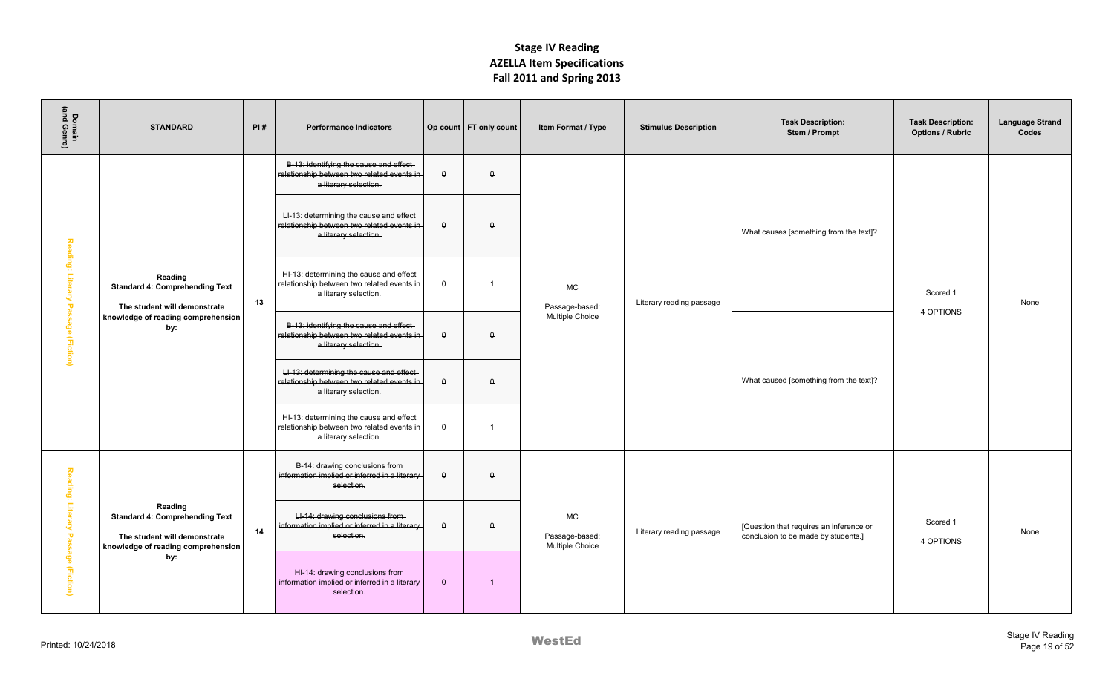| Domain<br>(and Genre)                | <b>STANDARD</b>                                                                                                        | PI# | <b>Performance Indicators</b>                                                                                  |                  | Op count   FT only count | Item Format / Type                             | <b>Stimulus Description</b> | <b>Task Description:</b><br>Stem / Prompt                                      | <b>Task Description:</b><br><b>Options / Rubric</b> | <b>Language Strand</b><br>Codes |
|--------------------------------------|------------------------------------------------------------------------------------------------------------------------|-----|----------------------------------------------------------------------------------------------------------------|------------------|--------------------------|------------------------------------------------|-----------------------------|--------------------------------------------------------------------------------|-----------------------------------------------------|---------------------------------|
|                                      |                                                                                                                        |     | B-13: identifying the cause and effect-<br>relationship between two related events in<br>a literary selection. | $\pmb{\uptheta}$ | $\theta$                 |                                                |                             |                                                                                |                                                     |                                 |
| Reading:                             |                                                                                                                        |     | LI-13: determining the cause and effect<br>relationship between two related events in<br>a literary selection. | $\pmb{\uptheta}$ | $\theta$                 |                                                |                             | What causes [something from the text]?                                         |                                                     |                                 |
| Literary                             | Reading<br><b>Standard 4: Comprehending Text</b><br>The student will demonstrate                                       | 13  | HI-13: determining the cause and effect<br>relationship between two related events in<br>a literary selection. | $\mathbf 0$      | -1                       | <b>MC</b><br>Passage-based:                    | Literary reading passage    |                                                                                | Scored 1                                            | None                            |
| Passage (Fiction)                    | knowledge of reading comprehension<br>by:                                                                              |     | B-13: identifying the cause and effect<br>relationship between two related events in<br>a literary selection.  | $\pmb{\uptheta}$ | $\theta$                 | <b>Multiple Choice</b>                         |                             |                                                                                | 4 OPTIONS                                           |                                 |
|                                      |                                                                                                                        |     | LI-13: determining the cause and effect<br>relationship between two related events in<br>a literary selection. | $\pmb{\uptheta}$ | $\theta$                 |                                                |                             | What caused [something from the text]?                                         |                                                     |                                 |
|                                      |                                                                                                                        |     | HI-13: determining the cause and effect<br>relationship between two related events in<br>a literary selection. | $\mathbf 0$      | $\overline{1}$           |                                                |                             |                                                                                |                                                     |                                 |
|                                      |                                                                                                                        |     | B-14: drawing conclusions from-<br>information implied or inferred in a literary-<br>selection.                | $\theta$         | $\theta$                 |                                                |                             |                                                                                |                                                     |                                 |
| Reading: Litera<br>Passage (Fiction) | Reading<br><b>Standard 4: Comprehending Text</b><br>The student will demonstrate<br>knowledge of reading comprehension | 14  | LI-14: drawing conclusions from-<br>information implied or inferred in a literary-<br>selection.               | $\pmb{\uptheta}$ | $\theta$                 | <b>MC</b><br>Passage-based:<br>Multiple Choice | Literary reading passage    | [Question that requires an inference or<br>conclusion to be made by students.] | Scored 1<br>4 OPTIONS                               | None                            |
|                                      | by:                                                                                                                    |     | HI-14: drawing conclusions from<br>information implied or inferred in a literary<br>selection.                 | $\mathbf{0}$     | -1                       |                                                |                             |                                                                                |                                                     |                                 |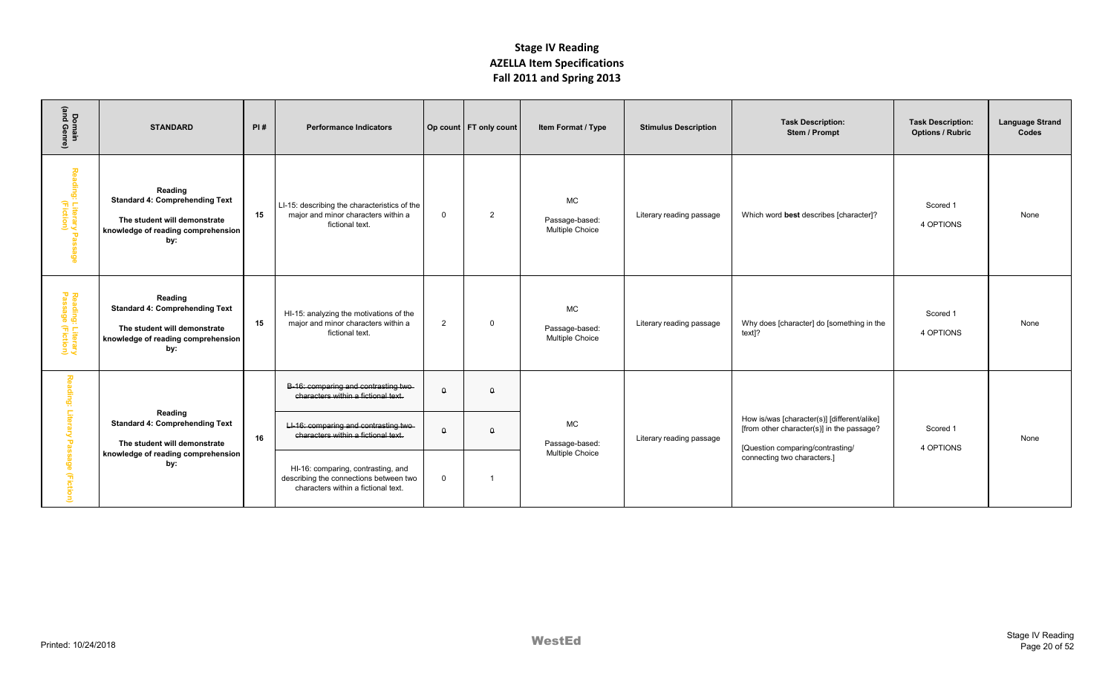| Domain<br>(and Genre)                                   | <b>STANDARD</b>                                                                                                               | PI# | <b>Performance Indicators</b>                                                                                       |             | Op count   FT only count | Item Format / Type                             | <b>Stimulus Description</b> | <b>Task Description:</b><br>Stem / Prompt                                                                                    | <b>Task Description:</b><br><b>Options / Rubric</b> | <b>Language Strand</b><br>Codes |
|---------------------------------------------------------|-------------------------------------------------------------------------------------------------------------------------------|-----|---------------------------------------------------------------------------------------------------------------------|-------------|--------------------------|------------------------------------------------|-----------------------------|------------------------------------------------------------------------------------------------------------------------------|-----------------------------------------------------|---------------------------------|
| Reading: Literary Pass<br>Reading: Literary Pass<br>ege | Reading<br><b>Standard 4: Comprehending Text</b><br>The student will demonstrate<br>knowledge of reading comprehension<br>by: | 15  | LI-15: describing the characteristics of the<br>maior and minor characters within a<br>fictional text.              | $\Omega$    | 2                        | MC<br>Passage-based:<br>Multiple Choice        | Literary reading passage    | Which word best describes [character]?                                                                                       | Scored 1<br>4 OPTIONS                               | None                            |
| Reading: Literary<br>Passage (Fiction)                  | Reading<br><b>Standard 4: Comprehending Text</b><br>The student will demonstrate<br>knowledge of reading comprehension<br>by: | 15  | HI-15: analyzing the motivations of the<br>major and minor characters within a<br>fictional text.                   | 2           | - 0                      | <b>MC</b><br>Passage-based:<br>Multiple Choice | Literary reading passage    | Why does [character] do [something in the<br>text]?                                                                          | Scored 1<br>4 OPTIONS                               | None                            |
| Rea<br>ding:                                            |                                                                                                                               |     | B-16: comparing and contrasting two-<br>characters within a fictional text.                                         | $\theta$    | $\theta$                 |                                                |                             |                                                                                                                              |                                                     |                                 |
| $\frac{1}{6}$<br>$\mathbf \sigma$                       | Reading<br><b>Standard 4: Comprehending Text</b><br>The student will demonstrate<br>knowledge of reading comprehension        | 16  | LI-16: comparing and contrasting two<br>characters within a fictional text.                                         | $\theta$    | $\theta$                 | <b>MC</b><br>Passage-based:                    | Literary reading passage    | How is/was [character(s)] [different/alike]<br>[from other character(s)] in the passage?<br>[Question comparing/contrasting/ | Scored 1<br>4 OPTIONS                               | None                            |
| နွ<br>(Fictio                                           | by:                                                                                                                           |     | HI-16: comparing, contrasting, and<br>describing the connections between two<br>characters within a fictional text. | $\mathbf 0$ |                          | Multiple Choice                                |                             | connecting two characters.]                                                                                                  |                                                     |                                 |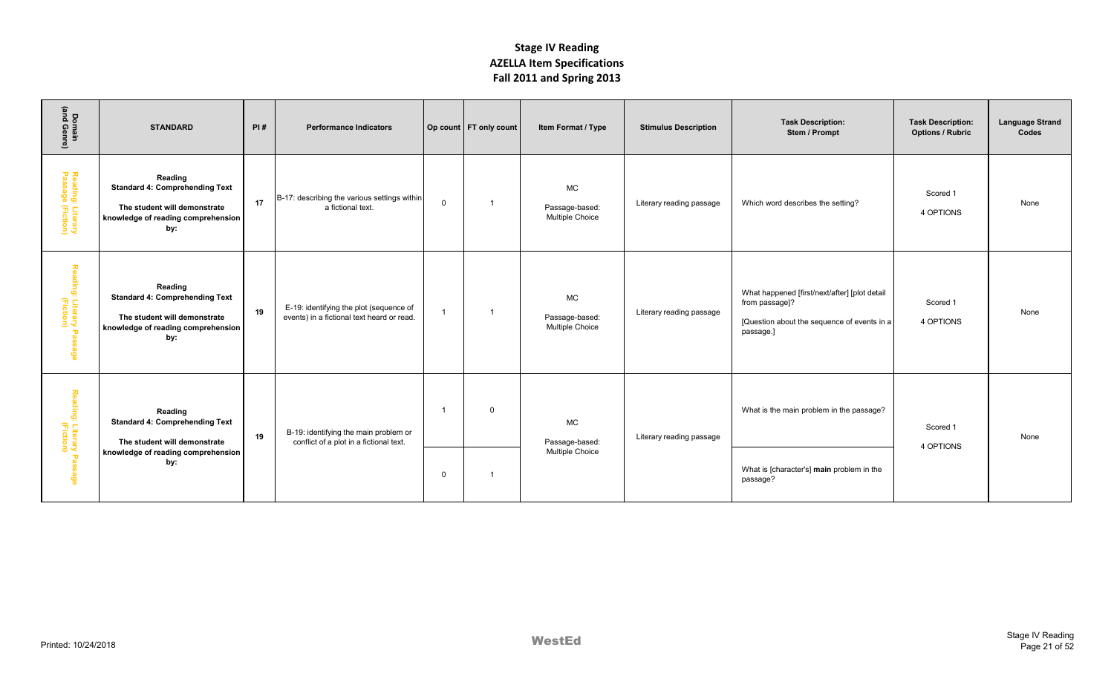| Domain<br>(and Genre)                  | <b>STANDARD</b>                                                                                                               | PI# | <b>Performance Indicators</b>                                                         |                         | Op count   FT only count | Item Format / Type                             | <b>Stimulus Description</b> | <b>Task Description:</b><br>Stem / Prompt                                                                                   | <b>Task Description:</b><br><b>Options / Rubric</b> | <b>Language Strand</b><br>Codes |
|----------------------------------------|-------------------------------------------------------------------------------------------------------------------------------|-----|---------------------------------------------------------------------------------------|-------------------------|--------------------------|------------------------------------------------|-----------------------------|-----------------------------------------------------------------------------------------------------------------------------|-----------------------------------------------------|---------------------------------|
| Reading: Literary<br>Passage (Fiction) | Reading<br><b>Standard 4: Comprehending Text</b><br>The student will demonstrate<br>knowledge of reading comprehension<br>by: | 17  | B-17: describing the various settings within<br>a fictional text.                     | $\mathbf 0$             | $\overline{1}$           | <b>MC</b><br>Passage-based:<br>Multiple Choice | Literary reading passage    | Which word describes the setting?                                                                                           | Scored 1<br>4 OPTIONS                               | None                            |
| Reading: Literary Passage<br>(Fiction) | Reading<br><b>Standard 4: Comprehending Text</b><br>The student will demonstrate<br>knowledge of reading comprehension<br>by: | 19  | E-19: identifying the plot (sequence of<br>events) in a fictional text heard or read. | $\overline{1}$          | -1                       | <b>MC</b><br>Passage-based:<br>Multiple Choice | Literary reading passage    | What happened [first/next/after] [plot detail<br>from passage]?<br>[Question about the sequence of events in a<br>passage.] | Scored 1<br>4 OPTIONS                               | None                            |
| Reading: Literary Passage<br>(Fiction) | Reading<br><b>Standard 4: Comprehending Text</b><br>The student will demonstrate                                              | 19  | B-19: identifying the main problem or<br>conflict of a plot in a fictional text.      | $\overline{\mathbf{1}}$ | $\Omega$                 | <b>MC</b><br>Passage-based:                    | Literary reading passage    | What is the main problem in the passage?                                                                                    | Scored 1<br>4 OPTIONS                               | None                            |
|                                        | knowledge of reading comprehension<br>by:                                                                                     |     |                                                                                       | $\mathbf 0$             | -1                       | <b>Multiple Choice</b>                         |                             | What is [character's] main problem in the<br>passage?                                                                       |                                                     |                                 |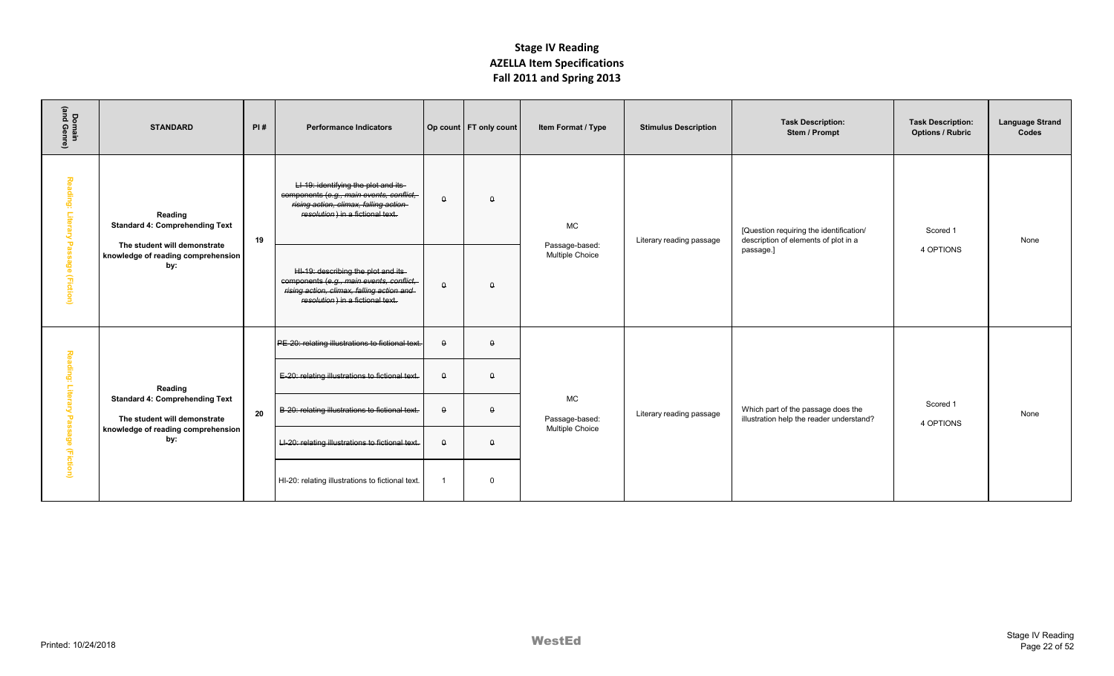| Domain<br>(and Genre)                         | <b>STANDARD</b>                                                                                                    | PI# | <b>Performance Indicators</b>                                                                                                                                    |                | Op count   FT only count | Item Format / Type                | <b>Stimulus Description</b> | <b>Task Description:</b><br>Stem / Prompt                                       | <b>Task Description:</b><br><b>Options / Rubric</b> | <b>Language Strand</b><br>Codes |
|-----------------------------------------------|--------------------------------------------------------------------------------------------------------------------|-----|------------------------------------------------------------------------------------------------------------------------------------------------------------------|----------------|--------------------------|-----------------------------------|-----------------------------|---------------------------------------------------------------------------------|-----------------------------------------------------|---------------------------------|
| Reading:<br>Litera<br>$\mathbf{\overline{v}}$ | Reading<br><b>Standard 4: Comprehending Text</b>                                                                   | 19  | LI-19: identifying the plot and its<br>components (e.g., main events, conflict,<br>rising action, climax, falling action-<br>resolution) in a fictional text.    | $\theta$       | $\theta$                 | <b>MC</b>                         | Literary reading passage    | [Question requiring the identification/<br>description of elements of plot in a | Scored 1                                            | None                            |
| assage (Fiction)                              | The student will demonstrate<br>knowledge of reading comprehension<br>by:                                          |     | HI-19: describing the plot and its-<br>components (e.g., main events, conflict,<br>rising action, climax, falling action and<br>resolution) in a fictional text. | $\theta$       | $\theta$                 | Passage-based:<br>Multiple Choice |                             | passage.]                                                                       | 4 OPTIONS                                           |                                 |
|                                               |                                                                                                                    |     | PE-20: relating illustrations to fictional text.                                                                                                                 | $\theta$       | $\theta$                 |                                   |                             |                                                                                 |                                                     |                                 |
| Reading:                                      | Reading                                                                                                            | 20  | E-20: relating illustrations to fictional text.                                                                                                                  | $\theta$       | $\theta$                 | <b>MC</b><br>Passage-based:       |                             |                                                                                 |                                                     |                                 |
| Litera<br>2<br>$\overline{a}$                 | <b>Standard 4: Comprehending Text</b><br>The student will demonstrate<br>knowledge of reading comprehension<br>by: |     | B-20: relating illustrations to fictional text.                                                                                                                  | $\theta$       | $\theta$                 |                                   | Literary reading passage    | Which part of the passage does the<br>illustration help the reader understand?  | Scored 1<br>4 OPTIONS                               | None                            |
| edessi                                        |                                                                                                                    |     | LI-20: relating illustrations to fictional text.                                                                                                                 | $\theta$       | $\theta$                 | Multiple Choice                   |                             |                                                                                 |                                                     |                                 |
| (Fiction)                                     |                                                                                                                    |     | HI-20: relating illustrations to fictional text.                                                                                                                 | $\overline{1}$ | $\Omega$                 |                                   |                             |                                                                                 |                                                     |                                 |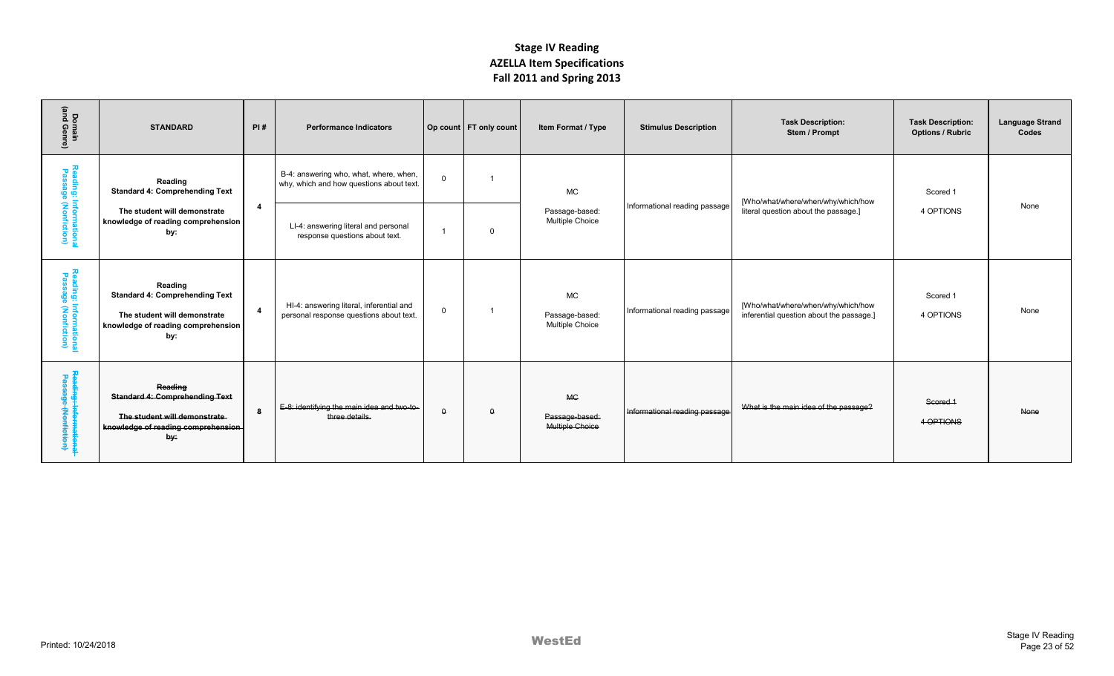| Domain<br>(and Genre)                          | <b>STANDARD</b>                                                                                                               | PI#            | <b>Performance Indicators</b>                                                       |             | Op count   FT only count | Item Format / Type                             | <b>Stimulus Description</b>   | <b>Task Description:</b><br>Stem / Prompt                                      | <b>Task Description:</b><br><b>Options / Rubric</b> | <b>Language Strand</b><br>Codes |
|------------------------------------------------|-------------------------------------------------------------------------------------------------------------------------------|----------------|-------------------------------------------------------------------------------------|-------------|--------------------------|------------------------------------------------|-------------------------------|--------------------------------------------------------------------------------|-----------------------------------------------------|---------------------------------|
|                                                | Reading<br><b>Standard 4: Comprehending Text</b>                                                                              |                | B-4: answering who, what, where, when,<br>why, which and how questions about text.  | $\mathbf 0$ |                          | <b>MC</b>                                      |                               | [Who/what/where/when/why/which/how                                             | Scored 1                                            |                                 |
| Reading: Informationa<br>Passage (Nonfiction)  | The student will demonstrate<br>knowledge of reading comprehension<br>by:                                                     | $\overline{a}$ | LI-4: answering literal and personal<br>response questions about text.              |             | $\Omega$                 | Passage-based:<br>Multiple Choice              | Informational reading passage | literal question about the passage.]                                           | 4 OPTIONS                                           | None                            |
| Reading: Informational<br>Passage (Nonfiction) | Reading<br><b>Standard 4: Comprehending Text</b><br>The student will demonstrate<br>knowledge of reading comprehension<br>by: |                | HI-4: answering literal, inferential and<br>personal response questions about text. | $\mathbf 0$ |                          | <b>MC</b><br>Passage-based:<br>Multiple Choice | Informational reading passage | [Who/what/where/when/why/which/how<br>inferential question about the passage.] | Scored 1<br>4 OPTIONS                               | None                            |
| Reading: Informationa<br>Passage (Nonfiction)  | Reading<br><b>Standard 4: Comprehending Text</b><br>The student will demonstrate<br>knowledge of reading comprehension<br>by: | -8             | E-8: identifying the main idea and two-to-<br>three details.                        | $\theta$    | $\theta$                 | <b>MC</b><br>Passage-based:<br>Multiple Choice | Informational reading passage | What is the main idea of the passage?                                          | Scored 1<br>4 OPTIONS                               | None                            |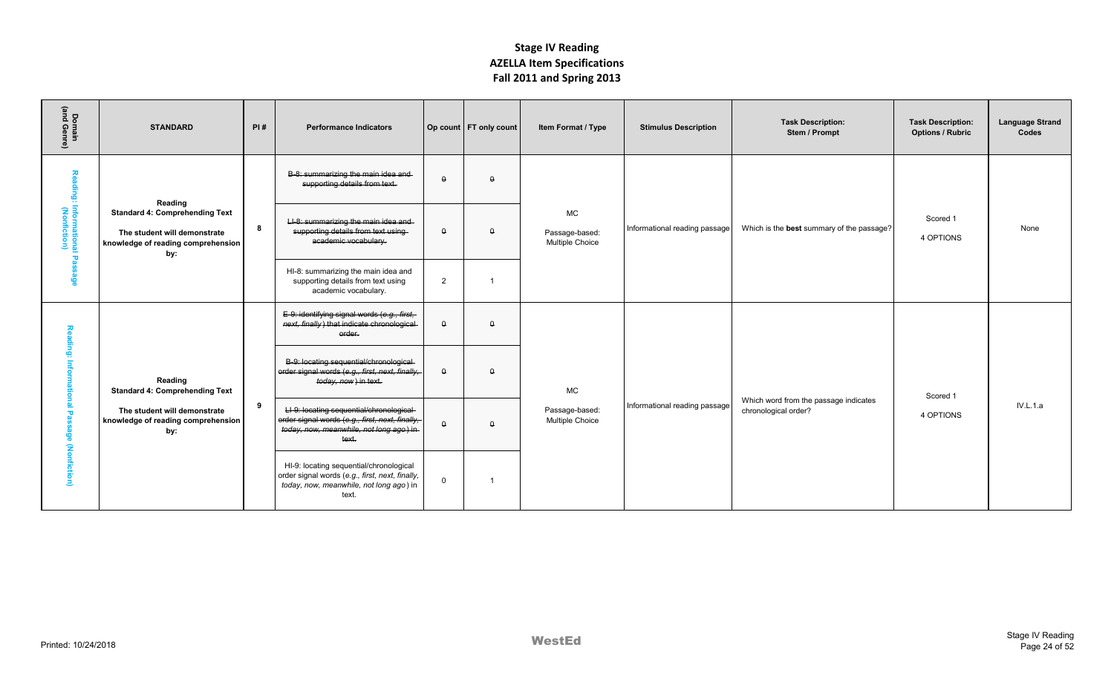| Domain<br>(and Genre)                       | <b>STANDARD</b>                                                                                                    | PI# | <b>Performance Indicators</b>                                                                                                                    |             | Op count   FT only count | Item Format / Type                                    | <b>Stimulus Description</b>   | <b>Task Description:</b><br>Stem / Prompt                     | <b>Task Description:</b><br><b>Options / Rubric</b> | <b>Language Strand</b><br>Codes |
|---------------------------------------------|--------------------------------------------------------------------------------------------------------------------|-----|--------------------------------------------------------------------------------------------------------------------------------------------------|-------------|--------------------------|-------------------------------------------------------|-------------------------------|---------------------------------------------------------------|-----------------------------------------------------|---------------------------------|
| 종                                           | Reading                                                                                                            |     | B-8: summarizing the main idea and-<br>supporting details from text.                                                                             | $\theta$    | $\theta$                 |                                                       |                               |                                                               |                                                     |                                 |
| ding: Informational Passage<br>(Nonfiction) | <b>Standard 4: Comprehending Text</b><br>The student will demonstrate<br>knowledge of reading comprehension<br>by: | 8   | LI-8: summarizing the main idea and<br>supporting details from text using-<br>academic vocabulary.                                               | $\theta$    | $\theta$                 | <b>MC</b><br>Passage-based:<br><b>Multiple Choice</b> | Informational reading passage | Which is the best summary of the passage?                     | Scored 1<br>4 OPTIONS                               | None                            |
|                                             |                                                                                                                    |     | HI-8: summarizing the main idea and<br>supporting details from text using<br>academic vocabulary.                                                | 2           | $\overline{ }$           |                                                       |                               |                                                               |                                                     |                                 |
| Reading:                                    |                                                                                                                    |     | E-9: identifying signal words (e.g., first,<br>next, finally) that indicate chronological<br>order.                                              | $\theta$    | $\theta$                 |                                                       |                               |                                                               |                                                     |                                 |
| Information                                 | Reading<br><b>Standard 4: Comprehending Text</b>                                                                   |     | B-9: locating sequential/chronological-<br>order signal words (e.g., first, next, finally,<br>today, now) in text.                               | $\Omega$    | $\Omega$                 | <b>MC</b>                                             |                               |                                                               | Scored 1                                            |                                 |
| Pas                                         | The student will demonstrate<br>knowledge of reading comprehension<br>by:                                          | -9  | LI-9: locating sequential/chronological-<br>order signal words (e.g., first, next, finally,<br>today, now, meanwhile, not long ago) in-<br>text. | $\theta$    | $\theta$                 | Passage-based:<br><b>Multiple Choice</b>              | Informational reading passage | Which word from the passage indicates<br>chronological order? | 4 OPTIONS                                           | IV.L.1.a                        |
| age (Nonfiction)                            |                                                                                                                    |     | HI-9: locating sequential/chronological<br>order signal words (e.g., first, next, finally,<br>today, now, meanwhile, not long ago) in<br>text.   | $\mathbf 0$ | -1                       |                                                       |                               |                                                               |                                                     |                                 |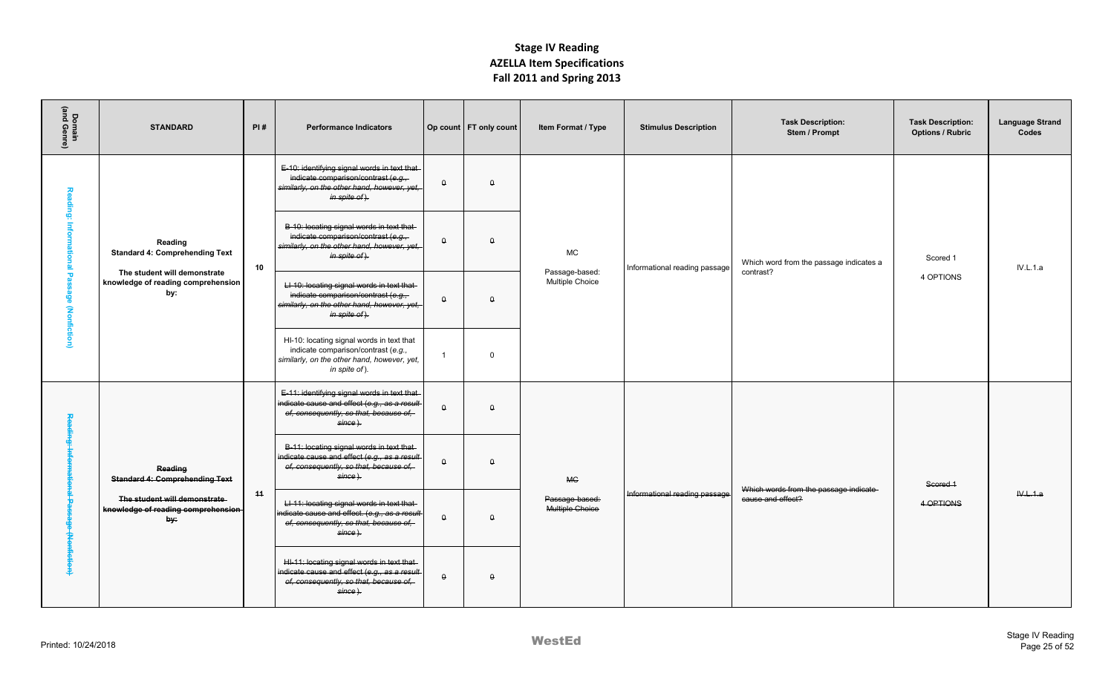| Domain<br>(and Genre)                       | <b>STANDARD</b>                                                                                                               | PI# | <b>Performance Indicators</b>                                                                                                                       |                  | Op count   FT only count | Item Format / Type                             | <b>Stimulus Description</b>   | <b>Task Description:</b><br>Stem / Prompt | <b>Task Description:</b><br><b>Options / Rubric</b> | <b>Language Strand</b><br>Codes |
|---------------------------------------------|-------------------------------------------------------------------------------------------------------------------------------|-----|-----------------------------------------------------------------------------------------------------------------------------------------------------|------------------|--------------------------|------------------------------------------------|-------------------------------|-------------------------------------------|-----------------------------------------------------|---------------------------------|
|                                             |                                                                                                                               |     | E-10: identifying signal words in text that-<br>indicate comparison/contrast (e.g.,<br>similarly, on the other hand, however, yet,<br>in spite of). | $\theta$         | $\theta$                 |                                                |                               |                                           |                                                     |                                 |
| Reading: Informational Passage (Nonfiction) | Reading<br><b>Standard 4: Comprehending Text</b>                                                                              | 10  | B-10: locating signal words in text that-<br>indicate comparison/contrast (e.g.,<br>similarly, on the other hand, however, yet,<br>in spite of).    | $\theta$         | $\Omega$                 | <b>MC</b>                                      | Informational reading passage | Which word from the passage indicates a   | Scored 1                                            | IV.L.1.a                        |
|                                             | The student will demonstrate<br>knowledge of reading comprehension<br>by:<br>Reading<br><b>Standard 4: Comprehending Text</b> |     | LI-10: locating signal words in text that<br>indicate comparison/contrast (e.g.,<br>similarly, on the other hand, however, yet,<br>in spite of).    | $\theta$         | $\theta$                 | Passage-based:<br>Multiple Choice              |                               | contrast?                                 | 4 OPTIONS                                           |                                 |
|                                             |                                                                                                                               |     | HI-10: locating signal words in text that<br>indicate comparison/contrast (e.g.,<br>similarly, on the other hand, however, yet,<br>in spite of).    | $\overline{1}$   | $\Omega$                 |                                                |                               |                                           |                                                     |                                 |
| 突                                           |                                                                                                                               |     | E-11: identifying signal words in text that-<br>indicate cause and effect (e.g., as a result-<br>of, consequently, so that, because of,<br>since).  | $\Theta$         | $\theta$                 | <b>MC</b><br>Passage-based:<br>Multiple Choice |                               |                                           | Scored 1                                            |                                 |
|                                             |                                                                                                                               |     | B-11: locating signal words in text that-<br>indicate cause and effect (e.g., as a result<br>of, consequently, so that, because of,<br>since).      | $\Theta$         | $\theta$                 |                                                |                               | Which words from the passage indicate-    |                                                     |                                 |
| ፞€                                          | The student will demonstrate<br>knowledge of reading comprehension<br>by:                                                     | 44  | LI-11: locating signal words in text that-<br>indicate cause and effect. (e.g., as a result<br>of, consequently, so that, because of,<br>since).    | $\theta$         | $\theta$                 |                                                | Informational reading passage | cause and effect?                         | 4 OPTIONS                                           | W.L.1.a                         |
|                                             |                                                                                                                               |     | HI-11: locating signal words in text that-<br>indicate cause and effect (e.g., as a result-<br>of, consequently, so that, because of,<br>since).    | $\pmb{\uptheta}$ | $\theta$                 |                                                |                               |                                           |                                                     |                                 |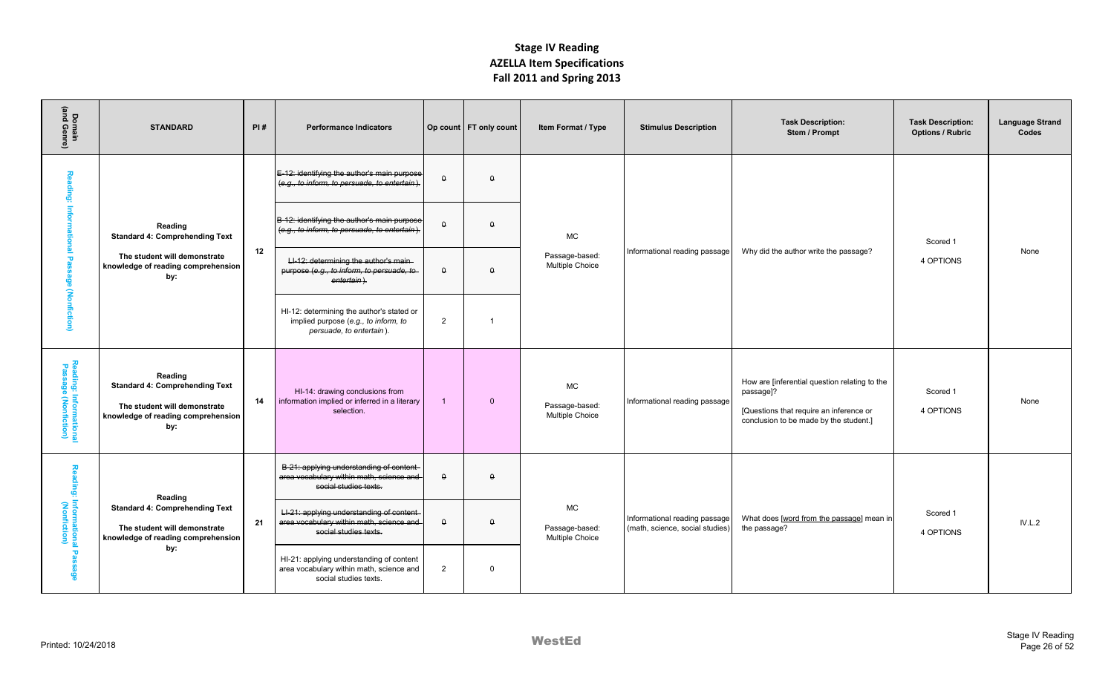| Domain<br>(and Genre)                         | <b>STANDARD</b>                                                                                                                                                                                | PI# | <b>Performance Indicators</b>                                                                                   |                  | Op count   FT only count | Item Format / Type                      | <b>Stimulus Description</b>                                      | <b>Task Description:</b><br>Stem / Prompt                                                                                                       | <b>Task Description:</b><br><b>Options / Rubric</b> | <b>Language Strand</b><br>Codes |
|-----------------------------------------------|------------------------------------------------------------------------------------------------------------------------------------------------------------------------------------------------|-----|-----------------------------------------------------------------------------------------------------------------|------------------|--------------------------|-----------------------------------------|------------------------------------------------------------------|-------------------------------------------------------------------------------------------------------------------------------------------------|-----------------------------------------------------|---------------------------------|
| Reading:                                      |                                                                                                                                                                                                |     | E-12: identifying the author's main purpose<br>(e.g., to inform, to persuade, to entertain).                    | $\pmb{\uptheta}$ | $\theta$                 |                                         |                                                                  |                                                                                                                                                 |                                                     |                                 |
|                                               | Reading<br><b>Standard 4: Comprehending Text</b>                                                                                                                                               |     | B-12: identifying the author's main purpose<br>(e.g., to inform, to persuade, to entertain).                    | $\pmb{\uptheta}$ | $\theta$                 | <b>MC</b>                               |                                                                  |                                                                                                                                                 | Scored 1                                            |                                 |
| Informational Passage (Nonfiction)            | The student will demonstrate<br>knowledge of reading comprehension<br>by:                                                                                                                      | 12  | LI-12: determining the author's main-<br>purpose (e.g., to inform, to persuade, to-<br>entertain).              | $\theta$         | $\theta$                 | Passage-based:<br>Multiple Choice       | Informational reading passage                                    | Why did the author write the passage?                                                                                                           | 4 OPTIONS                                           | None                            |
|                                               |                                                                                                                                                                                                |     | HI-12: determining the author's stated or<br>implied purpose (e.g., to inform, to<br>persuade, to entertain).   | $\overline{2}$   | $\overline{1}$           |                                         |                                                                  |                                                                                                                                                 |                                                     |                                 |
| Reading: Informationa<br>Passage (Nonfiction) | Reading<br><b>Standard 4: Comprehending Text</b><br>The student will demonstrate<br>knowledge of reading comprehension<br>by:                                                                  | 14  | HI-14: drawing conclusions from<br>information implied or inferred in a literary<br>selection.                  | $\overline{1}$   | $\overline{0}$           | MC<br>Passage-based:<br>Multiple Choice | Informational reading passage                                    | How are [inferential question relating to the<br>passage]?<br>[Questions that require an inference or<br>conclusion to be made by the student.] | Scored 1<br>4 OPTIONS                               | None                            |
|                                               | Reading: Informationa<br>Reading: Informationa<br>Reading<br><b>Standard 4: Comprehending Text</b><br>The student will demonstrate<br>knowledge of reading comprehension<br>by:<br>Pas<br>യ്ക് |     | B-21: applying understanding of content<br>area vocabulary within math, science and<br>social studies texts.    | $\theta$         | $\theta$                 |                                         |                                                                  |                                                                                                                                                 |                                                     |                                 |
|                                               |                                                                                                                                                                                                | 21  | LI-21: applying understanding of content-<br>area vocabulary within math, science and-<br>social studies texts. | $\pmb{\uptheta}$ | $\theta$                 | MC<br>Passage-based:<br>Multiple Choice | Informational reading passage<br>(math, science, social studies) | What does [word from the passage] mean in<br>the passage?                                                                                       | Scored 1<br>4 OPTIONS                               | IV.L.2                          |
|                                               |                                                                                                                                                                                                |     | HI-21: applying understanding of content<br>area vocabulary within math, science and<br>social studies texts.   | 2                | $\mathbf 0$              |                                         |                                                                  |                                                                                                                                                 |                                                     |                                 |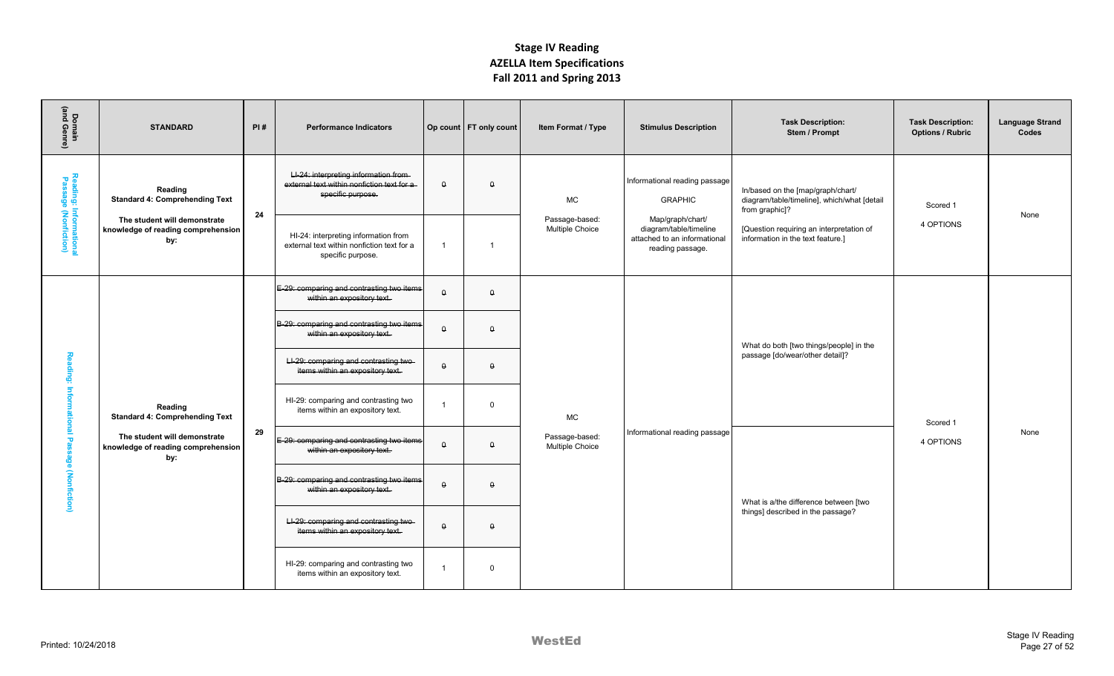| Domain<br>(and Genre)                         | <b>STANDARD</b>                                                           | PI# | <b>Performance Indicators</b>                                                                            |                  | Op count   FT only count | Item Format / Type                | <b>Stimulus Description</b>                                                                    | <b>Task Description:</b><br>Stem / Prompt                                                          | <b>Task Description:</b><br><b>Options / Rubric</b> | <b>Language Strand</b><br>Codes |
|-----------------------------------------------|---------------------------------------------------------------------------|-----|----------------------------------------------------------------------------------------------------------|------------------|--------------------------|-----------------------------------|------------------------------------------------------------------------------------------------|----------------------------------------------------------------------------------------------------|-----------------------------------------------------|---------------------------------|
|                                               | Reading<br><b>Standard 4: Comprehending Text</b>                          |     | LI-24: interpreting information from-<br>external text within nonfiction text for a<br>specific purpose. | $\theta$         | $\theta$                 | <b>MC</b>                         | Informational reading passage<br><b>GRAPHIC</b>                                                | In/based on the [map/graph/chart/<br>diagram/table/timeline], which/what [detail<br>from graphic]? | Scored 1                                            |                                 |
| Reading: Informationa<br>Passage (Nonfiction) | The student will demonstrate<br>knowledge of reading comprehension<br>by: | 24  | HI-24: interpreting information from<br>external text within nonfiction text for a<br>specific purpose.  | $\overline{1}$   | $\overline{1}$           | Passage-based:<br>Multiple Choice | Map/graph/chart/<br>diagram/table/timeline<br>attached to an informational<br>reading passage. | [Question requiring an interpretation of<br>information in the text feature.]                      | 4 OPTIONS                                           | None                            |
|                                               |                                                                           |     | E-29: comparing and contrasting two items<br>within an expository text.                                  | $\pmb{\uptheta}$ | $\theta$                 |                                   |                                                                                                |                                                                                                    |                                                     |                                 |
|                                               |                                                                           |     | B-29: comparing and contrasting two items<br>within an expository text.                                  | $\theta$         | $\Omega$                 |                                   |                                                                                                | What do both [two things/people] in the                                                            |                                                     |                                 |
|                                               |                                                                           |     | LI-29: comparing and contrasting two-<br>items within an expository text.                                | $\theta$         | $\theta$                 |                                   |                                                                                                | passage [do/wear/other detail]?                                                                    |                                                     |                                 |
|                                               | Reading<br><b>Standard 4: Comprehending Text</b>                          |     | HI-29: comparing and contrasting two<br>items within an expository text.                                 |                  | $\Omega$                 | <b>MC</b>                         |                                                                                                |                                                                                                    | Scored 1                                            |                                 |
|                                               | The student will demonstrate<br>knowledge of reading comprehension<br>by: | 29  | E-29: comparing and contrasting two items<br>within an expository text.                                  | $\theta$         | $\theta$                 | Passage-based:<br>Multiple Choice | Informational reading passage                                                                  |                                                                                                    | 4 OPTIONS                                           | None                            |
| Reading: Informational Passage (Nonfiction)   |                                                                           |     | B-29: comparing and contrasting two items<br>within an expository text.                                  | $\theta$         | $\Omega$                 |                                   |                                                                                                | What is a/the difference between [two                                                              |                                                     |                                 |
|                                               |                                                                           |     | LI-29: comparing and contrasting two-<br>items within an expository text.                                | $\theta$         | $\Omega$                 |                                   |                                                                                                | things] described in the passage?                                                                  |                                                     |                                 |
|                                               |                                                                           |     | HI-29: comparing and contrasting two<br>items within an expository text.                                 | $\overline{1}$   | $\mathbf 0$              |                                   |                                                                                                |                                                                                                    |                                                     |                                 |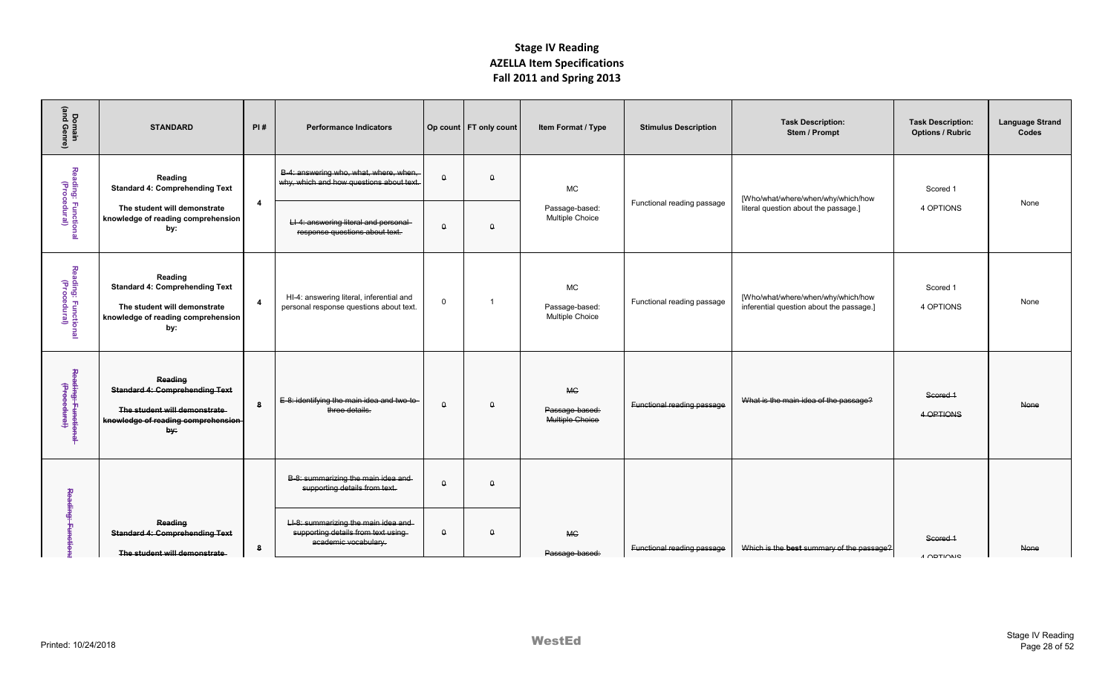| Domain<br>(and Genre)               | <b>STANDARD</b>                                                                                                               | PI#                     | <b>Performance Indicators</b>                                                                     |             | Op count   FT only count | Item Format / Type                             | <b>Stimulus Description</b> | <b>Task Description:</b><br>Stem / Prompt                                      | <b>Task Description:</b><br><b>Options / Rubric</b> | <b>Language Strand</b><br>Codes |
|-------------------------------------|-------------------------------------------------------------------------------------------------------------------------------|-------------------------|---------------------------------------------------------------------------------------------------|-------------|--------------------------|------------------------------------------------|-----------------------------|--------------------------------------------------------------------------------|-----------------------------------------------------|---------------------------------|
|                                     | Reading<br><b>Standard 4: Comprehending Text</b>                                                                              |                         | B-4: answering who, what, where, when,<br>why, which and how questions about text.                | $\theta$    | $\Omega$                 | <b>MC</b>                                      |                             | [Who/what/where/when/why/which/how                                             | Scored 1                                            |                                 |
| Reading: Functional<br>(Procedural) | The student will demonstrate<br>knowledge of reading comprehension<br>by:                                                     | $\overline{\mathbf{4}}$ | LI-4: answering literal and personal<br>response questions about text.                            | $\theta$    | $\Omega$                 | Passage-based:<br>Multiple Choice              | Functional reading passage  | literal question about the passage.]                                           | 4 OPTIONS                                           | None                            |
| Reading: Functional<br>(Procedural) | Reading<br><b>Standard 4: Comprehending Text</b><br>The student will demonstrate<br>knowledge of reading comprehension<br>by: | $\overline{\mathbf{4}}$ | HI-4: answering literal, inferential and<br>personal response questions about text.               | $\mathbf 0$ | $\overline{1}$           | <b>MC</b><br>Passage-based:<br>Multiple Choice | Functional reading passage  | [Who/what/where/when/why/which/how<br>inferential question about the passage.] | Scored 1<br>4 OPTIONS                               | None                            |
| Reading: Functional<br>(Procedural) | Reading<br><b>Standard 4: Comprehending Text</b><br>The student will demonstrate<br>knowledge of reading comprehension<br>by: | -8                      | E-8: identifying the main idea and two-to-<br>three details.                                      | $\theta$    | $\theta$                 | <b>MC</b><br>Passage-based:<br>Multiple Choice | Functional reading passage  | What is the main idea of the passage?                                          | Scored 1<br>4 OPTIONS                               | None                            |
|                                     |                                                                                                                               |                         | B-8: summarizing the main idea and<br>supporting details from text.                               | $\theta$    | $\Omega$                 |                                                |                             |                                                                                |                                                     |                                 |
| Reading: Fur                        | Reading<br><b>Standard 4: Comprehending Text</b><br>The student will demonstrate                                              | 8                       | LI-8: summarizing the main idea and<br>supporting details from text using<br>academic vocabulary. | $\theta$    | $\theta$                 | <b>MC</b><br>Passage-based:                    | Functional reading passage  | Which is the best summary of the passage?                                      | Scored 1<br><b>A ODTIONIC</b>                       | None                            |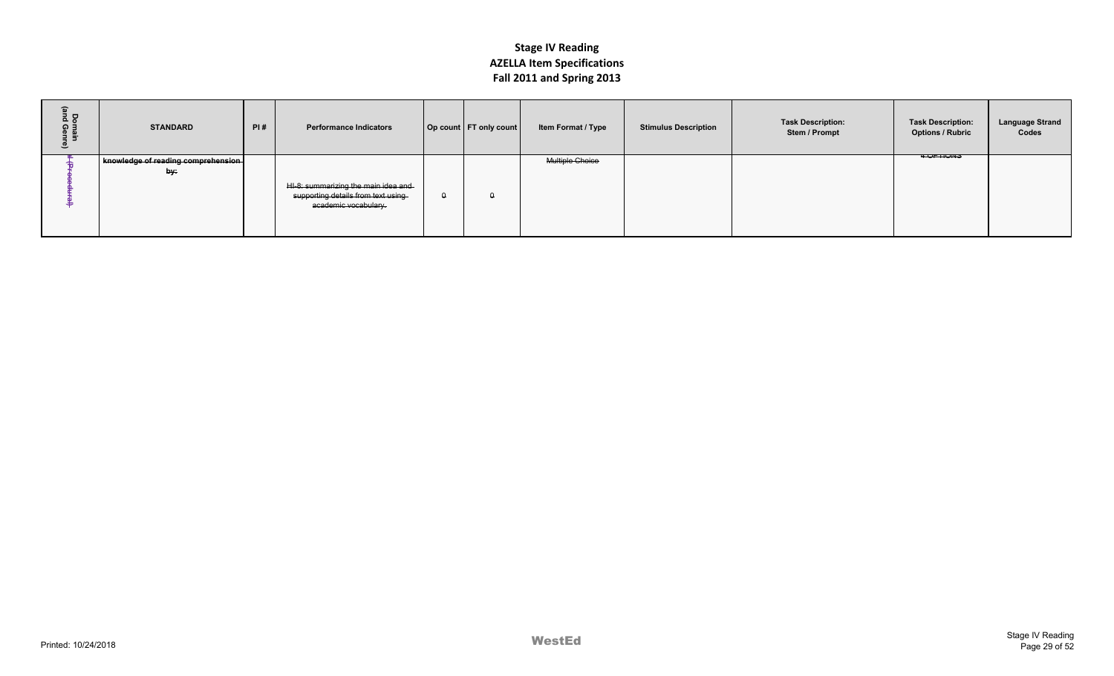| $\widehat{\mathbf{r}}$<br>Domain<br>Ind Genr<br>≗ | <b>STANDARD</b>                           | PI# | <b>Performance Indicators</b>                                                                     |          | Op count   FT only count | Item Format / Type | <b>Stimulus Description</b> | <b>Task Description:</b><br>Stem / Prompt | <b>Task Description:</b><br><b>Options / Rubric</b> | <b>Language Strand</b><br>Codes |
|---------------------------------------------------|-------------------------------------------|-----|---------------------------------------------------------------------------------------------------|----------|--------------------------|--------------------|-----------------------------|-------------------------------------------|-----------------------------------------------------|---------------------------------|
|                                                   | knowledge of reading comprehension<br>by: |     | HI-8: summarizing the main idea and<br>supporting details from text using<br>academic vocabulary. | $\Omega$ |                          | Multiple Choice    |                             |                                           | <b>4 UP HUNS</b>                                    |                                 |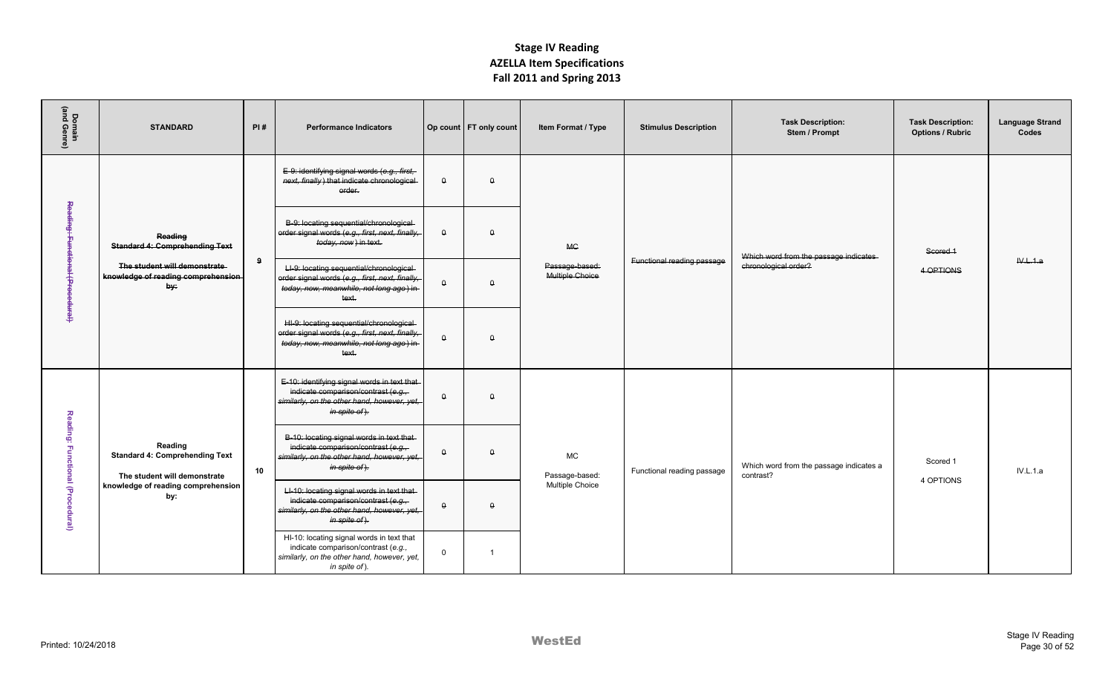| Domain<br>(and Genre)                        | <b>STANDARD</b>                                                                  | PI#             | <b>Performance Indicators</b>                                                                                                                      |              | Op count   FT only count | Item Format / Type                | <b>Stimulus Description</b> | <b>Task Description:</b><br>Stem / Prompt            | <b>Task Description:</b><br><b>Options / Rubric</b> | <b>Language Strand</b><br>Codes |
|----------------------------------------------|----------------------------------------------------------------------------------|-----------------|----------------------------------------------------------------------------------------------------------------------------------------------------|--------------|--------------------------|-----------------------------------|-----------------------------|------------------------------------------------------|-----------------------------------------------------|---------------------------------|
|                                              |                                                                                  |                 | E-9: identifying signal words (e.g., first,<br>next, finally) that indicate chronological<br>order.                                                | $\theta$     | $\Omega$                 |                                   |                             |                                                      |                                                     |                                 |
| Read <del>ing: Functional (Procedural)</del> | Reading<br><b>Standard 4: Comprehending Text</b>                                 |                 | B-9: locating sequential/chronological<br>order signal words (e.g., first, next, finally,<br>today, now) in text.                                  | $\theta$     | $\Omega$                 | <b>MC</b>                         |                             | Which word from the passage indicates                | Scored 1                                            |                                 |
|                                              | The student will demonstrate<br>knowledge of reading comprehension<br>by:        |                 | LI-9: locating sequential/chronological<br>order signal words (e.g., first, next, finally,<br>today, now, meanwhile, not long ago) in-<br>text.    | $\theta$     | $\Omega$                 | Passage-based:<br>Multiple Choice | Functional reading passage  | chronological order?                                 | 4 OPTIONS                                           | W.L.1.a                         |
|                                              |                                                                                  |                 | HI-9: locating sequential/chronological-<br>order signal words (e.g., first, next, finally,<br>today, now, meanwhile, not long ago) in-<br>text.   | $\mathsf{Q}$ | $\Omega$                 |                                   |                             |                                                      |                                                     |                                 |
|                                              |                                                                                  |                 | E-10: identifying signal words in text that<br>indicate comparison/contrast (e.g.,<br>similarly, on the other hand, however, yet,<br>in spite of). | $\theta$     | $\Omega$                 |                                   |                             |                                                      |                                                     |                                 |
|                                              | Reading<br><b>Standard 4: Comprehending Text</b><br>The student will demonstrate | 10 <sup>1</sup> | B-10: locating signal words in text that-<br>indicate comparison/contrast (e.g.,<br>similarly, on the other hand, however, yet,<br>in spite of).   | $\theta$     | $\theta$                 | <b>MC</b><br>Passage-based:       | Functional reading passage  | Which word from the passage indicates a<br>contrast? | Scored 1<br>4 OPTIONS                               | IV.L.1.a                        |
| Reading: Functional (Procedural)             | knowledge of reading comprehension<br>by:                                        |                 | LI-10: locating signal words in text that<br>indicate comparison/contrast (e.g.,<br>similarly, on the other hand, however, yet,<br>in spite of).   | $\theta$     | $\Omega$                 | Multiple Choice                   |                             |                                                      |                                                     |                                 |
|                                              |                                                                                  |                 | HI-10: locating signal words in text that<br>indicate comparison/contrast (e.g.,<br>similarly, on the other hand, however, yet,<br>in spite of).   | $\mathbf{0}$ | $\overline{1}$           |                                   |                             |                                                      |                                                     |                                 |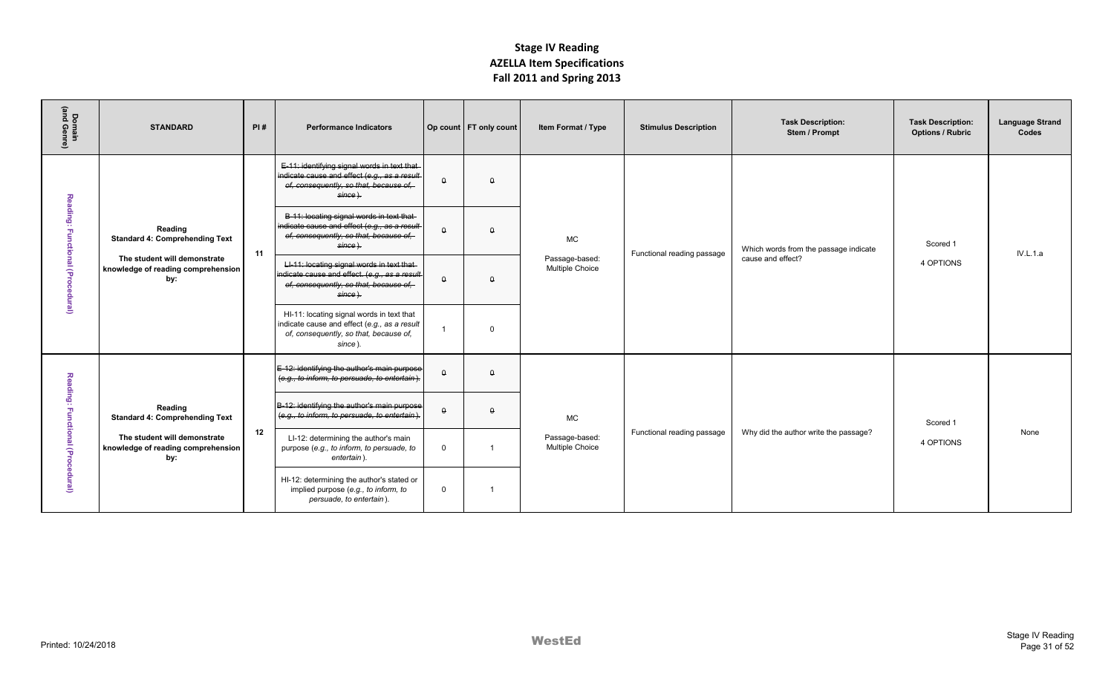| Domain<br>(and Genre)            | <b>STANDARD</b>                                                                                                               | PI# | <b>Performance Indicators</b>                                                                                                                                  |                | Op count   FT only count | Item Format / Type                             | <b>Stimulus Description</b> | <b>Task Description:</b><br>Stem / Prompt | <b>Task Description:</b><br><b>Options / Rubric</b> | <b>Language Strand</b><br>Codes |
|----------------------------------|-------------------------------------------------------------------------------------------------------------------------------|-----|----------------------------------------------------------------------------------------------------------------------------------------------------------------|----------------|--------------------------|------------------------------------------------|-----------------------------|-------------------------------------------|-----------------------------------------------------|---------------------------------|
|                                  |                                                                                                                               |     | E-11: identifying signal words in text that-<br>indicate cause and effect (e.g., as a result-<br>of, consequently, so that, because of,<br><del>since ).</del> | $\theta$       | $\theta$                 |                                                |                             |                                           |                                                     |                                 |
| Reading: Functional (Procedural) | Reading<br><b>Standard 4: Comprehending Text</b>                                                                              | 11  | B-11: locating signal words in text that-<br>indicate cause and effect (e.g., as a result-<br>of, consequently, so that, because of,<br><del>since ).</del>    | $\theta$       | $\Omega$                 | <b>MC</b>                                      | Functional reading passage  | Which words from the passage indicate     | Scored 1                                            | <b>IV.L.1.a</b>                 |
|                                  | The student will demonstrate<br>knowledge of reading comprehension<br>by:                                                     |     | LI-11: locating signal words in text that<br>indicate cause and effect. (e.g., as a result<br>of, consequently, so that, because of,<br><del>since ).</del>    | $\theta$       | $\theta$                 | Passage-based:<br>Multiple Choice              |                             | cause and effect?                         | 4 OPTIONS                                           |                                 |
|                                  |                                                                                                                               |     | HI-11: locating signal words in text that<br>indicate cause and effect (e.g., as a result<br>of, consequently, so that, because of,<br>since).                 |                | $\Omega$                 |                                                |                             |                                           |                                                     |                                 |
| Reading:                         |                                                                                                                               |     | E-12: identifying the author's main purpose<br>(e.g., to inform, to persuade, to entertain).                                                                   | $\theta$       | $\theta$                 |                                                |                             |                                           |                                                     |                                 |
|                                  | Reading<br><b>Standard 4: Comprehending Text</b><br>The student will demonstrate<br>knowledge of reading comprehension<br>by: |     | B-12: identifying the author's main purpose<br>(e.g., to inform, to persuade, to entertain).                                                                   | $\theta$       | $\theta$                 | <b>MC</b><br>Passage-based:<br>Multiple Choice |                             |                                           | Scored 1                                            |                                 |
| Functional (Procedural)          |                                                                                                                               | 12  | LI-12: determining the author's main<br>purpose (e.g., to inform, to persuade, to<br>entertain).                                                               | $\overline{0}$ |                          |                                                | Functional reading passage  | Why did the author write the passage?     | 4 OPTIONS                                           | None                            |
|                                  |                                                                                                                               |     | HI-12: determining the author's stated or<br>implied purpose (e.g., to inform, to<br>persuade, to entertain).                                                  | $\Omega$       | $\overline{1}$           |                                                |                             |                                           |                                                     |                                 |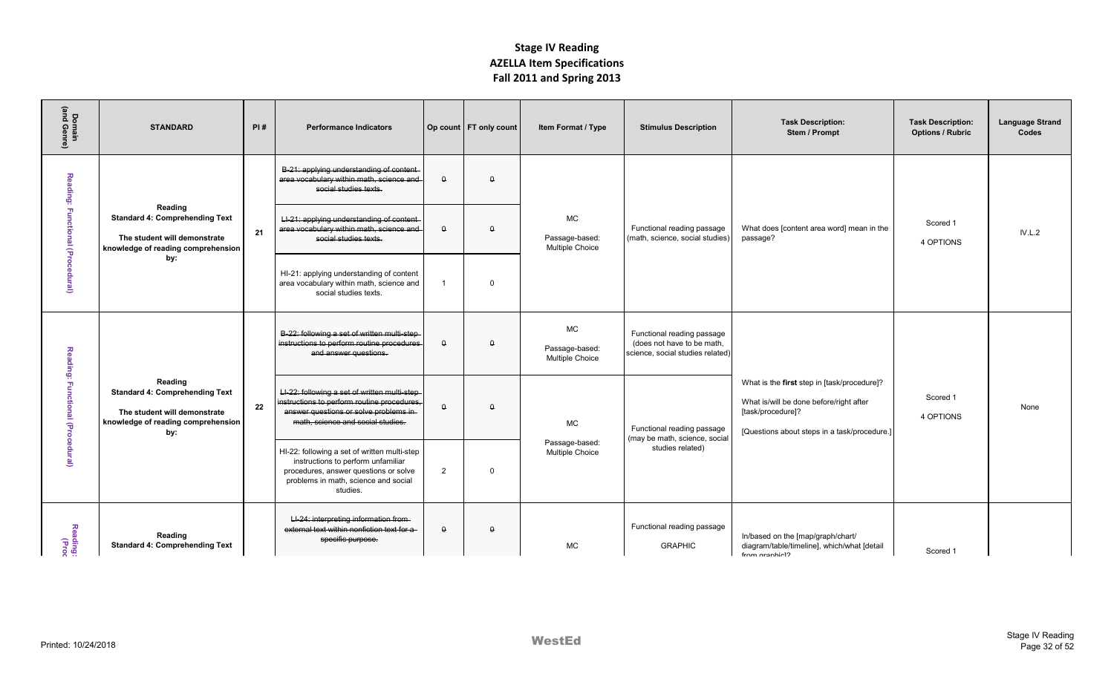| Domain<br>(and Genre)            | <b>STANDARD</b>                                                                                                               | PI# | <b>Performance Indicators</b>                                                                                                                                                   |                | Op count   FT only count | Item Format / Type                             | <b>Stimulus Description</b>                                                                  | <b>Task Description:</b><br>Stem / Prompt                                                                                                                   | <b>Task Description:</b><br><b>Options / Rubric</b> | <b>Language Strand</b><br>Codes |
|----------------------------------|-------------------------------------------------------------------------------------------------------------------------------|-----|---------------------------------------------------------------------------------------------------------------------------------------------------------------------------------|----------------|--------------------------|------------------------------------------------|----------------------------------------------------------------------------------------------|-------------------------------------------------------------------------------------------------------------------------------------------------------------|-----------------------------------------------------|---------------------------------|
|                                  |                                                                                                                               |     | B-21: applying understanding of content-<br>area vocabulary within math, science and<br>social studies texts.                                                                   | $\theta$       | $\theta$                 |                                                |                                                                                              |                                                                                                                                                             |                                                     |                                 |
| Reading: Functional (Procedural) | Reading<br><b>Standard 4: Comprehending Text</b><br>The student will demonstrate<br>knowledge of reading comprehension        | 21  | LI-21: applying understanding of content<br>area vocabulary within math, science and<br>social studies texts.                                                                   | $\theta$       | $\Omega$                 | <b>MC</b><br>Passage-based:<br>Multiple Choice | Functional reading passage<br>(math, science, social studies)                                | What does [content area word] mean in the<br>passage?                                                                                                       | Scored 1<br>4 OPTIONS                               | IV.L.2                          |
|                                  | by:                                                                                                                           |     | HI-21: applying understanding of content<br>area vocabulary within math, science and<br>social studies texts.                                                                   | $\overline{1}$ | $\Omega$                 |                                                |                                                                                              |                                                                                                                                                             |                                                     |                                 |
|                                  |                                                                                                                               |     | B-22: following a set of written multi-step-<br>instructions to perform routine procedures<br>and answer questions.                                                             | $\theta$       | $\Omega$                 | <b>MC</b><br>Passage-based:<br>Multiple Choice | Functional reading passage<br>(does not have to be math.<br>science, social studies related) |                                                                                                                                                             |                                                     |                                 |
| Reading: Functional (Procedural) | Reading<br><b>Standard 4: Comprehending Text</b><br>The student will demonstrate<br>knowledge of reading comprehension<br>by: | 22  | LI-22: following a set of written multi-step-<br>instructions to perform routine procedures,<br>answer questions or solve problems in-<br>math, science and social studies.     | $\theta$       | $\theta$                 | <b>MC</b>                                      | Functional reading passage<br>(may be math, science, social                                  | What is the first step in [task/procedure]?<br>What is/will be done before/right after<br>[task/procedure]?<br>[Questions about steps in a task/procedure.] | Scored 1<br>4 OPTIONS                               | None                            |
|                                  |                                                                                                                               |     | HI-22: following a set of written multi-step<br>instructions to perform unfamiliar<br>procedures, answer questions or solve<br>problems in math, science and social<br>studies. | 2              | $\mathbf 0$              | Passage-based:<br>Multiple Choice              | studies related)                                                                             |                                                                                                                                                             |                                                     |                                 |
| Reading:<br>Reading:             | Reading<br><b>Standard 4: Comprehending Text</b>                                                                              |     | LI-24: interpreting information from-<br>external text within nonfiction text for a<br>specific purpose.                                                                        | $\theta$       | $\theta$                 | <b>MC</b>                                      | Functional reading passage<br><b>GRAPHIC</b>                                                 | In/based on the [map/graph/chart/<br>diagram/table/timeline], which/what [detail<br>from aranhio <sub>1</sub>                                               | Scored 1                                            |                                 |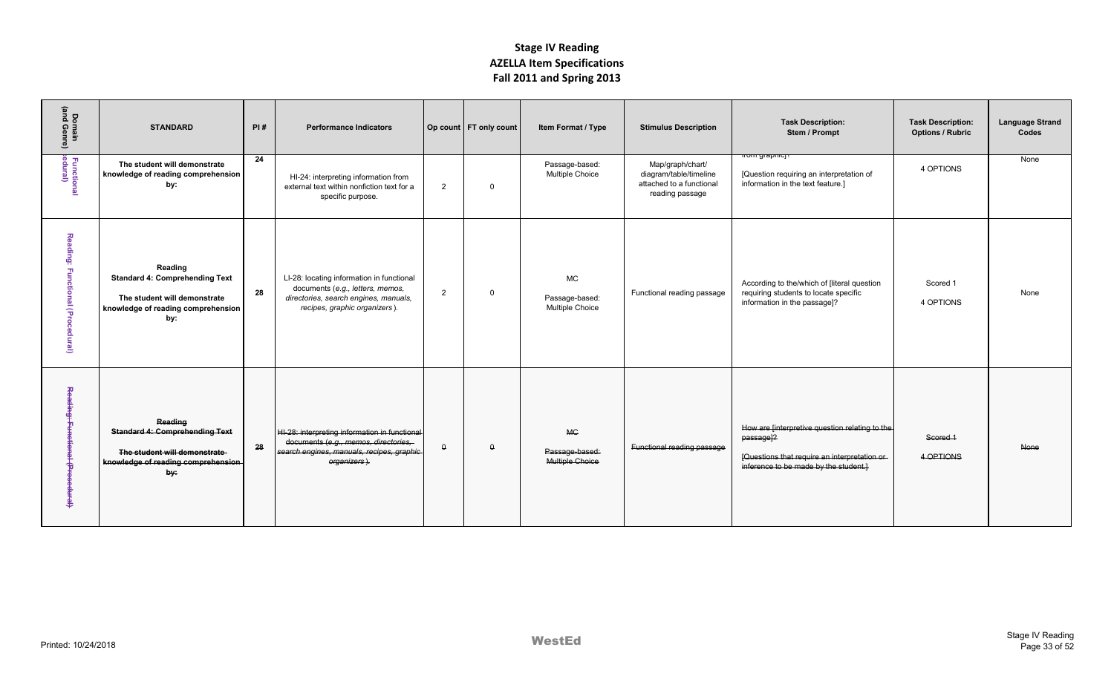| Domain<br>(and Genre)               | <b>STANDARD</b>                                                                                                               | PI# | <b>Performance Indicators</b>                                                                                                                           |          | Op count   FT only count | Item Format / Type                             | <b>Stimulus Description</b>                                                               | <b>Task Description:</b><br>Stem / Prompt                                                                                                                         | <b>Task Description:</b><br><b>Options / Rubric</b> | <b>Language Strand</b><br>Codes |
|-------------------------------------|-------------------------------------------------------------------------------------------------------------------------------|-----|---------------------------------------------------------------------------------------------------------------------------------------------------------|----------|--------------------------|------------------------------------------------|-------------------------------------------------------------------------------------------|-------------------------------------------------------------------------------------------------------------------------------------------------------------------|-----------------------------------------------------|---------------------------------|
| Functional<br>:edural)              | The student will demonstrate<br>knowledge of reading comprehension<br>by:                                                     | 24  | HI-24: interpreting information from<br>external text within nonfiction text for a<br>specific purpose.                                                 | 2        | $\Omega$                 | Passage-based:<br>Multiple Choice              | Map/graph/chart/<br>diagram/table/timeline<br>attached to a functional<br>reading passage | r <del>om grapmoj</del><br>[Question requiring an interpretation of<br>information in the text feature.]                                                          | 4 OPTIONS                                           | None                            |
| Reading: Functional (Procedural)    | Reading<br><b>Standard 4: Comprehending Text</b><br>The student will demonstrate<br>knowledge of reading comprehension<br>by: | 28  | LI-28: locating information in functional<br>documents (e.g., letters, memos,<br>directories, search engines, manuals,<br>recipes, graphic organizers). | 2        | $\mathbf 0$              | <b>MC</b><br>Passage-based:<br>Multiple Choice | Functional reading passage                                                                | According to the/which of [literal question<br>requiring students to locate specific<br>information in the passage]?                                              | Scored 1<br>4 OPTIONS                               | None                            |
| Reading:<br>Functional (Procedural) | Reading<br><b>Standard 4: Comprehending Text</b><br>The student will demonstrate<br>knowledge of reading comprehension<br>by: | 28  | HI-28: interpreting information in functional-<br>documents (e.g., memos, directories,<br>search engines, manuals, recipes, graphic<br>organizers).     | $\Omega$ | $\Omega$                 | <b>MC</b><br>Passage-based:<br>Multiple Choice | Functional reading passage                                                                | How are [interpretive question relating to the<br>passage <sup>12</sup><br>[Questions that require an interpretation or-<br>inference to be made by the student.] | Scored 1<br>4-OPTIONS                               | <b>None</b>                     |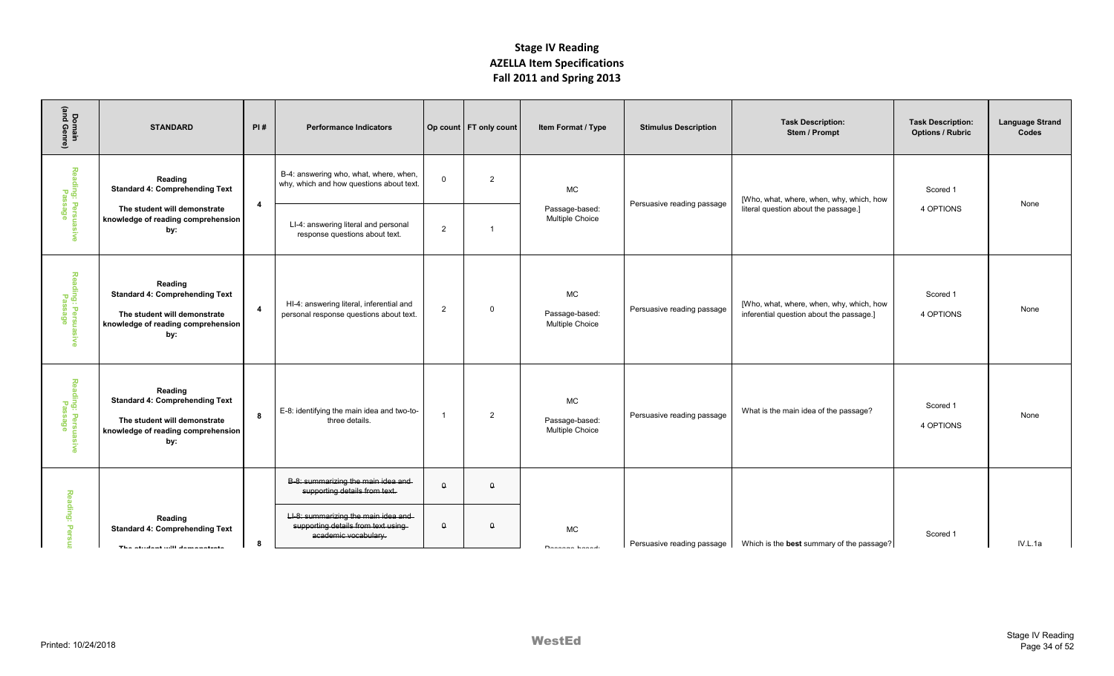| Domain<br>(and Genre)                             | <b>STANDARD</b>                                                                                                               | PI#            | <b>Performance Indicators</b>                                                                      |                | Op count   FT only count | Item Format / Type                            | <b>Stimulus Description</b> | <b>Task Description:</b><br>Stem / Prompt                                            | <b>Task Description:</b><br><b>Options / Rubric</b> | <b>Language Strand</b><br>Codes |
|---------------------------------------------------|-------------------------------------------------------------------------------------------------------------------------------|----------------|----------------------------------------------------------------------------------------------------|----------------|--------------------------|-----------------------------------------------|-----------------------------|--------------------------------------------------------------------------------------|-----------------------------------------------------|---------------------------------|
| Reading: Persuasi <sup>.</sup><br>Passage         | Reading<br><b>Standard 4: Comprehending Text</b>                                                                              | $\overline{4}$ | B-4: answering who, what, where, when,<br>why, which and how questions about text.                 | $\Omega$       | $\overline{2}$           | MC                                            | Persuasive reading passage  | [Who, what, where, when, why, which, how                                             | Scored 1                                            | None                            |
| ్థ                                                | The student will demonstrate<br>knowledge of reading comprehension<br>by:                                                     |                | LI-4: answering literal and personal<br>response questions about text.                             | $\overline{2}$ | $\overline{1}$           | Passage-based:<br>Multiple Choice             |                             | literal question about the passage.]                                                 | 4 OPTIONS                                           |                                 |
| Reading: Persuas<br>Passage<br><b>SCD</b>         | Reading<br><b>Standard 4: Comprehending Text</b><br>The student will demonstrate<br>knowledge of reading comprehension<br>by: | $\overline{4}$ | HI-4: answering literal, inferential and<br>personal response questions about text.                | $\overline{2}$ | $\overline{0}$           | MC<br>Passage-based:<br>Multiple Choice       | Persuasive reading passage  | [Who, what, where, when, why, which, how<br>inferential question about the passage.] | Scored 1<br>4 OPTIONS                               | None                            |
| Reading: Persuasi <sup>,</sup><br>Passage<br>Š    | Reading<br><b>Standard 4: Comprehending Text</b><br>The student will demonstrate<br>knowledge of reading comprehension<br>by: | -8             | E-8: identifying the main idea and two-to-<br>three details.                                       | $\overline{1}$ | $\overline{2}$           | $\sf MC$<br>Passage-based:<br>Multiple Choice | Persuasive reading passage  | What is the main idea of the passage?                                                | Scored 1<br>4 OPTIONS                               | None                            |
|                                                   |                                                                                                                               |                | B-8: summarizing the main idea and-<br>supporting details from text.                               | $\theta$       | $\theta$                 |                                               |                             |                                                                                      |                                                     |                                 |
| Reading:<br>$\mathbf{\overline{v}}$<br><b>ere</b> | Reading<br><b>Standard 4: Comprehending Text</b><br>The etudent will demonstrate                                              | 8              | LI-8: summarizing the main idea and-<br>supporting details from text using<br>academic vocabulary. | $\theta$       | $\theta$                 | MC<br>Donnano honodi                          | Persuasive reading passage  | Which is the best summary of the passage?                                            | Scored 1                                            | IV.L.1a                         |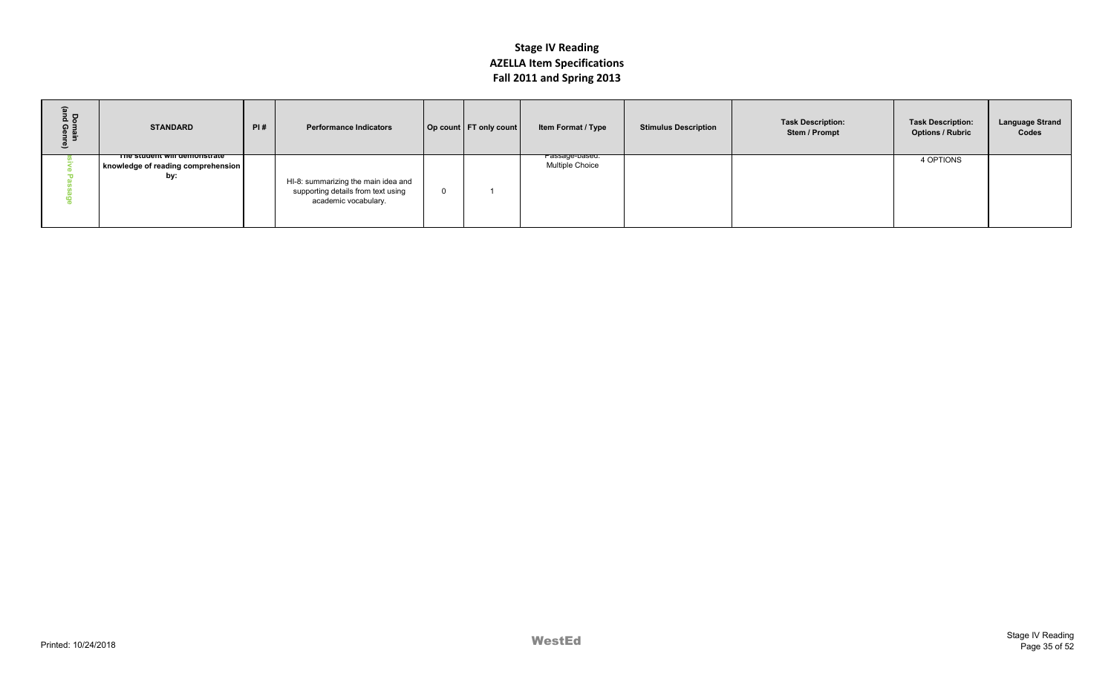| $\frac{1}{2}$<br>ດ ∃ | <b>STANDARD</b>                                                           | PI# | <b>Performance Indicators</b>                                                                     | Op count   FT only count | Item Format / Type                                  | <b>Stimulus Description</b> | <b>Task Description:</b><br>Stem / Prompt | <b>Task Description:</b><br><b>Options / Rubric</b> | <b>Language Strand</b><br>Codes |
|----------------------|---------------------------------------------------------------------------|-----|---------------------------------------------------------------------------------------------------|--------------------------|-----------------------------------------------------|-----------------------------|-------------------------------------------|-----------------------------------------------------|---------------------------------|
|                      | The student will demonstrate<br>knowledge of reading comprehension<br>by: |     | HI-8: summarizing the main idea and<br>supporting details from text using<br>academic vocabulary. |                          | <del>rassage-paseu.</del><br><b>Multiple Choice</b> |                             |                                           | 4 OPTIONS                                           |                                 |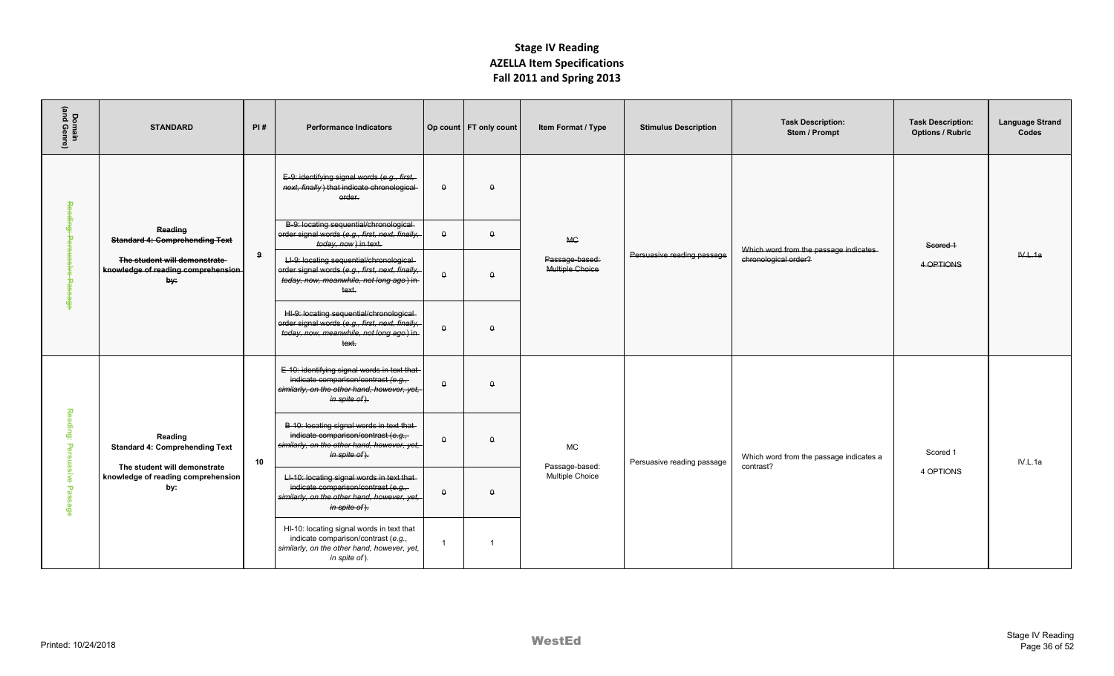| Domain<br>(and Genre) | <b>STANDARD</b>                                                                                                                                              | PI#          | <b>Performance Indicators</b>                                                                                                                       |                | Op count   FT only count | Item Format / Type                | <b>Stimulus Description</b> | <b>Task Description:</b><br>Stem / Prompt            | <b>Task Description:</b><br><b>Options / Rubric</b> | <b>Language Strand</b><br>Codes |
|-----------------------|--------------------------------------------------------------------------------------------------------------------------------------------------------------|--------------|-----------------------------------------------------------------------------------------------------------------------------------------------------|----------------|--------------------------|-----------------------------------|-----------------------------|------------------------------------------------------|-----------------------------------------------------|---------------------------------|
| 뚕                     |                                                                                                                                                              |              | E-9: identifying signal words (e.g., first,<br>next, finally) that indicate chronological<br>order.                                                 | $\theta$       | $\theta$                 |                                   |                             |                                                      |                                                     |                                 |
| <b>Buipe</b><br>÷     | Reading<br><b>Standard 4: Comprehending Text</b>                                                                                                             |              | B-9: locating sequential/chronological-<br>order signal words (e.g., first, next, finally,<br>today, now) in text.                                  | $\theta$       | $\theta$                 | <b>MG</b>                         |                             | Which word from the passage indicates                | Scored 1                                            |                                 |
| ъ                     | The student will demonstrate<br>knowledge of reading comprehension<br>by:                                                                                    | $\mathbf{q}$ | LI-9: locating sequential/chronological<br>order signal words (e.g., first, next, finally,<br>today, now, meanwhile, not long ago) in<br>text       | $\theta$       | $\theta$                 | Passage-based:<br>Multiple Choice | Persuasive reading passage  | chronological order?                                 | 4 OPTIONS                                           | W.L.1a                          |
| த்                    |                                                                                                                                                              |              | HI-9: locating sequential/chronological-<br>order signal words (e.g., first, next, finally,<br>today, now, meanwhile, not long ago) in-<br>text.    | $\theta$       | $\theta$                 |                                   |                             |                                                      |                                                     |                                 |
|                       |                                                                                                                                                              |              | E-10: identifying signal words in text that-<br>indicate comparison/contrast (e.g.,<br>similarly, on the other hand, however, yet,<br>in spite of). | $\theta$       | $\theta$                 |                                   |                             |                                                      |                                                     |                                 |
|                       | Reading: Persuasive Passage<br>Reading<br><b>Standard 4: Comprehending Text</b><br>The student will demonstrate<br>knowledge of reading comprehension<br>by: | 10           | B-10: locating signal words in text that-<br>indicate comparison/contrast (e.g.,<br>similarly, on the other hand, however, yet,<br>in spite of).    | $\theta$       | $\Omega$                 | <b>MC</b><br>Passage-based:       | Persuasive reading passage  | Which word from the passage indicates a<br>contrast? | Scored 1                                            | IV.L.1a                         |
|                       |                                                                                                                                                              |              | LI-10: locating signal words in text that-<br>indicate comparison/contrast (e.g.,<br>similarly, on the other hand, however, yet,<br>in spite of).   | $\theta$       | $\theta$                 | Multiple Choice                   |                             |                                                      | 4 OPTIONS                                           |                                 |
|                       |                                                                                                                                                              |              | HI-10: locating signal words in text that<br>indicate comparison/contrast (e.g.,<br>similarly, on the other hand, however, yet,<br>in spite of).    | $\overline{1}$ | $\overline{1}$           |                                   |                             |                                                      |                                                     |                                 |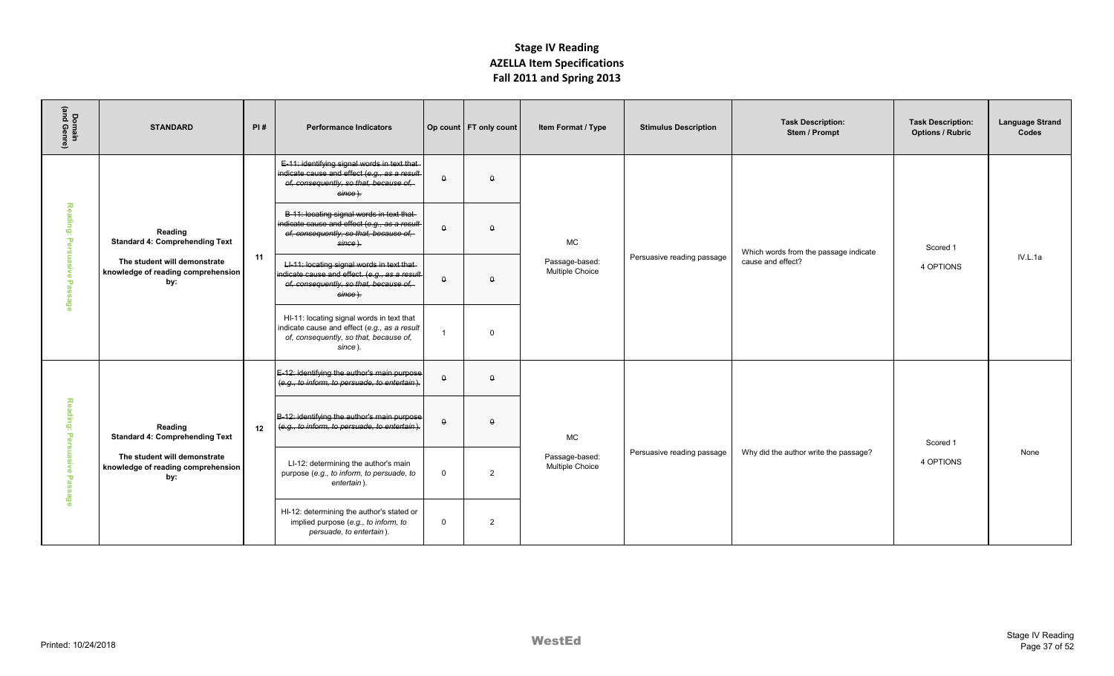| Domain<br>(and Genre) | <b>STANDARD</b>                                                           | PI# | <b>Performance Indicators</b>                                                                                                                                |              | Op count   FT only count | Item Format / Type                             | <b>Stimulus Description</b> | <b>Task Description:</b><br>Stem / Prompt | <b>Task Description:</b><br><b>Options / Rubric</b> | <b>Language Strand</b><br>Codes |
|-----------------------|---------------------------------------------------------------------------|-----|--------------------------------------------------------------------------------------------------------------------------------------------------------------|--------------|--------------------------|------------------------------------------------|-----------------------------|-------------------------------------------|-----------------------------------------------------|---------------------------------|
|                       |                                                                           |     | E-11: identifying signal words in text that-<br>indicate cause and effect (e.g., as a result<br>of, consequently, so that, because of,<br>since).            | $\theta$     | $\Omega$                 |                                                |                             |                                           |                                                     |                                 |
| Reading:<br>Ъeг       | Reading<br><b>Standard 4: Comprehending Text</b>                          |     | B-11: locating signal words in text that-<br>indicate cause and effect (e.g., as a result<br>of, consequently, so that, because of,<br>since).               | $\Omega$     | $\Omega$                 | <b>MC</b>                                      |                             | Which words from the passage indicate     | Scored 1                                            |                                 |
| suasive Passage       | The student will demonstrate<br>knowledge of reading comprehension<br>by: | 11  | LI-11: locating signal words in text that<br>indicate cause and effect. (e.g., as a result-<br>of, consequently, so that, because of,<br><del>since ).</del> | $\theta$     | $\theta$                 | Passage-based:<br>Multiple Choice              | Persuasive reading passage  | cause and effect?                         | 4 OPTIONS                                           | IV.L.1a                         |
|                       |                                                                           |     | HI-11: locating signal words in text that<br>indicate cause and effect (e.g., as a result<br>of, consequently, so that, because of,<br>since).               |              | $\Omega$                 |                                                |                             |                                           |                                                     |                                 |
|                       |                                                                           |     | E-12: identifying the author's main purpose<br>(e.g., to inform, to persuade, to entertain).                                                                 | $\theta$     | $\theta$                 |                                                |                             |                                           |                                                     |                                 |
| Reading: Persuasive   | Reading<br><b>Standard 4: Comprehending Text</b>                          | 12  | B-12: identifying the author's main purpose<br>(e.g., to inform, to persuade, to entertain).                                                                 | $\theta$     | $\Omega$                 | <b>MC</b><br>Passage-based:<br>Multiple Choice |                             |                                           | Scored 1                                            |                                 |
| Passage               | The student will demonstrate<br>knowledge of reading comprehension<br>by: |     | LI-12: determining the author's main<br>purpose (e.g., to inform, to persuade, to<br>entertain).                                                             | $\mathbf 0$  | $\overline{2}$           |                                                | Persuasive reading passage  | Why did the author write the passage?     | 4 OPTIONS                                           | None                            |
|                       |                                                                           |     | HI-12: determining the author's stated or<br>implied purpose (e.g., to inform, to<br>persuade, to entertain).                                                | $\mathbf{0}$ | $\overline{2}$           |                                                |                             |                                           |                                                     |                                 |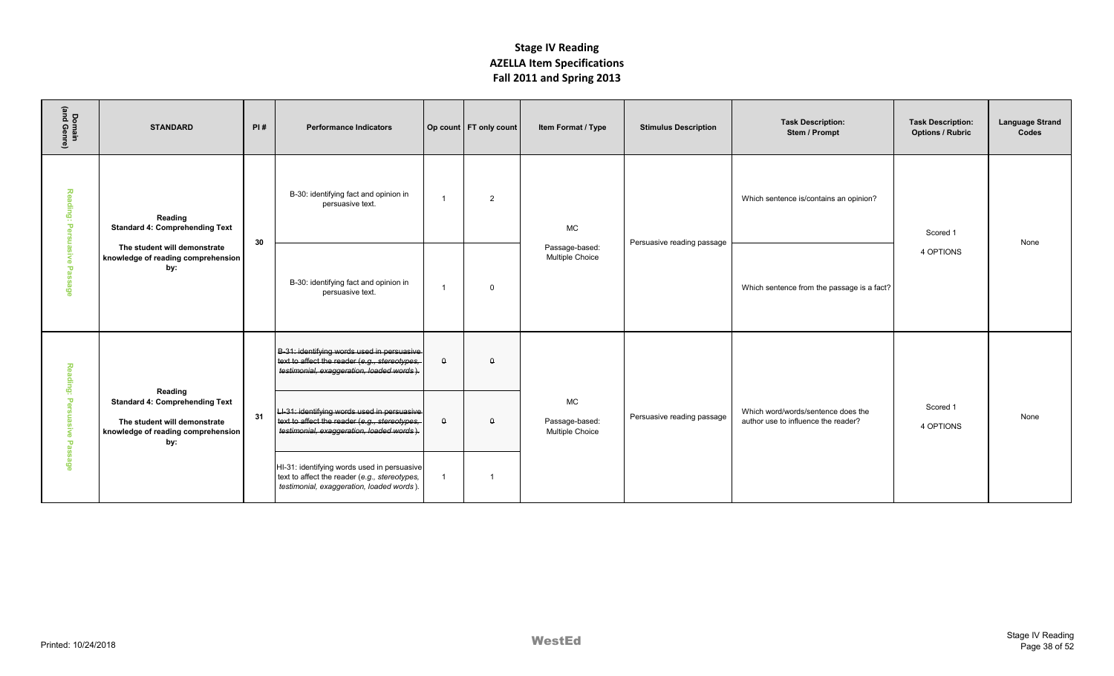| Domain<br>(and Genre)                                                          | <b>STANDARD</b>                                                                                                               | PI# | <b>Performance Indicators</b>                                                                                                             |                | Op count   FT only count | Item Format / Type                      | <b>Stimulus Description</b> | <b>Task Description:</b><br>Stem / Prompt                                 | <b>Task Description:</b><br><b>Options / Rubric</b> | <b>Language Strand</b><br>Codes |
|--------------------------------------------------------------------------------|-------------------------------------------------------------------------------------------------------------------------------|-----|-------------------------------------------------------------------------------------------------------------------------------------------|----------------|--------------------------|-----------------------------------------|-----------------------------|---------------------------------------------------------------------------|-----------------------------------------------------|---------------------------------|
| Reading: Pe<br>ळ                                                               | Reading<br><b>Standard 4: Comprehending Text</b>                                                                              | 30  | B-30: identifying fact and opinion in<br>persuasive text.                                                                                 | $\overline{1}$ | $\overline{2}$           | MC                                      | Persuasive reading passage  | Which sentence is/contains an opinion?                                    | Scored 1                                            | None                            |
| uasive Pa<br>$\overline{a}$<br>æ                                               | The student will demonstrate<br>knowledge of reading comprehension<br>by:                                                     |     | B-30: identifying fact and opinion in<br>persuasive text.                                                                                 | $\overline{1}$ | $\Omega$                 | Passage-based:<br>Multiple Choice       |                             | Which sentence from the passage is a fact?                                | 4 OPTIONS                                           |                                 |
| Reading:                                                                       |                                                                                                                               |     | B-31: identifying words used in persuasive<br>text to affect the reader (e.g., stereotypes,<br>testimonial, exaggeration, loaded words).  | $\Omega$       | $\Omega$                 |                                         |                             |                                                                           |                                                     |                                 |
| $\mathbf{\overline{v}}$<br>m<br><b>uasive</b><br>$\mathbf{\overline{v}}$<br>œ, | Reading<br><b>Standard 4: Comprehending Text</b><br>The student will demonstrate<br>knowledge of reading comprehension<br>by: | 31  | LI-31: identifying words used in persuasive<br>text to affect the reader (e.g., stereotypes,<br>testimonial, exaggeration, loaded words). | $\theta$       | $\theta$                 | MC<br>Passage-based:<br>Multiple Choice | Persuasive reading passage  | Which word/words/sentence does the<br>author use to influence the reader? | Scored 1<br>4 OPTIONS                               | None                            |
| m.<br>ege                                                                      |                                                                                                                               |     | HI-31: identifying words used in persuasive<br>text to affect the reader (e.g., stereotypes,<br>testimonial, exaggeration, loaded words). | $\overline{1}$ | $\overline{1}$           |                                         |                             |                                                                           |                                                     |                                 |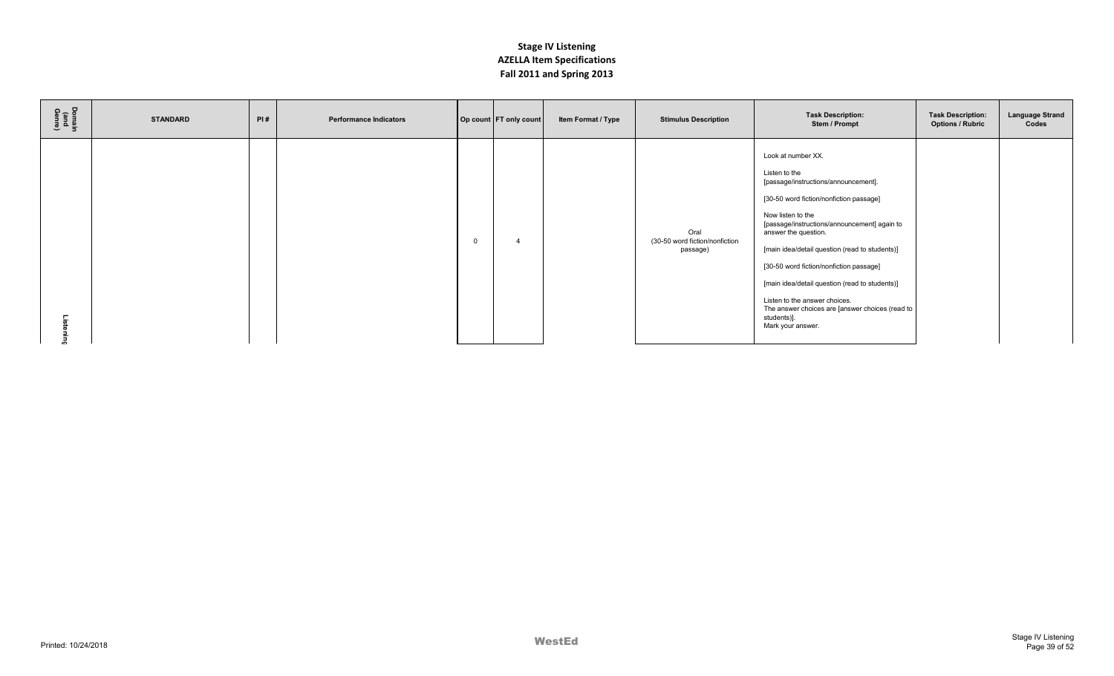| Domain<br>(and<br>Genre) | <b>STANDARD</b> | PI# | <b>Performance Indicators</b> |              | Op count FT only count | Item Format / Type | <b>Stimulus Description</b>                        | <b>Task Description:</b><br>Stem / Prompt                                                                                                                                                                                                                                                                                                                                                                                                                                                  | <b>Task Description:</b><br><b>Options / Rubric</b> | <b>Language Strand</b><br>Codes |
|--------------------------|-----------------|-----|-------------------------------|--------------|------------------------|--------------------|----------------------------------------------------|--------------------------------------------------------------------------------------------------------------------------------------------------------------------------------------------------------------------------------------------------------------------------------------------------------------------------------------------------------------------------------------------------------------------------------------------------------------------------------------------|-----------------------------------------------------|---------------------------------|
|                          |                 |     |                               | $\mathbf{0}$ |                        |                    | Oral<br>(30-50 word fiction/nonfiction<br>passage) | Look at number XX.<br>Listen to the<br>[passage/instructions/announcement].<br>[30-50 word fiction/nonfiction passage]<br>Now listen to the<br>[passage/instructions/announcement] again to<br>answer the question.<br>[main idea/detail question (read to students)]<br>[30-50 word fiction/nonfiction passage]<br>[main idea/detail question (read to students)]<br>Listen to the answer choices.<br>The answer choices are [answer choices (read to<br>students)].<br>Mark your answer. |                                                     |                                 |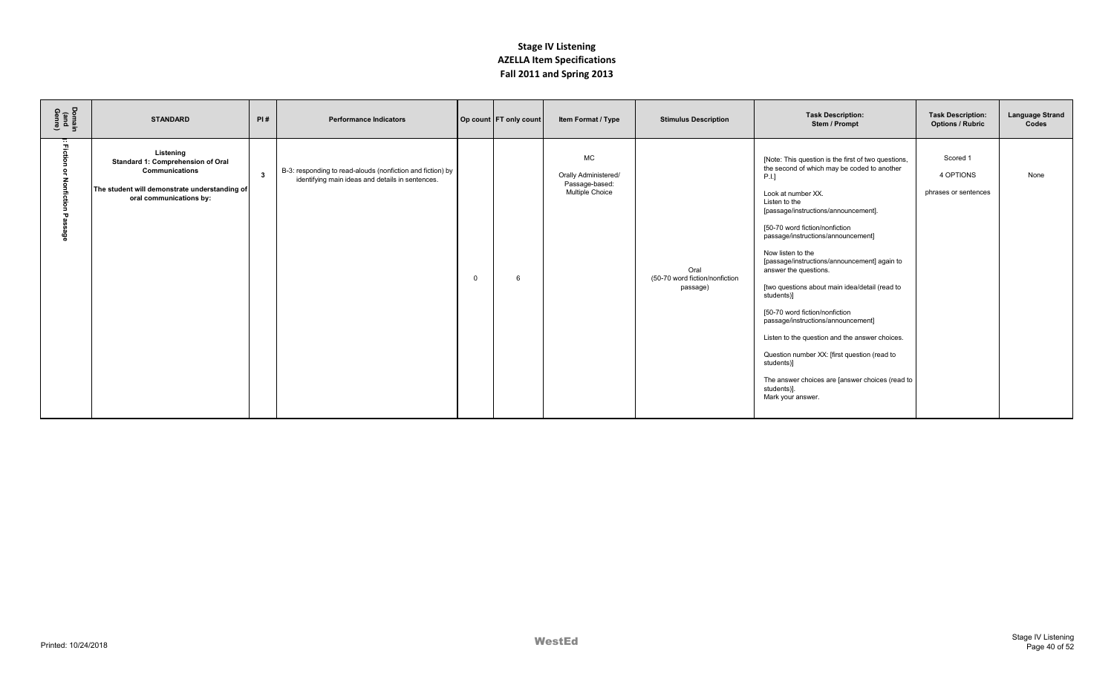| Domain<br>(and<br>Genre) | <b>STANDARD</b>                                                                                                                                     | PI#          | <b>Performance Indicators</b>                                                                                  |          | Op count FT only count | Item Format / Type                                                     | <b>Stimulus Description</b>                        | <b>Task Description:</b><br>Stem / Prompt                                                                                                                                                                                                                                                                                                                                                                                                                                                                                                                                                                                                                                                                      | <b>Task Description:</b><br><b>Options / Rubric</b> | <b>Language Strand</b><br>Codes |
|--------------------------|-----------------------------------------------------------------------------------------------------------------------------------------------------|--------------|----------------------------------------------------------------------------------------------------------------|----------|------------------------|------------------------------------------------------------------------|----------------------------------------------------|----------------------------------------------------------------------------------------------------------------------------------------------------------------------------------------------------------------------------------------------------------------------------------------------------------------------------------------------------------------------------------------------------------------------------------------------------------------------------------------------------------------------------------------------------------------------------------------------------------------------------------------------------------------------------------------------------------------|-----------------------------------------------------|---------------------------------|
| m                        | Listening<br>Standard 1: Comprehension of Oral<br><b>Communications</b><br>The student will demonstrate understanding of<br>oral communications by: | $\mathbf{3}$ | B-3: responding to read-alouds (nonfiction and fiction) by<br>identifying main ideas and details in sentences. | $\Omega$ |                        | <b>MC</b><br>Orally Administered/<br>Passage-based:<br>Multiple Choice | Oral<br>(50-70 word fiction/nonfiction<br>passage) | [Note: This question is the first of two questions,<br>the second of which may be coded to another<br>P.I.<br>Look at number XX.<br>Listen to the<br>[passage/instructions/announcement].<br>[50-70 word fiction/nonfiction<br>passage/instructions/announcement]<br>Now listen to the<br>[passage/instructions/announcement] again to<br>answer the questions.<br>[two questions about main idea/detail (read to<br>students)]<br>[50-70 word fiction/nonfiction<br>passage/instructions/announcement]<br>Listen to the question and the answer choices.<br>Question number XX: [first question (read to<br>students)]<br>The answer choices are [answer choices (read to<br>students)].<br>Mark your answer. | Scored 1<br>4 OPTIONS<br>phrases or sentences       | None                            |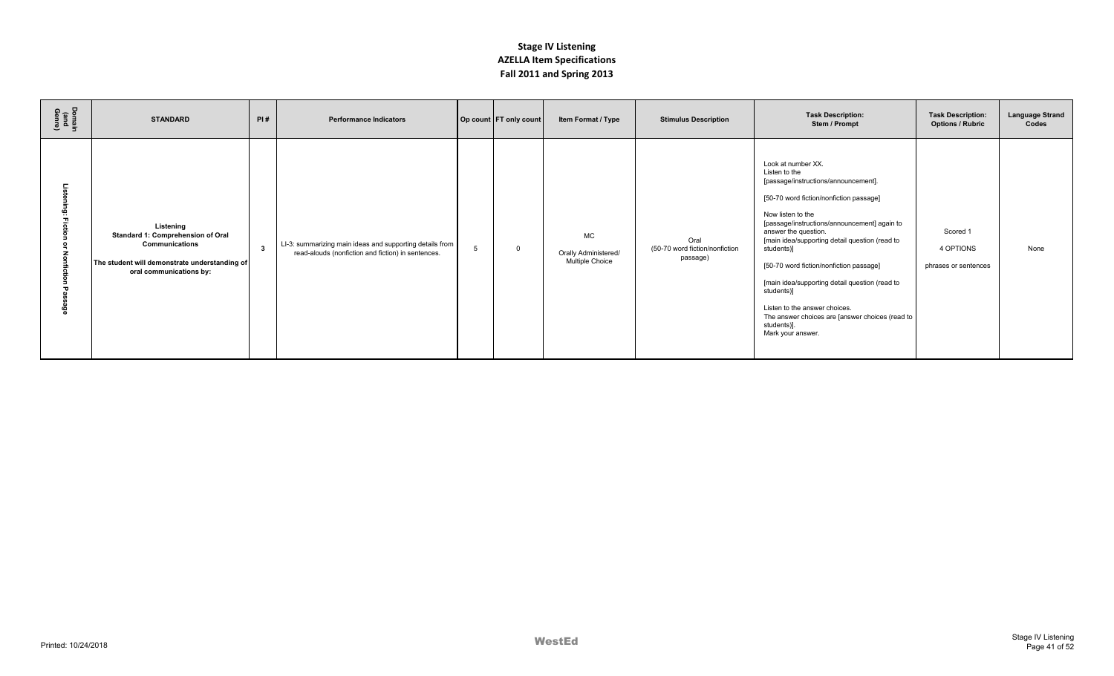| Domain<br>(and<br>Genre) | <b>STANDARD</b>                                                                                                                                     | PI#                     | <b>Performance Indicators</b>                                                                                  |   | Op count FT only count | Item Format / Type                                          | <b>Stimulus Description</b>                        | <b>Task Description:</b><br>Stem / Prompt                                                                                                                                                                                                                                                                                                                                                                                                                                                                              | <b>Task Description:</b><br><b>Options / Rubric</b> | <b>Language Strand</b><br>Codes |
|--------------------------|-----------------------------------------------------------------------------------------------------------------------------------------------------|-------------------------|----------------------------------------------------------------------------------------------------------------|---|------------------------|-------------------------------------------------------------|----------------------------------------------------|------------------------------------------------------------------------------------------------------------------------------------------------------------------------------------------------------------------------------------------------------------------------------------------------------------------------------------------------------------------------------------------------------------------------------------------------------------------------------------------------------------------------|-----------------------------------------------------|---------------------------------|
|                          | Listening<br>Standard 1: Comprehension of Oral<br><b>Communications</b><br>The student will demonstrate understanding of<br>oral communications by: | $\overline{\mathbf{3}}$ | LI-3: summarizing main ideas and supporting details from<br>read-alouds (nonfiction and fiction) in sentences. | 5 | $\Omega$               | <b>MC</b><br>Orally Administered/<br><b>Multiple Choice</b> | Oral<br>(50-70 word fiction/nonfiction<br>passage) | Look at number XX.<br>Listen to the<br>[passage/instructions/announcement].<br>[50-70 word fiction/nonfiction passage]<br>Now listen to the<br>[passage/instructions/announcement] again to<br>answer the question.<br>[main idea/supporting detail question (read to<br>students)]<br>[50-70 word fiction/nonfiction passage]<br>[main idea/supporting detail question (read to<br>students)]<br>Listen to the answer choices.<br>The answer choices are [answer choices (read to<br>students)].<br>Mark your answer. | Scored 1<br>4 OPTIONS<br>phrases or sentences       | None                            |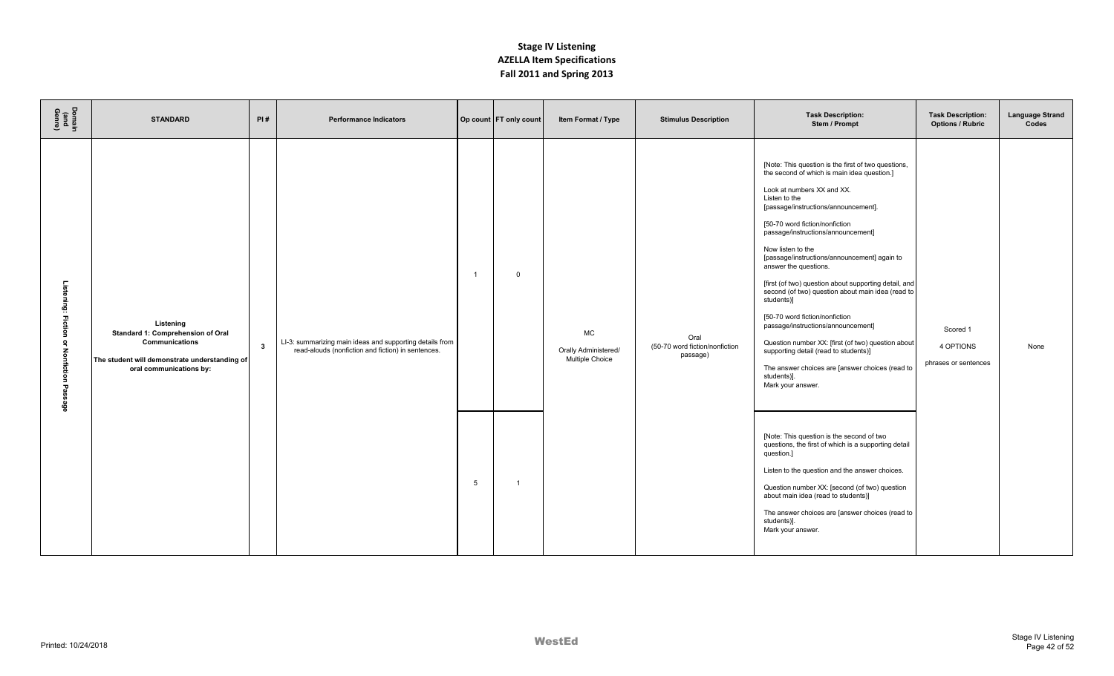| Domain<br>(and<br>Genre)                    | <b>STANDARD</b>                                                                                                                              | PI#          | <b>Performance Indicators</b>                                                                                  |         | Op count   FT only count      | Item Format / Type                            | <b>Stimulus Description</b>                        | <b>Task Description:</b><br>Stem / Prompt                                                                                                                                                                                                                                                                                                                                                                                                                                                                                                                                                                                                                                                                                                                                                                                                                                                                                                                                                                                                                                                                     | <b>Task Description:</b><br><b>Options / Rubric</b> | <b>Language Strand</b><br>Codes |
|---------------------------------------------|----------------------------------------------------------------------------------------------------------------------------------------------|--------------|----------------------------------------------------------------------------------------------------------------|---------|-------------------------------|-----------------------------------------------|----------------------------------------------------|---------------------------------------------------------------------------------------------------------------------------------------------------------------------------------------------------------------------------------------------------------------------------------------------------------------------------------------------------------------------------------------------------------------------------------------------------------------------------------------------------------------------------------------------------------------------------------------------------------------------------------------------------------------------------------------------------------------------------------------------------------------------------------------------------------------------------------------------------------------------------------------------------------------------------------------------------------------------------------------------------------------------------------------------------------------------------------------------------------------|-----------------------------------------------------|---------------------------------|
| Listening: Fiction<br>or Nonfiction Passage | Listening<br>Standard 1: Comprehension of Oral<br>Communications<br>The student will demonstrate understanding of<br>oral communications by: | $\mathbf{3}$ | LI-3: summarizing main ideas and supporting details from<br>read-alouds (nonfiction and fiction) in sentences. | -1<br>5 | $\mathbf 0$<br>$\overline{1}$ | MC<br>Orally Administered/<br>Multiple Choice | Oral<br>(50-70 word fiction/nonfiction<br>passage) | [Note: This question is the first of two questions,<br>the second of which is main idea question.]<br>Look at numbers XX and XX.<br>Listen to the<br>[passage/instructions/announcement].<br>[50-70 word fiction/nonfiction<br>passage/instructions/announcement]<br>Now listen to the<br>[passage/instructions/announcement] again to<br>answer the questions.<br>[first (of two) question about supporting detail, and<br>second (of two) question about main idea (read to<br>students)]<br>[50-70 word fiction/nonfiction<br>passage/instructions/announcement]<br>Question number XX: [first (of two) question about<br>supporting detail (read to students)]<br>The answer choices are [answer choices (read to<br>students)].<br>Mark your answer.<br>[Note: This question is the second of two<br>questions, the first of which is a supporting detail<br>question.]<br>Listen to the question and the answer choices.<br>Question number XX: [second (of two) question<br>about main idea (read to students)]<br>The answer choices are [answer choices (read to<br>students)].<br>Mark your answer. | Scored 1<br>4 OPTIONS<br>phrases or sentences       | None                            |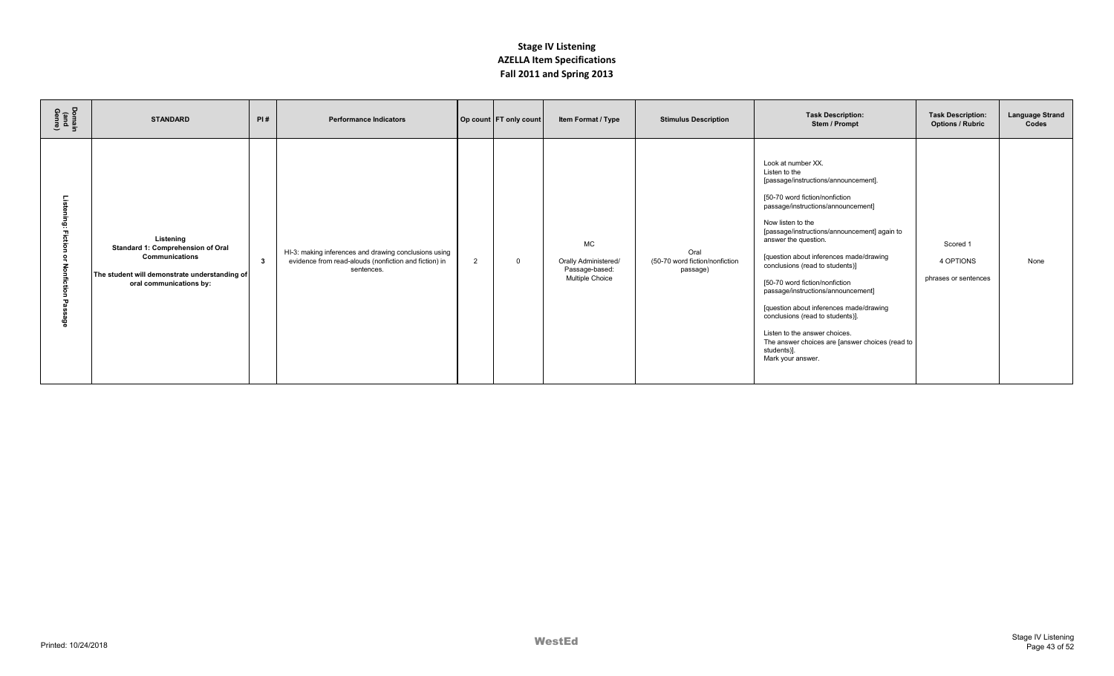| Domain<br>(and<br>Genre) | <b>STANDARD</b>                                                                                                                              | PI# | <b>Performance Indicators</b>                                                                                                |   | Op count FT only count | Item Format / Type                                                     | <b>Stimulus Description</b>                        | <b>Task Description:</b><br>Stem / Prompt                                                                                                                                                                                                                                                                                                                                                                                                                                                                                                                                                                     | <b>Task Description:</b><br><b>Options / Rubric</b> | <b>Language Strand</b><br>Codes |
|--------------------------|----------------------------------------------------------------------------------------------------------------------------------------------|-----|------------------------------------------------------------------------------------------------------------------------------|---|------------------------|------------------------------------------------------------------------|----------------------------------------------------|---------------------------------------------------------------------------------------------------------------------------------------------------------------------------------------------------------------------------------------------------------------------------------------------------------------------------------------------------------------------------------------------------------------------------------------------------------------------------------------------------------------------------------------------------------------------------------------------------------------|-----------------------------------------------------|---------------------------------|
|                          | Listening<br>Standard 1: Comprehension of Oral<br>Communications<br>The student will demonstrate understanding of<br>oral communications by: | - 3 | HI-3: making inferences and drawing conclusions using<br>evidence from read-alouds (nonfiction and fiction) in<br>sentences. | 2 | $\Omega$               | <b>MC</b><br>Orally Administered/<br>Passage-based:<br>Multiple Choice | Oral<br>(50-70 word fiction/nonfiction<br>passage) | Look at number XX.<br>Listen to the<br>[passage/instructions/announcement].<br>[50-70 word fiction/nonfiction<br>passage/instructions/announcement]<br>Now listen to the<br>[passage/instructions/announcement] again to<br>answer the question.<br>[question about inferences made/drawing<br>conclusions (read to students)]<br>[50-70 word fiction/nonfiction<br>passage/instructions/announcement]<br>[question about inferences made/drawing<br>conclusions (read to students)].<br>Listen to the answer choices.<br>The answer choices are [answer choices (read to<br>students)].<br>Mark your answer. | Scored 1<br>4 OPTIONS<br>phrases or sentences       | None                            |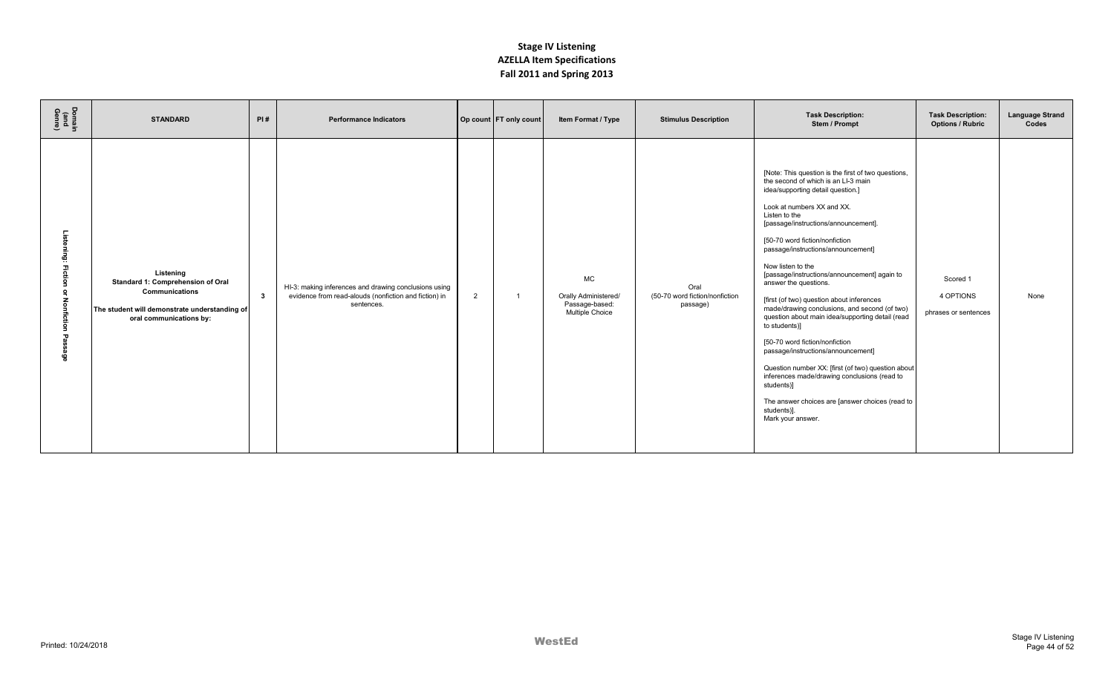| Domain<br>(and<br>Genre) | <b>STANDARD</b>                                                                                                                              | PI#          | <b>Performance Indicators</b>                                                                                                |   | Op count FT only count | Item Format / Type                                                     | <b>Stimulus Description</b>                        | <b>Task Description:</b><br>Stem / Prompt                                                                                                                                                                                                                                                                                                                                                                                                                                                                                                                                                                                                                                                                                                                                                                                                          | <b>Task Description:</b><br><b>Options / Rubric</b> | <b>Language Strand</b><br>Codes |
|--------------------------|----------------------------------------------------------------------------------------------------------------------------------------------|--------------|------------------------------------------------------------------------------------------------------------------------------|---|------------------------|------------------------------------------------------------------------|----------------------------------------------------|----------------------------------------------------------------------------------------------------------------------------------------------------------------------------------------------------------------------------------------------------------------------------------------------------------------------------------------------------------------------------------------------------------------------------------------------------------------------------------------------------------------------------------------------------------------------------------------------------------------------------------------------------------------------------------------------------------------------------------------------------------------------------------------------------------------------------------------------------|-----------------------------------------------------|---------------------------------|
| ឆ្ន                      | Listening<br>Standard 1: Comprehension of Oral<br>Communications<br>The student will demonstrate understanding of<br>oral communications by: | $\mathbf{3}$ | HI-3: making inferences and drawing conclusions using<br>evidence from read-alouds (nonfiction and fiction) in<br>sentences. | 2 |                        | <b>MC</b><br>Orally Administered/<br>Passage-based:<br>Multiple Choice | Oral<br>(50-70 word fiction/nonfiction<br>passage) | [Note: This question is the first of two questions,<br>the second of which is an LI-3 main<br>idea/supporting detail question.]<br>Look at numbers XX and XX.<br>Listen to the<br>[passage/instructions/announcement].<br>[50-70 word fiction/nonfiction<br>passage/instructions/announcement]<br>Now listen to the<br>[passage/instructions/announcement] again to<br>answer the questions.<br>[first (of two) question about inferences<br>made/drawing conclusions, and second (of two)<br>question about main idea/supporting detail (read<br>to students)]<br>[50-70 word fiction/nonfiction<br>passage/instructions/announcement]<br>Question number XX: [first (of two) question about<br>inferences made/drawing conclusions (read to<br>students)]<br>The answer choices are [answer choices (read to<br>students)].<br>Mark your answer. | Scored 1<br>4 OPTIONS<br>phrases or sentences       | None                            |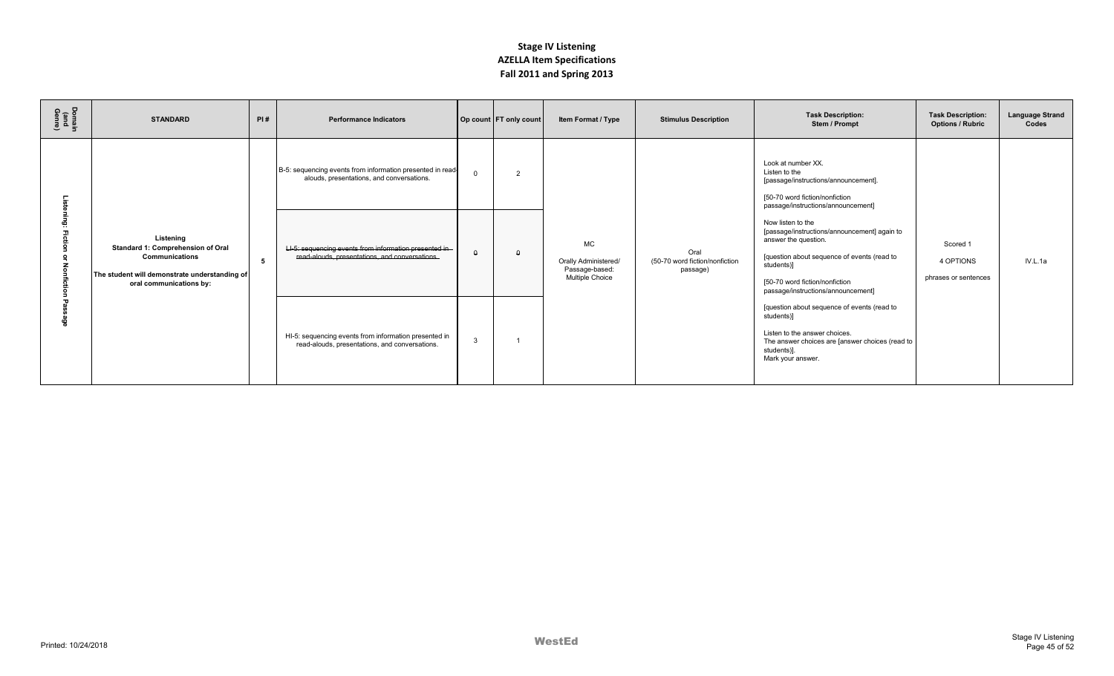| Domain<br>(and<br>Genre) | <b>STANDARD</b>                                                                                                                                     | PI# | <b>Performance Indicators</b>                                                                            |              | Op count FT only count | Item Format / Type                                                            | <b>Stimulus Description</b>                        | <b>Task Description:</b><br>Stem / Prompt                                                                                                                                                                                      | <b>Task Description:</b><br><b>Options / Rubric</b> | <b>Language Strand</b><br>Codes |
|--------------------------|-----------------------------------------------------------------------------------------------------------------------------------------------------|-----|----------------------------------------------------------------------------------------------------------|--------------|------------------------|-------------------------------------------------------------------------------|----------------------------------------------------|--------------------------------------------------------------------------------------------------------------------------------------------------------------------------------------------------------------------------------|-----------------------------------------------------|---------------------------------|
|                          |                                                                                                                                                     |     | B-5: sequencing events from information presented in read-<br>alouds, presentations, and conversations.  | $\Omega$     | $\overline{2}$         |                                                                               |                                                    | Look at number XX.<br>Listen to the<br>[passage/instructions/announcement].<br>[50-70 word fiction/nonfiction<br>passage/instructions/announcement]                                                                            |                                                     |                                 |
|                          | Listening<br>Standard 1: Comprehension of Oral<br><b>Communications</b><br>The student will demonstrate understanding of<br>oral communications by: | -5  | LI-5: sequencing events from information presented in-<br>read-alouds, presentations, and conversations. | $\Omega$     | $\Omega$               | <b>MC</b><br>Orally Administered/<br>Passage-based:<br><b>Multiple Choice</b> | Oral<br>(50-70 word fiction/nonfiction<br>passage) | Now listen to the<br>[passage/instructions/announcement] again to<br>answer the question.<br>[question about sequence of events (read to<br>students)]<br>[50-70 word fiction/nonfiction<br>passage/instructions/announcement] | Scored 1<br>4 OPTIONS<br>phrases or sentences       | IV.L.1a                         |
| ଡୁ                       |                                                                                                                                                     |     | HI-5: sequencing events from information presented in<br>read-alouds, presentations, and conversations.  | $\mathbf{3}$ |                        |                                                                               |                                                    | [question about sequence of events (read to<br>students)]<br>Listen to the answer choices.<br>The answer choices are [answer choices (read to<br>students)].<br>Mark your answer.                                              |                                                     |                                 |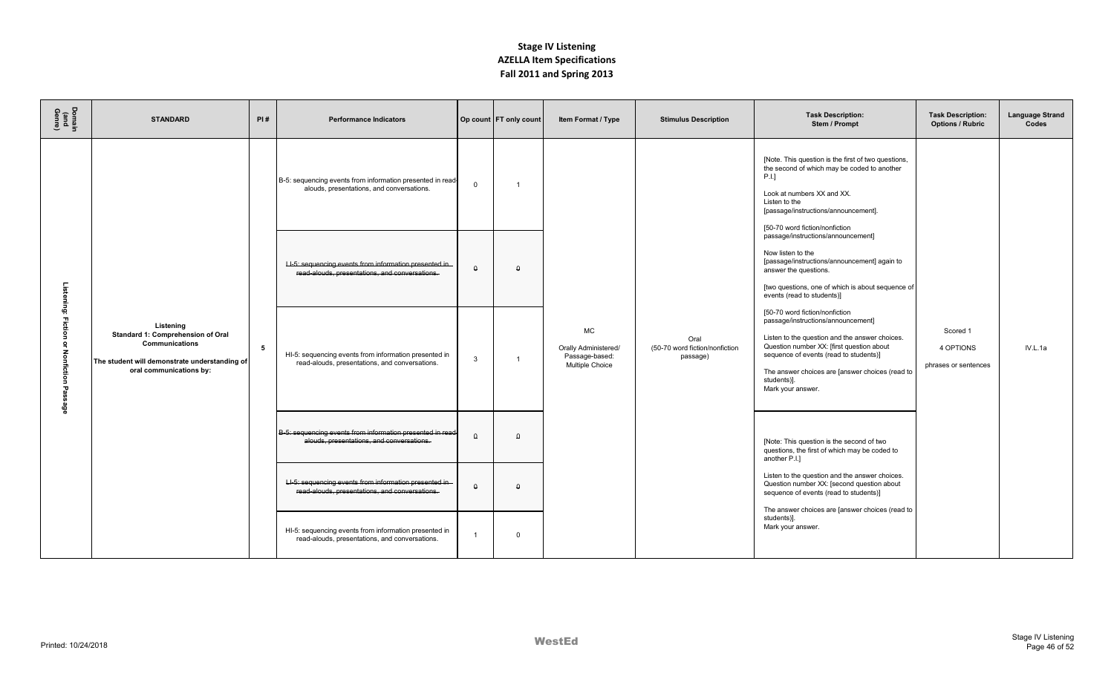| Domain<br>(and<br>Genre)                         | <b>STANDARD</b>                                                                                                                                     | PI#            | <b>Performance Indicators</b>                                                                            |                | Op count FT only count | Item Format / Type                                                     | <b>Stimulus Description</b>                        | <b>Task Description:</b><br>Stem / Prompt                                                                                                                                                                                                                                                            | <b>Task Description:</b><br><b>Options / Rubric</b> | <b>Language Strand</b><br>Codes |
|--------------------------------------------------|-----------------------------------------------------------------------------------------------------------------------------------------------------|----------------|----------------------------------------------------------------------------------------------------------|----------------|------------------------|------------------------------------------------------------------------|----------------------------------------------------|------------------------------------------------------------------------------------------------------------------------------------------------------------------------------------------------------------------------------------------------------------------------------------------------------|-----------------------------------------------------|---------------------------------|
|                                                  |                                                                                                                                                     |                | B-5: sequencing events from information presented in read-<br>alouds, presentations, and conversations.  | $\Omega$       |                        |                                                                        |                                                    | [Note. This question is the first of two questions,<br>the second of which may be coded to another<br>P.I.<br>Look at numbers XX and XX.<br>Listen to the<br>[passage/instructions/announcement].<br>[50-70 word fiction/nonfiction                                                                  |                                                     |                                 |
|                                                  |                                                                                                                                                     |                | LI-5: sequencing events from information presented in-<br>read-alouds, presentations, and conversations. | $\Omega$       | $\Omega$               |                                                                        |                                                    | passage/instructions/announcement]<br>Now listen to the<br>[passage/instructions/announcement] again to<br>answer the questions.<br>[two questions, one of which is about sequence of<br>events (read to students)]                                                                                  |                                                     |                                 |
| Listening: Fiction<br>or Nonfiction<br>Pass<br>ë | Listening<br>Standard 1: Comprehension of Oral<br><b>Communications</b><br>The student will demonstrate understanding of<br>oral communications by: | 5 <sub>5</sub> | HI-5: sequencing events from information presented in<br>read-alouds, presentations, and conversations.  | $\mathbf{3}$   |                        | <b>MC</b><br>Orally Administered/<br>Passage-based:<br>Multiple Choice | Oral<br>(50-70 word fiction/nonfiction<br>passage) | [50-70 word fiction/nonfiction<br>passage/instructions/announcement]<br>Listen to the question and the answer choices.<br>Question number XX: [first question about<br>sequence of events (read to students)]<br>The answer choices are [answer choices (read to<br>students)].<br>Mark your answer. | Scored 1<br>4 OPTIONS<br>phrases or sentences       | IV.L.1a                         |
|                                                  |                                                                                                                                                     |                | B-5: sequencing events from information presented in read-<br>alouds, presentations, and conversations.  | $\theta$       | $\Omega$               |                                                                        |                                                    | [Note: This question is the second of two<br>questions, the first of which may be coded to<br>another P.I.]                                                                                                                                                                                          |                                                     |                                 |
|                                                  |                                                                                                                                                     |                | LI-5: sequencing events from information presented in-<br>read-alouds, presentations, and conversations. | $\theta$       | $\Omega$               |                                                                        |                                                    | Listen to the question and the answer choices.<br>Question number XX: [second question about<br>sequence of events (read to students)]<br>The answer choices are [answer choices (read to                                                                                                            |                                                     |                                 |
|                                                  |                                                                                                                                                     |                | HI-5: sequencing events from information presented in<br>read-alouds, presentations, and conversations.  | $\overline{1}$ | $\Omega$               |                                                                        |                                                    | students)].<br>Mark your answer.                                                                                                                                                                                                                                                                     |                                                     |                                 |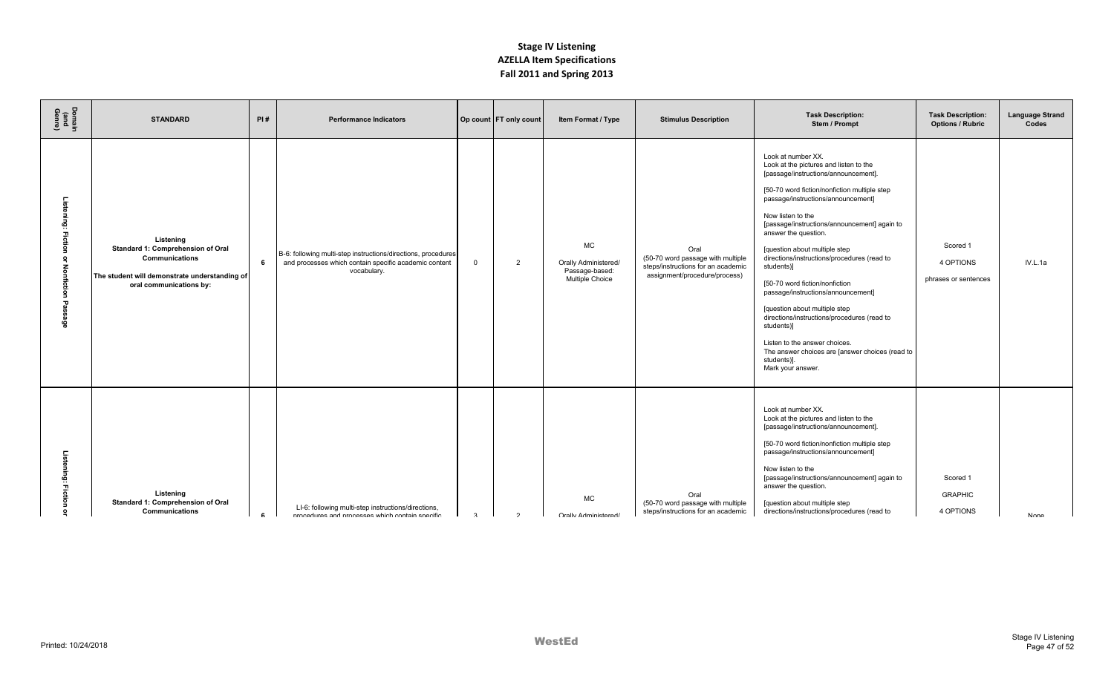| Domain<br>(and<br>Genre) | <b>STANDARD</b>                                                                                                                              | PI# | <b>Performance Indicators</b>                                                                                                         |                | Op count FT only count | Item Format / Type                                                     | <b>Stimulus Description</b>                                                                                      | <b>Task Description:</b><br>Stem / Prompt                                                                                                                                                                                                                                                                                                                                                                                                                                                                                                                                                                                                                                           | <b>Task Description:</b><br><b>Options / Rubric</b> | <b>Language Strand</b><br>Codes |
|--------------------------|----------------------------------------------------------------------------------------------------------------------------------------------|-----|---------------------------------------------------------------------------------------------------------------------------------------|----------------|------------------------|------------------------------------------------------------------------|------------------------------------------------------------------------------------------------------------------|-------------------------------------------------------------------------------------------------------------------------------------------------------------------------------------------------------------------------------------------------------------------------------------------------------------------------------------------------------------------------------------------------------------------------------------------------------------------------------------------------------------------------------------------------------------------------------------------------------------------------------------------------------------------------------------|-----------------------------------------------------|---------------------------------|
| ்<br>ing:<br>z<br>န္မီ   | Listening<br>Standard 1: Comprehension of Oral<br>Communications<br>The student will demonstrate understanding of<br>oral communications by: | 6   | B-6: following multi-step instructions/directions, procedures<br>and processes which contain specific academic content<br>vocabulary. | $\overline{0}$ | 2                      | <b>MC</b><br>Orally Administered/<br>Passage-based:<br>Multiple Choice | Oral<br>(50-70 word passage with multiple<br>steps/instructions for an academic<br>assignment/procedure/process) | Look at number XX.<br>Look at the pictures and listen to the<br>[passage/instructions/announcement].<br>[50-70 word fiction/nonfiction multiple step<br>passage/instructions/announcement]<br>Now listen to the<br>[passage/instructions/announcement] again to<br>answer the question.<br>[question about multiple step<br>directions/instructions/procedures (read to<br>students)]<br>[50-70 word fiction/nonfiction<br>passage/instructions/announcement]<br>[question about multiple step<br>directions/instructions/procedures (read to<br>students)]<br>Listen to the answer choices.<br>The answer choices are [answer choices (read to<br>students)].<br>Mark your answer. | Scored 1<br>4 OPTIONS<br>phrases or sentences       | IV.L.1a                         |
| <u>ត</u><br>ទី<br>п,     | Listening<br>Standard 1: Comprehension of Oral<br>Communications                                                                             | £.  | LI-6: following multi-step instructions/directions,<br>procedures and processes which contain specific                                | $\mathcal{R}$  | $\mathcal{D}$          | <b>MC</b><br><b>Orally Administered/</b>                               | Oral<br>(50-70 word passage with multiple<br>steps/instructions for an academic                                  | Look at number XX.<br>Look at the pictures and listen to the<br>[passage/instructions/announcement].<br>[50-70 word fiction/nonfiction multiple step<br>passage/instructions/announcement]<br>Now listen to the<br>[passage/instructions/announcement] again to<br>answer the question.<br>[question about multiple step<br>directions/instructions/procedures (read to                                                                                                                                                                                                                                                                                                             | Scored 1<br><b>GRAPHIC</b><br>4 OPTIONS             | <b>None</b>                     |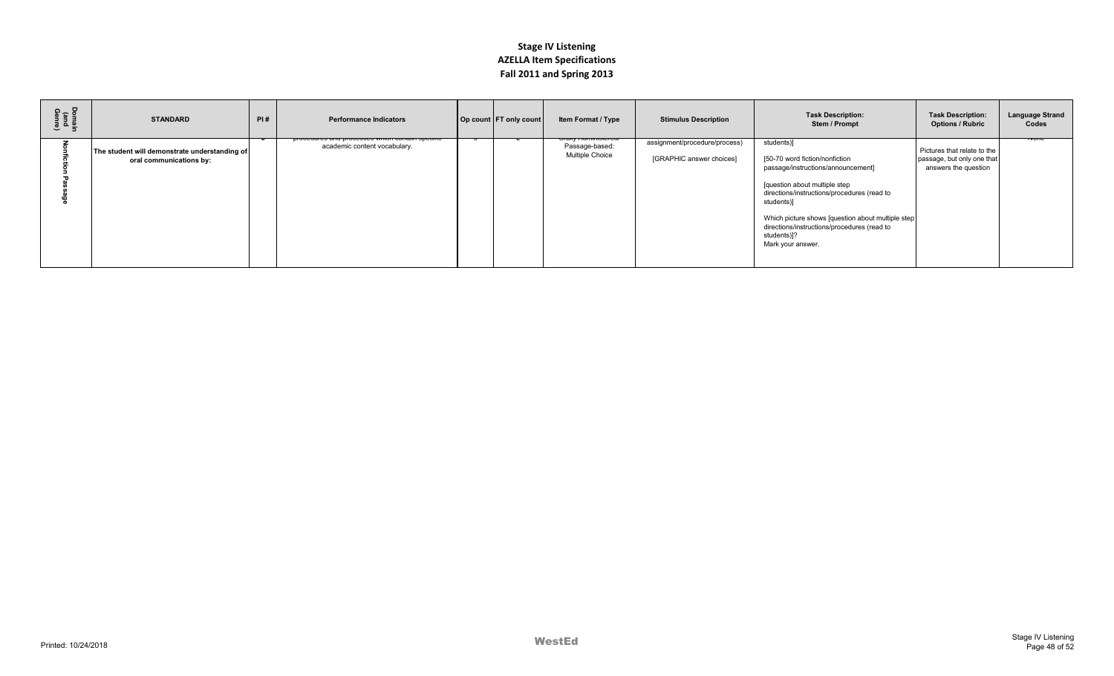| Domain<br>(and<br>Genre) | <b>STANDARD</b>                                                          | PI# | <b>Performance Indicators</b>                                                   | Op count FT only count | Item Format / Type                                                        | <b>Stimulus Description</b>                               | <b>Task Description:</b><br>Stem / Prompt                                                                                                                                                                                                                                                                                 | <b>Task Description:</b><br><b>Options / Rubric</b>                               | <b>Language Strand</b><br>Codes |
|--------------------------|--------------------------------------------------------------------------|-----|---------------------------------------------------------------------------------|------------------------|---------------------------------------------------------------------------|-----------------------------------------------------------|---------------------------------------------------------------------------------------------------------------------------------------------------------------------------------------------------------------------------------------------------------------------------------------------------------------------------|-----------------------------------------------------------------------------------|---------------------------------|
|                          | The student will demonstrate understanding of<br>oral communications by: |     | procedures and processes which contain specific<br>academic content vocabulary. |                        | <del>orany Aummiotorca/</del><br>Passage-based:<br><b>Multiple Choice</b> | assignment/procedure/process)<br>[GRAPHIC answer choices] | students)]<br>[50-70 word fiction/nonfiction<br>passage/instructions/announcement]<br>[question about multiple step<br>directions/instructions/procedures (read to<br>students)]<br>Which picture shows [question about multiple step]<br>directions/instructions/procedures (read to<br>students)]?<br>Mark your answer. | Pictures that relate to the<br>passage, but only one that<br>answers the question | ᠬᢦᡨ                             |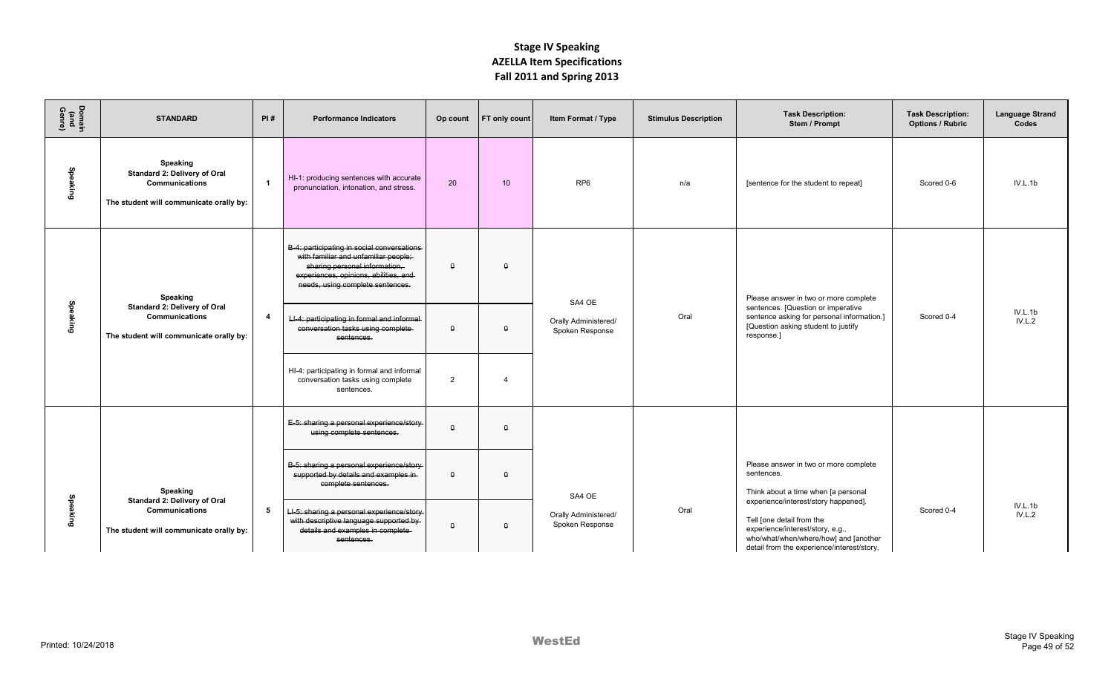| Domain<br>(and<br>Genre) | <b>STANDARD</b>                                                                                              | PI#                     | <b>Performance Indicators</b>                                                                                                                                                                     | Op count | <b>FT</b> only count | Item Format / Type                                | <b>Stimulus Description</b>                                                                                                                                        | <b>Task Description:</b><br>Stem / Prompt                                                                                             | <b>Task Description:</b><br><b>Options / Rubric</b> | <b>Language Strand</b><br>Codes |
|--------------------------|--------------------------------------------------------------------------------------------------------------|-------------------------|---------------------------------------------------------------------------------------------------------------------------------------------------------------------------------------------------|----------|----------------------|---------------------------------------------------|--------------------------------------------------------------------------------------------------------------------------------------------------------------------|---------------------------------------------------------------------------------------------------------------------------------------|-----------------------------------------------------|---------------------------------|
| Speaking                 | Speaking<br>Standard 2: Delivery of Oral<br><b>Communications</b><br>The student will communicate orally by: | $\mathbf{1}$            | HI-1: producing sentences with accurate<br>pronunciation, intonation, and stress.                                                                                                                 | 20       | 10                   | RP <sub>6</sub>                                   | n/a                                                                                                                                                                | [sentence for the student to repeat]                                                                                                  | Scored 0-6                                          | IV.L.1b                         |
|                          | Speaking                                                                                                     |                         | B-4: participating in social conversations-<br>with familiar and unfamiliar people;<br>sharing personal information,<br>experiences, opinions, abilities, and<br>needs, using complete sentences. | $\theta$ | $\theta$             | SA4 OE                                            |                                                                                                                                                                    | Please answer in two or more complete                                                                                                 |                                                     |                                 |
| Speaking                 | Standard 2: Delivery of Oral<br><b>Communications</b><br>The student will communicate orally by:             | $\overline{\mathbf{4}}$ | LI-4: participating in formal and informal-<br>conversation tasks using complete-<br>sentences.                                                                                                   | $\Omega$ | $\pmb{\mathsf{Q}}$   | Orally Administered/<br>Spoken Response           | Oral                                                                                                                                                               | sentences. [Question or imperative<br>sentence asking for personal information.]<br>[Question asking student to justify<br>response.] | Scored 0-4                                          | IV.L.1b<br>IV.L.2               |
|                          |                                                                                                              |                         | HI-4: participating in formal and informal<br>conversation tasks using complete<br>sentences.                                                                                                     | 2        | $\overline{4}$       |                                                   |                                                                                                                                                                    |                                                                                                                                       |                                                     |                                 |
|                          |                                                                                                              |                         | E-5: sharing a personal experience/story<br>using complete sentences.                                                                                                                             | $\theta$ | $\theta$             |                                                   |                                                                                                                                                                    |                                                                                                                                       |                                                     |                                 |
| Speaking                 | Speaking<br>Standard 2: Delivery of Oral<br><b>Communications</b><br>The student will communicate orally by: |                         | B-5: sharing a personal experience/story<br>supported by details and examples in-<br>complete sentences.                                                                                          | $\Omega$ | $\theta$             | SA4 OE<br>Orally Administered/<br>Spoken Response | sentences.<br>Think about a time when [a personal<br>experience/interest/story happened].<br>Oral<br>Tell [one detail from the<br>experience/interest/story, e.g., | Please answer in two or more complete                                                                                                 | Scored 0-4                                          |                                 |
|                          |                                                                                                              | 5                       | LI-5: sharing a personal experience/story<br>with descriptive language supported by<br>details and examples in complete<br>sentences.                                                             | $\Omega$ | $\theta$             |                                                   |                                                                                                                                                                    | who/what/when/where/how] and [another<br>detail from the experience/interest/story,                                                   |                                                     | IV.L.1b<br>IV.L.2               |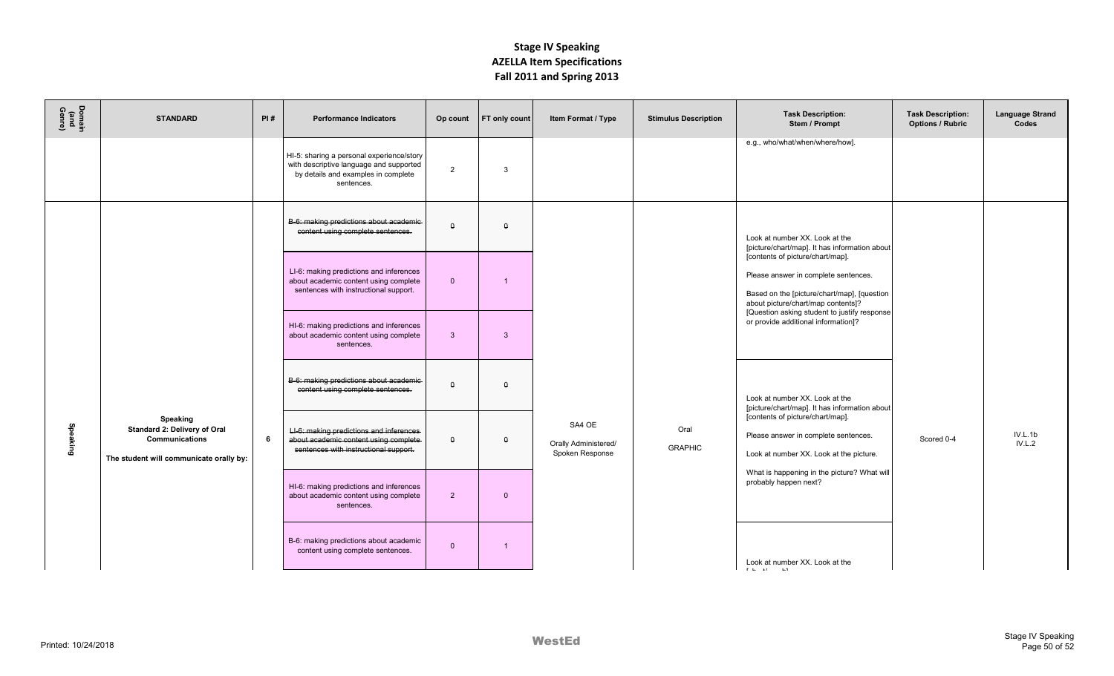| Domain<br>(and<br>Genre) | <b>STANDARD</b>                                                                                              | PI# | <b>Performance Indicators</b>                                                                                                             | Op count           | <b>FT</b> only count | Item Format / Type                                | <b>Stimulus Description</b>                                          | <b>Task Description:</b><br>Stem / Prompt                                                                                                                                                                                                                                                                                                | <b>Task Description:</b><br><b>Options / Rubric</b> | <b>Language Strand</b><br>Codes |
|--------------------------|--------------------------------------------------------------------------------------------------------------|-----|-------------------------------------------------------------------------------------------------------------------------------------------|--------------------|----------------------|---------------------------------------------------|----------------------------------------------------------------------|------------------------------------------------------------------------------------------------------------------------------------------------------------------------------------------------------------------------------------------------------------------------------------------------------------------------------------------|-----------------------------------------------------|---------------------------------|
|                          |                                                                                                              |     | HI-5: sharing a personal experience/story<br>with descriptive language and supported<br>by details and examples in complete<br>sentences. | 2                  | 3                    |                                                   |                                                                      | e.g., who/what/when/where/how].                                                                                                                                                                                                                                                                                                          |                                                     |                                 |
| Speaking                 | <b>Speaking</b><br>Standard 2: Delivery of Oral<br>Communications<br>The student will communicate orally by: | 6   | B-6: making predictions about academic-<br>content using complete sentences.                                                              | $\theta$           | $\theta$             | SA4 OE<br>Orally Administered/<br>Spoken Response |                                                                      | Look at number XX. Look at the<br>[picture/chart/map]. It has information about<br>[contents of picture/chart/map].<br>Please answer in complete sentences.<br>Based on the [picture/chart/map], [question<br>about picture/chart/map contents]?<br>[Question asking student to justify response]<br>or provide additional information]? |                                                     |                                 |
|                          |                                                                                                              |     | LI-6: making predictions and inferences<br>about academic content using complete<br>sentences with instructional support.                 | $\mathbf{0}$       |                      |                                                   |                                                                      |                                                                                                                                                                                                                                                                                                                                          |                                                     |                                 |
|                          |                                                                                                              |     | HI-6: making predictions and inferences<br>about academic content using complete<br>sentences.                                            | $\mathbf{3}$       | $\mathbf{3}$         |                                                   |                                                                      |                                                                                                                                                                                                                                                                                                                                          |                                                     |                                 |
|                          |                                                                                                              |     | B-6: making predictions about academic-<br>content using complete sentences.                                                              | $\theta$           | $\theta$             |                                                   |                                                                      | Look at number XX. Look at the<br>[picture/chart/map]. It has information about                                                                                                                                                                                                                                                          | Scored 0-4                                          | IV.L.1b<br>IV.L.2               |
|                          |                                                                                                              |     | LI-6: making predictions and inferences-<br>about academic content using complete<br>sentences with instructional support.                | $\pmb{\mathsf{Q}}$ | $\theta$             |                                                   | Oral<br><b>GRAPHIC</b>                                               | [contents of picture/chart/map].<br>Please answer in complete sentences.<br>Look at number XX. Look at the picture.                                                                                                                                                                                                                      |                                                     |                                 |
|                          |                                                                                                              |     | HI-6: making predictions and inferences<br>about academic content using complete<br>sentences.                                            | $\overline{2}$     | $\Omega$             |                                                   | What is happening in the picture? What will<br>probably happen next? |                                                                                                                                                                                                                                                                                                                                          |                                                     |                                 |
|                          |                                                                                                              |     | B-6: making predictions about academic<br>content using complete sentences.                                                               | $\mathbf{0}$       | -1                   |                                                   |                                                                      | Look at number XX. Look at the<br>the contract of the state                                                                                                                                                                                                                                                                              |                                                     |                                 |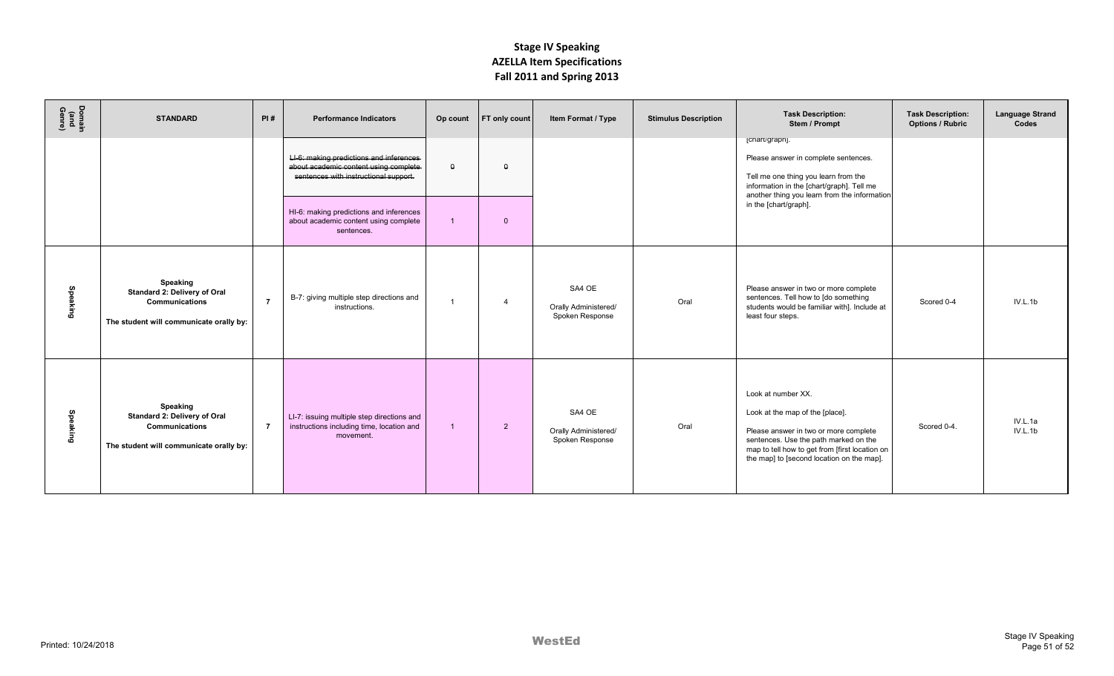| Domain<br>(and<br>Genre) | <b>STANDARD</b>                                                                                              | PI#            | <b>Performance Indicators</b>                                                                                               | Op count       | <b>FT</b> only count | Item Format / Type                                | <b>Stimulus Description</b> | <b>Task Description:</b><br>Stem / Prompt                                                                                                                                                                                              | <b>Task Description:</b><br><b>Options / Rubric</b> | <b>Language Strand</b><br>Codes |
|--------------------------|--------------------------------------------------------------------------------------------------------------|----------------|-----------------------------------------------------------------------------------------------------------------------------|----------------|----------------------|---------------------------------------------------|-----------------------------|----------------------------------------------------------------------------------------------------------------------------------------------------------------------------------------------------------------------------------------|-----------------------------------------------------|---------------------------------|
|                          |                                                                                                              |                | LI-6: making predictions and inferences-<br>about academic content using complete-<br>sentences with instructional support. | $\theta$       | $\Omega$             |                                                   |                             | [chart/graph].<br>Please answer in complete sentences.<br>Tell me one thing you learn from the<br>information in the [chart/graph]. Tell me<br>another thing you learn from the information                                            |                                                     |                                 |
|                          |                                                                                                              |                | HI-6: making predictions and inferences<br>about academic content using complete<br>sentences.                              |                | $\Omega$             |                                                   |                             | in the [chart/graph].                                                                                                                                                                                                                  |                                                     |                                 |
| Speaking                 | Speaking<br>Standard 2: Delivery of Oral<br><b>Communications</b><br>The student will communicate orally by: | $\overline{7}$ | B-7: giving multiple step directions and<br>instructions.                                                                   | $\overline{1}$ | $\overline{4}$       | SA4 OE<br>Orally Administered/<br>Spoken Response | Oral                        | Please answer in two or more complete<br>sentences. Tell how to [do something<br>students would be familiar with]. Include at<br>least four steps.                                                                                     | Scored 0-4                                          | IV.L.1b                         |
| Speaking                 | Speaking<br>Standard 2: Delivery of Oral<br>Communications<br>The student will communicate orally by:        | $\overline{7}$ | LI-7: issuing multiple step directions and<br>instructions including time, location and<br>movement.                        | $\overline{1}$ | 2                    | SA4 OE<br>Orally Administered/<br>Spoken Response | Oral                        | Look at number XX.<br>Look at the map of the [place].<br>Please answer in two or more complete<br>sentences. Use the path marked on the<br>map to tell how to get from [first location on<br>the map] to [second location on the map]. | Scored 0-4.                                         | IV.L.1a<br>IV.L.1b              |